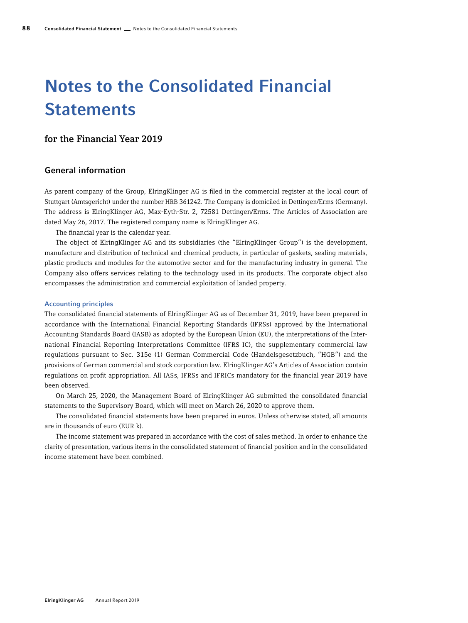# Notes to the Consolidated Financial **Statements**

# for the Financial Year 2019

# General information

As parent company of the Group, ElringKlinger AG is filed in the commercial register at the local court of Stuttgart (Amtsgericht) under the number HRB 361242. The Company is domiciled in Dettingen/Erms (Germany). The address is ElringKlinger AG, Max-Eyth-Str. 2, 72581 Dettingen/Erms. The Articles of Association are dated May 26, 2017. The registered company name is ElringKlinger AG.

The financial year is the calendar year.

The object of ElringKlinger AG and its subsidiaries (the "ElringKlinger Group") is the development, manufacture and distribution of technical and chemical products, in particular of gaskets, sealing materials, plastic products and modules for the automotive sector and for the manufacturing industry in general. The Company also offers services relating to the technology used in its products. The corporate object also encompasses the administration and commercial exploitation of landed property.

#### Accounting principles

The consolidated financial statements of ElringKlinger AG as of December 31, 2019, have been prepared in accordance with the International Financial Reporting Standards (IFRSs) approved by the International Accounting Standards Board (IASB) as adopted by the European Union (EU), the interpretations of the International Financial Reporting Interpretations Committee (IFRS IC), the supplementary commercial law regulations pursuant to Sec. 315e (1) German Commercial Code (Handelsgesetzbuch, "HGB") and the provisions of German commercial and stock corporation law. ElringKlinger AG's Articles of Association contain regulations on profit appropriation. All IASs, IFRSs and IFRICs mandatory for the financial year 2019 have been observed.

On March 25, 2020, the Management Board of ElringKlinger AG submitted the consolidated financial statements to the Supervisory Board, which will meet on March 26, 2020 to approve them.

The consolidated financial statements have been prepared in euros. Unless otherwise stated, all amounts are in thousands of euro (EUR k).

The income statement was prepared in accordance with the cost of sales method. In order to enhance the clarity of presentation, various items in the consolidated statement of financial position and in the consolidated income statement have been combined.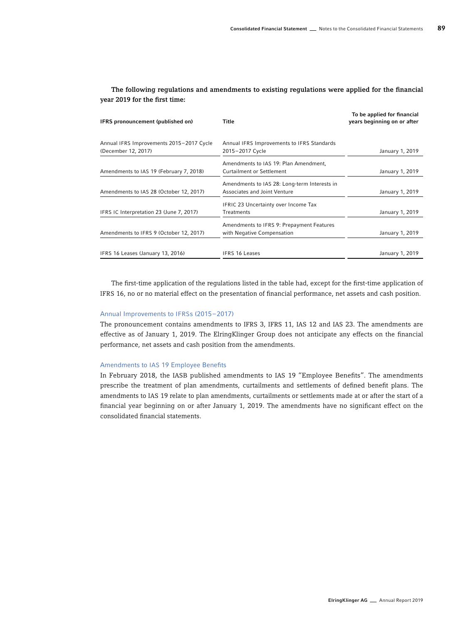| IFRS pronouncement (published on)        | Title                                        |                 |
|------------------------------------------|----------------------------------------------|-----------------|
| Annual IFRS Improvements 2015-2017 Cycle | Annual IFRS Improvements to IFRS Standards   |                 |
| (December 12, 2017)                      | 2015-2017 Cycle                              | January 1, 2019 |
|                                          | Amendments to IAS 19: Plan Amendment,        |                 |
| Amendments to IAS 19 (February 7, 2018)  | <b>Curtailment or Settlement</b>             | January 1, 2019 |
|                                          | Amendments to IAS 28: Long-term Interests in |                 |
| Amendments to IAS 28 (October 12, 2017)  | Associates and Joint Venture                 | January 1, 2019 |
|                                          | <b>IFRIC 23 Uncertainty over Income Tax</b>  |                 |
| IFRS IC Interpretation 23 (June 7, 2017) | Treatments                                   | January 1, 2019 |
|                                          | Amendments to IFRS 9: Prepayment Features    |                 |
| Amendments to IFRS 9 (October 12, 2017)  | with Negative Compensation                   | January 1, 2019 |
|                                          |                                              |                 |
| IFRS 16 Leases (January 13, 2016)        | <b>IFRS 16 Leases</b>                        | January 1, 2019 |

### The following regulations and amendments to existing regulations were applied for the financial year 2019 for the first time:

The first-time application of the regulations listed in the table had, except for the first-time application of IFRS 16, no or no material effect on the presentation of financial performance, net assets and cash position.

#### Annual Improvements to IFRSs (2015–2017)

The pronouncement contains amendments to IFRS 3, IFRS 11, IAS 12 and IAS 23. The amendments are effective as of January 1, 2019. The ElringKlinger Group does not anticipate any effects on the financial performance, net assets and cash position from the amendments.

#### Amendments to IAS 19 Employee Benefits

In February 2018, the IASB published amendments to IAS 19 "Employee Benefits". The amendments prescribe the treatment of plan amendments, curtailments and settlements of defined benefit plans. The amendments to IAS 19 relate to plan amendments, curtailments or settlements made at or after the start of a financial year beginning on or after January 1, 2019. The amendments have no significant effect on the consolidated financial statements.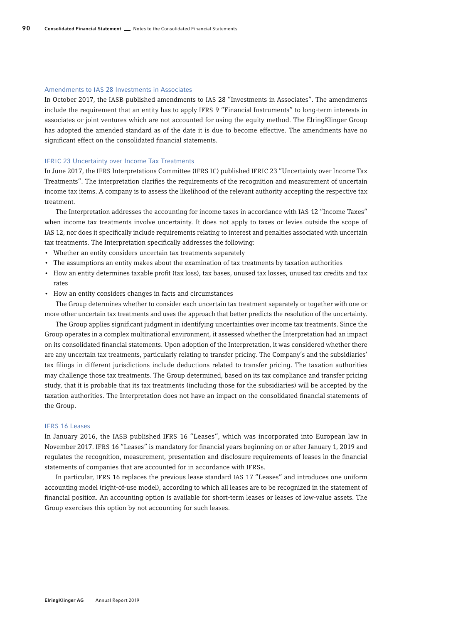#### Amendments to IAS 28 Investments in Associates

In October 2017, the IASB published amendments to IAS 28 "Investments in Associates". The amendments include the requirement that an entity has to apply IFRS 9 "Financial Instruments" to long-term interests in associates or joint ventures which are not accounted for using the equity method. The ElringKlinger Group has adopted the amended standard as of the date it is due to become effective. The amendments have no significant effect on the consolidated financial statements.

#### IFRIC 23 Uncertainty over Income Tax Treatments

In June 2017, the IFRS Interpretations Committee (IFRS IC) published IFRIC 23 "Uncertainty over Income Tax Treatments". The interpretation clarifies the requirements of the recognition and measurement of uncertain income tax items. A company is to assess the likelihood of the relevant authority accepting the respective tax treatment.

The Interpretation addresses the accounting for income taxes in accordance with IAS 12 "Income Taxes" when income tax treatments involve uncertainty. It does not apply to taxes or levies outside the scope of IAS 12, nor does it specifically include requirements relating to interest and penalties associated with uncertain tax treatments. The Interpretation specifically addresses the following:

- Whether an entity considers uncertain tax treatments separately
- The assumptions an entity makes about the examination of tax treatments by taxation authorities
- How an entity determines taxable profit (tax loss), tax bases, unused tax losses, unused tax credits and tax rates
- How an entity considers changes in facts and circumstances

The Group determines whether to consider each uncertain tax treatment separately or together with one or more other uncertain tax treatments and uses the approach that better predicts the resolution of the uncertainty.

The Group applies significant judgment in identifying uncertainties over income tax treatments. Since the Group operates in a complex multinational environment, it assessed whether the Interpretation had an impact on its consolidated financial statements. Upon adoption of the Interpretation, it was considered whether there are any uncertain tax treatments, particularly relating to transfer pricing. The Company's and the subsidiaries' tax filings in different jurisdictions include deductions related to transfer pricing. The taxation authorities may challenge those tax treatments. The Group determined, based on its tax compliance and transfer pricing study, that it is probable that its tax treatments (including those for the subsidiaries) will be accepted by the taxation authorities. The Interpretation does not have an impact on the consolidated financial statements of the Group.

#### IFRS 16 Leases

In January 2016, the IASB published IFRS 16 "Leases", which was incorporated into European law in November 2017. IFRS 16 "Leases" is mandatory for financial years beginning on or after January 1, 2019 and regulates the recognition, measurement, presentation and disclosure requirements of leases in the financial statements of companies that are accounted for in accordance with IFRSs.

In particular, IFRS 16 replaces the previous lease standard IAS 17 "Leases" and introduces one uniform accounting model (right-of-use model), according to which all leases are to be recognized in the statement of financial position. An accounting option is available for short-term leases or leases of low-value assets. The Group exercises this option by not accounting for such leases.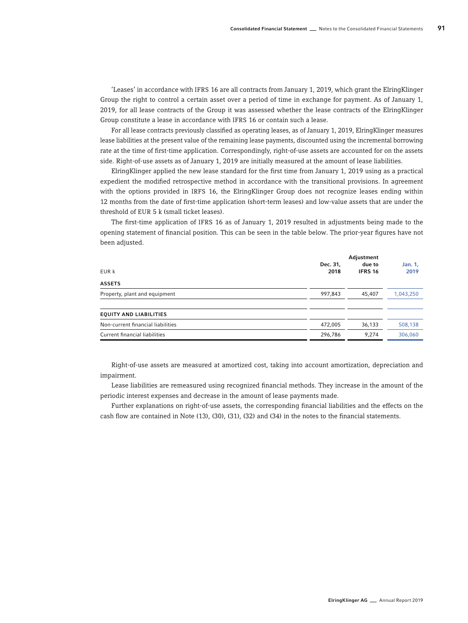'Leases' in accordance with IFRS 16 are all contracts from January 1, 2019, which grant the ElringKlinger Group the right to control a certain asset over a period of time in exchange for payment. As of January 1, 2019, for all lease contracts of the Group it was assessed whether the lease contracts of the ElringKlinger Group constitute a lease in accordance with IFRS 16 or contain such a lease.

For all lease contracts previously classified as operating leases, as of January 1, 2019, ElringKlinger measures lease liabilities at the present value of the remaining lease payments, discounted using the incremental borrowing rate at the time of first-time application. Correspondingly, right-of-use assets are accounted for on the assets side. Right-of-use assets as of January 1, 2019 are initially measured at the amount of lease liabilities.

ElringKlinger applied the new lease standard for the first time from January 1, 2019 using as a practical expedient the modified retrospective method in accordance with the transitional provisions. In agreement with the options provided in IRFS 16, the ElringKlinger Group does not recognize leases ending within 12 months from the date of first-time application (short-term leases) and low-value assets that are under the threshold of EUR 5 k (small ticket leases).

The first-time application of IFRS 16 as of January 1, 2019 resulted in adjustments being made to the opening statement of financial position. This can be seen in the table below. The prior-year figures have not been adjusted.

| EUR k                             | Dec. 31,<br>2018 | Adjustment<br>due to<br><b>IFRS 16</b> | Jan. 1,<br>2019 |
|-----------------------------------|------------------|----------------------------------------|-----------------|
| <b>ASSETS</b>                     |                  |                                        |                 |
| Property, plant and equipment     | 997,843          | 45,407                                 | 1,043,250       |
| <b>EQUITY AND LIABILITIES</b>     |                  |                                        |                 |
| Non-current financial liabilities | 472,005          | 36,133                                 | 508,138         |
| Current financial liabilities     | 296,786          | 9,274                                  | 306,060         |

Right-of-use assets are measured at amortized cost, taking into account amortization, depreciation and impairment.

Lease liabilities are remeasured using recognized financial methods. They increase in the amount of the periodic interest expenses and decrease in the amount of lease payments made.

Further explanations on right-of-use assets, the corresponding financial liabilities and the effects on the cash flow are contained in Note (13), (30), (31), (32) and (34) in the notes to the financial statements.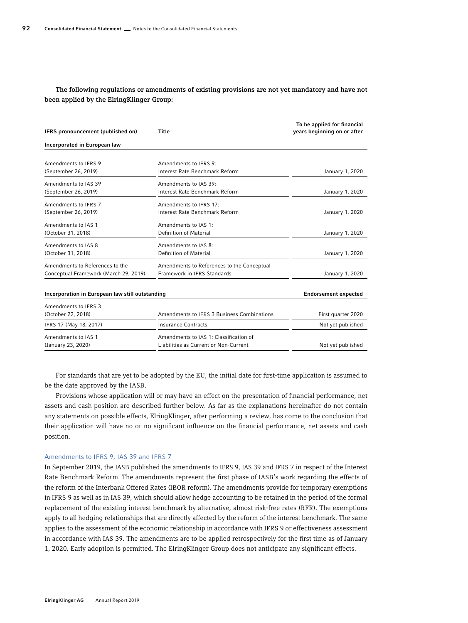## The following regulations or amendments of existing provisions are not yet mandatory and have not been applied by the ElringKlinger Group:

| IFRS pronouncement (published on)               | Title                                      | To be applied for financial<br>years beginning on or after |
|-------------------------------------------------|--------------------------------------------|------------------------------------------------------------|
| Incorporated in European law                    |                                            |                                                            |
| Amendments to IFRS 9                            | Amendments to IFRS 9:                      |                                                            |
| (September 26, 2019)                            | Interest Rate Benchmark Reform             | January 1, 2020                                            |
| Amendments to IAS 39                            | Amendments to IAS 39:                      |                                                            |
| (September 26, 2019)                            | Interest Rate Benchmark Reform             | January 1, 2020                                            |
| Amendments to IFRS 7                            | Amendments to IFRS 17:                     |                                                            |
| (September 26, 2019)                            | Interest Rate Benchmark Reform             | January 1, 2020                                            |
| Amendments to IAS 1                             | Amendments to IAS 1:                       |                                                            |
| (October 31, 2018)                              | <b>Definition of Material</b>              | January 1, 2020                                            |
| Amendments to IAS 8                             | Amendments to IAS 8:                       |                                                            |
| (October 31, 2018)                              | Definition of Material                     | January 1, 2020                                            |
| Amendments to References to the                 | Amendments to References to the Conceptual |                                                            |
| Conceptual Framework (March 29, 2019)           | Framework in IFRS Standards                | January 1, 2020                                            |
|                                                 |                                            |                                                            |
| Incorporation in European law still outstanding |                                            | <b>Endorsement expected</b>                                |
| Amendments to IFRS 3                            |                                            |                                                            |
| (October 22, 2018)                              | Amendments to IFRS 3 Business Combinations | First quarter 2020                                         |
| IFRS 17 (May 18, 2017)                          | <b>Insurance Contracts</b>                 | Not yet published                                          |
| Amendments to IAS 1                             | Amendments to IAS 1: Classification of     |                                                            |
| (January 23, 2020)                              | Liabilities as Current or Non-Current      | Not yet published                                          |

For standards that are yet to be adopted by the EU, the initial date for first-time application is assumed to be the date approved by the IASB.

Provisions whose application will or may have an effect on the presentation of financial performance, net assets and cash position are described further below. As far as the explanations hereinafter do not contain any statements on possible effects, ElringKlinger, after performing a review, has come to the conclusion that their application will have no or no significant influence on the financial performance, net assets and cash position.

#### Amendments to IFRS 9, IAS 39 and IFRS 7

In September 2019, the IASB published the amendments to IFRS 9, IAS 39 and IFRS 7 in respect of the Interest Rate Benchmark Reform. The amendments represent the first phase of IASB's work regarding the effects of the reform of the Interbank Offered Rates (IBOR reform). The amendments provide for temporary exemptions in IFRS 9 as well as in IAS 39, which should allow hedge accounting to be retained in the period of the formal replacement of the existing interest benchmark by alternative, almost risk-free rates (RFR). The exemptions apply to all hedging relationships that are directly affected by the reform of the interest benchmark. The same applies to the assessment of the economic relationship in accordance with IFRS 9 or effectiveness assessment in accordance with IAS 39. The amendments are to be applied retrospectively for the first time as of January 1, 2020. Early adoption is permitted. The ElringKlinger Group does not anticipate any significant effects.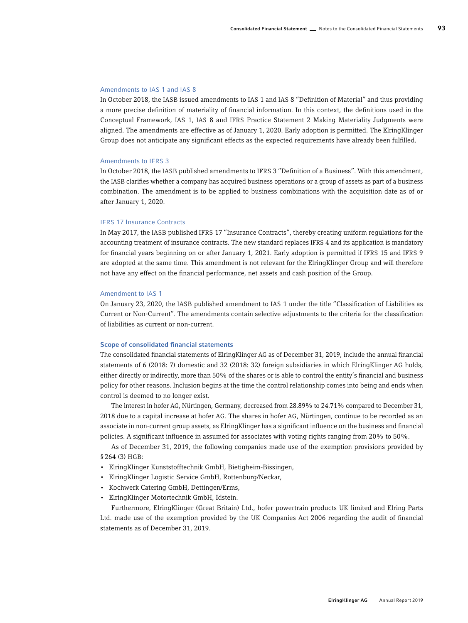#### Amendments to IAS 1 and IAS 8

In October 2018, the IASB issued amendments to IAS 1 and IAS 8 "Definition of Material" and thus providing a more precise definition of materiality of financial information. In this context, the definitions used in the Conceptual Framework, IAS 1, IAS 8 and IFRS Practice Statement 2 Making Materiality Judgments were aligned. The amendments are effective as of January 1, 2020. Early adoption is permitted. The ElringKlinger Group does not anticipate any significant effects as the expected requirements have already been fulfilled.

#### Amendments to IFRS 3

In October 2018, the IASB published amendments to IFRS 3 "Definition of a Business". With this amendment, the IASB clarifies whether a company has acquired business operations or a group of assets as part of a business combination. The amendment is to be applied to business combinations with the acquisition date as of or after January 1, 2020.

#### IFRS 17 Insurance Contracts

In May 2017, the IASB published IFRS 17 "Insurance Contracts", thereby creating uniform regulations for the accounting treatment of insurance contracts. The new standard replaces IFRS 4 and its application is mandatory for financial years beginning on or after January 1, 2021. Early adoption is permitted if IFRS 15 and IFRS 9 are adopted at the same time. This amendment is not relevant for the ElringKlinger Group and will therefore not have any effect on the financial performance, net assets and cash position of the Group.

#### Amendment to IAS 1

On January 23, 2020, the IASB published amendment to IAS 1 under the title "Classification of Liabilities as Current or Non-Current". The amendments contain selective adjustments to the criteria for the classification of liabilities as current or non-current.

#### Scope of consolidated financial statements

The consolidated financial statements of ElringKlinger AG as of December 31, 2019, include the annual financial statements of 6 (2018: 7) domestic and 32 (2018: 32) foreign subsidiaries in which ElringKlinger AG holds, either directly or indirectly, more than 50% of the shares or is able to control the entity's financial and business policy for other reasons. Inclusion begins at the time the control relationship comes into being and ends when control is deemed to no longer exist.

The interest in hofer AG, Nürtingen, Germany, decreased from 28.89% to 24.71% compared to December 31, 2018 due to a capital increase at hofer AG. The shares in hofer AG, Nürtingen, continue to be recorded as an associate in non-current group assets, as ElringKlinger has a significant influence on the business and financial policies. A significant influence in assumed for associates with voting rights ranging from 20% to 50%.

As of December 31, 2019, the following companies made use of the exemption provisions provided by §264 (3) HGB:

- ElringKlinger Kunststofftechnik GmbH, Bietigheim-Bissingen,
- ElringKlinger Logistic Service GmbH, Rottenburg/Neckar,
- Kochwerk Catering GmbH, Dettingen/Erms,
- ElringKlinger Motortechnik GmbH, Idstein.

Furthermore, ElringKlinger (Great Britain) Ltd., hofer powertrain products UK limited and Elring Parts Ltd. made use of the exemption provided by the UK Companies Act 2006 regarding the audit of financial statements as of December 31, 2019.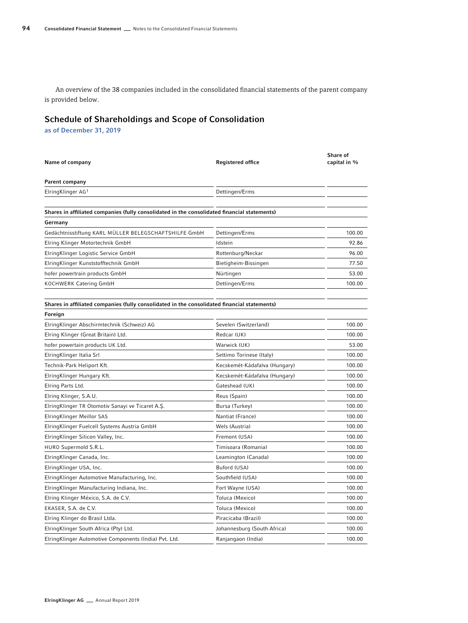An overview of the 38 companies included in the consolidated financial statements of the parent company is provided below.

# Schedule of Shareholdings and Scope of Consolidation

as of December 31, 2019

| Name of company                                                                              | <b>Registered office</b>      | Share of<br>capital in % |
|----------------------------------------------------------------------------------------------|-------------------------------|--------------------------|
| Parent company                                                                               |                               |                          |
| ElringKlinger AG1                                                                            | Dettingen/Erms                |                          |
|                                                                                              |                               |                          |
| Shares in affiliated companies (fully consolidated in the consolidated financial statements) |                               |                          |
| Germany                                                                                      |                               |                          |
| Gedächtnisstiftung KARL MÜLLER BELEGSCHAFTSHILFE GmbH                                        | Dettingen/Erms                | 100.00                   |
| Elring Klinger Motortechnik GmbH                                                             | Idstein                       | 92.86                    |
| ElringKlinger Logistic Service GmbH                                                          | Rottenburg/Neckar             | 96.00                    |
| ElringKlinger Kunststofftechnik GmbH                                                         | Bietigheim-Bissingen          | 77.50                    |
| hofer powertrain products GmbH                                                               | Nürtingen                     | 53.00                    |
| KOCHWERK Catering GmbH                                                                       | Dettingen/Erms                | 100.00                   |
|                                                                                              |                               |                          |
| Shares in affiliated companies (fully consolidated in the consolidated financial statements) |                               |                          |
| Foreign                                                                                      |                               |                          |
| ElringKlinger Abschirmtechnik (Schweiz) AG                                                   | Sevelen (Switzerland)         | 100.00                   |
| Elring Klinger (Great Britain) Ltd.                                                          | Redcar (UK)                   | 100.00                   |
| hofer powertain products UK Ltd.                                                             | Warwick (UK)                  | 53.00                    |
| ElringKlinger Italia Srl                                                                     | Settimo Torinese (Italy)      | 100.00                   |
| Technik-Park Heliport Kft.                                                                   | Kecskemét-Kádafalva (Hungary) | 100.00                   |
| ElringKlinger Hungary Kft.                                                                   | Kecskemét-Kádafalva (Hungary) | 100.00                   |
| Elring Parts Ltd.                                                                            | Gateshead (UK)                | 100.00                   |
| Elring Klinger, S.A.U.                                                                       | Reus (Spain)                  | 100.00                   |
| ElringKlinger TR Otomotiv Sanayi ve Ticaret A.Ş.                                             | Bursa (Turkey)                | 100.00                   |
| ElringKlinger Meillor SAS                                                                    | Nantiat (France)              | 100.00                   |
| ElringKlinger Fuelcell Systems Austria GmbH                                                  | Wels (Austria)                | 100.00                   |
| ElringKlinger Silicon Valley, Inc.                                                           | Fremont (USA)                 | 100.00                   |
| HURO Supermold S.R.L.                                                                        | Timisoara (Romania)           | 100.00                   |
| ElringKlinger Canada, Inc.                                                                   | Leamington (Canada)           | 100.00                   |
| ElringKlinger USA, Inc.                                                                      | Buford (USA)                  | 100.00                   |
| ElringKlinger Automotive Manufacturing, Inc.                                                 | Southfield (USA)              | 100.00                   |
| ElringKlinger Manufacturing Indiana, Inc.                                                    | Fort Wayne (USA)              | 100.00                   |
| Elring Klinger México, S.A. de C.V.                                                          | Toluca (Mexico)               | 100.00                   |
| EKASER, S.A. de C.V.                                                                         | Toluca (Mexico)               | 100.00                   |
| Elring Klinger do Brasil Ltda.                                                               | Piracicaba (Brazil)           | 100.00                   |
| ElringKlinger South Africa (Pty) Ltd.                                                        | Johannesburg (South Africa)   | 100.00                   |
| ElringKlinger Automotive Components (India) Pvt. Ltd.                                        | Ranjangaon (India)            | 100.00                   |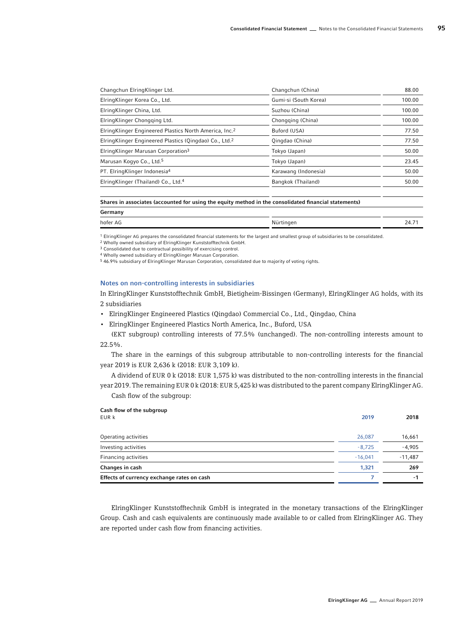| Changchun ElringKlinger Ltd.                                        | Changchun (China)     | 88.00  |
|---------------------------------------------------------------------|-----------------------|--------|
| ElringKlinger Korea Co., Ltd.                                       | Gumi-si (South Korea) | 100.00 |
| ElringKlinger China, Ltd.                                           | Suzhou (China)        | 100.00 |
| ElringKlinger Chongging Ltd.                                        | Chongging (China)     | 100.00 |
| ElringKlinger Engineered Plastics North America, Inc. <sup>2</sup>  | Buford (USA)          | 77.50  |
| Elring Klinger Engineered Plastics (Qingdao) Co., Ltd. <sup>2</sup> | Qingdao (China)       | 77.50  |
| ElringKlinger Marusan Corporation <sup>3</sup>                      | Tokyo (Japan)         | 50.00  |
| Marusan Kogyo Co., Ltd. <sup>5</sup>                                | Tokyo (Japan)         | 23.45  |
| PT. ElringKlinger Indonesia <sup>4</sup>                            | Karawang (Indonesia)  | 50.00  |
| ElringKlinger (Thailand) Co., Ltd. <sup>4</sup>                     | Bangkok (Thailand)    | 50.00  |
|                                                                     |                       |        |

#### Shares in associates (accounted for using the equity method in the consolidated financial statements)

| OCHILIANTY |           |                    |
|------------|-----------|--------------------|
| hofer AG   | Nürtingen | $\mathbf{\Lambda}$ |
|            |           |                    |

1 ElringKlinger AG prepares the consolidated financial statements for the largest and smallest group of subsidiaries to be consolidated.

2 Wholly owned subsidiary of ElringKlinger Kunststofftechnik GmbH.

3 Consolidated due to contractual possibility of exercising control.

Cash flow of the subgroup:

Germany

4 Wholly owned subsidiary of ElringKlinger Marusan Corporation.

5 46.9% subsidiary of ElringKlinger Marusan Corporation, consolidated due to majority of voting rights.

#### Notes on non-controlling interests in subsidiaries

In ElringKlinger Kunststofftechnik GmbH, Bietigheim-Bissingen (Germany), ElringKlinger AG holds, with its 2 subsidiaries

- ElringKlinger Engineered Plastics (Qingdao) Commercial Co., Ltd., Qingdao, China
- ElringKlinger Engineered Plastics North America, Inc., Buford, USA

(EKT subgroup) controlling interests of 77.5% (unchanged). The non-controlling interests amount to 22.5%.

The share in the earnings of this subgroup attributable to non-controlling interests for the financial year 2019 is EUR 2,636 k (2018: EUR 3,109 k).

A dividend of EUR 0 k (2018: EUR 1,575 k) was distributed to the non-controlling interests in the financial year 2019. The remaining EUR 0 k (2018: EUR 5,425 k) was distributed to the parent company ElringKlinger AG.

| Cash flow of the subgroup<br>EUR k         | 2019      | 2018      |
|--------------------------------------------|-----------|-----------|
| Operating activities                       | 26,087    | 16,661    |
| Investing activities                       | $-8,725$  | $-4,905$  |
| Financing activities                       | $-16.041$ | $-11,487$ |
| Changes in cash                            | 1.321     | 269       |
| Effects of currency exchange rates on cash |           | -1        |

ElringKlinger Kunststofftechnik GmbH is integrated in the monetary transactions of the ElringKlinger Group. Cash and cash equivalents are continuously made available to or called from ElringKlinger AG. They are reported under cash flow from financing activities.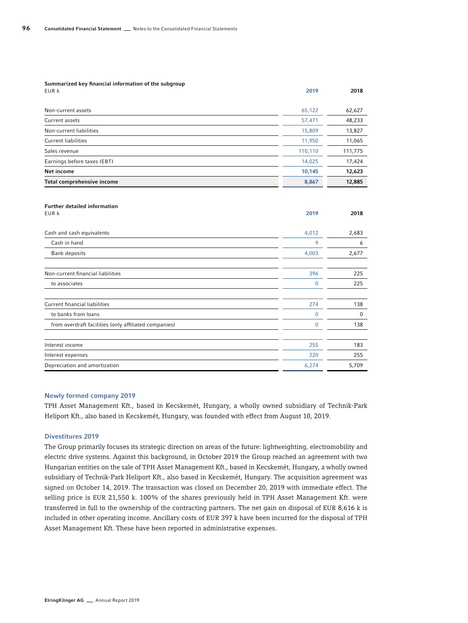| Summarized key financial information of the subgroup<br>EUR k | 2019    | 2018    |
|---------------------------------------------------------------|---------|---------|
| Non-current assets                                            | 65,122  | 62,627  |
| Current assets                                                | 57,471  | 48,233  |
| Non-current liabilities                                       | 15,809  | 13,827  |
| <b>Current liabilities</b>                                    | 11,950  | 11,065  |
| Sales revenue                                                 | 110,110 | 111,775 |
| Earnings before taxes (EBT)                                   | 14,025  | 17,424  |
| Net income                                                    | 10,145  | 12,623  |
| Total comprehensive income                                    | 8,867   | 12,885  |
|                                                               |         |         |

| <b>Further detailed information</b><br>EUR k          | 2019         | 2018  |
|-------------------------------------------------------|--------------|-------|
| Cash and cash equivalents                             | 4,012        | 2,683 |
| Cash in hand                                          | 9            | 6     |
| Bank deposits                                         | 4,003        | 2,677 |
| Non-current financial liabilities                     | 396          | 225   |
| to associates                                         | $\mathbf{0}$ | 225   |
| <b>Current financial liabilities</b>                  | 274          | 138   |
| to banks from loans                                   | $\mathbf 0$  | 0     |
| from overdraft facilities (only affiliated companies) | $\mathbf 0$  | 138   |
| Interest income                                       | 255          | 183   |
| Interest expenses                                     | 220          | 255   |
| Depreciation and amortization                         | 6,274        | 5,709 |

#### Newly formed company 2019

TPH Asset Management Kft., based in Kecskemét, Hungary, a wholly owned subsidiary of Technik-Park Heliport Kft., also based in Kecskemét, Hungary, was founded with effect from August 10, 2019.

#### Divestitures 2019

The Group primarily focuses its strategic direction on areas of the future: lightweighting, electromobility and electric drive systems. Against this background, in October 2019 the Group reached an agreement with two Hungarian entities on the sale of TPH Asset Management Kft., based in Kecskemét, Hungary, a wholly owned subsidiary of Technik-Park Heliport Kft., also based in Kecskemét, Hungary. The acquisition agreement was signed on October 14, 2019. The transaction was closed on December 20, 2019 with immediate effect. The selling price is EUR 21,550 k. 100% of the shares previously held in TPH Asset Management Kft. were transferred in full to the ownership of the contracting partners. The net gain on disposal of EUR 8,616 k is included in other operating income. Ancillary costs of EUR 397 k have been incurred for the disposal of TPH Asset Management Kft. These have been reported in administrative expenses.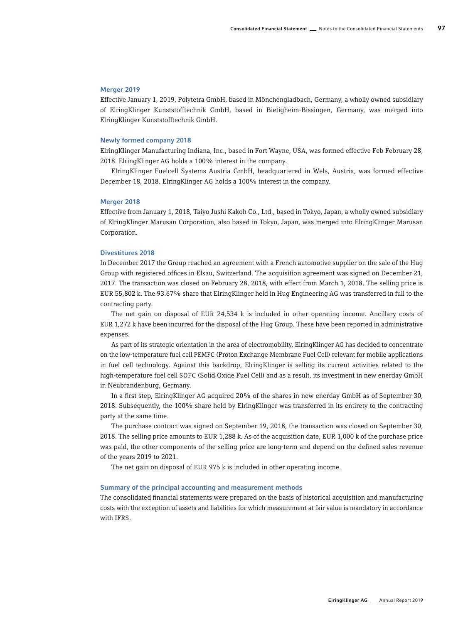#### Merger 2019

Effective January 1, 2019, Polytetra GmbH, based in Mönchengladbach, Germany, a wholly owned subsidiary of ElringKlinger Kunststofftechnik GmbH, based in Bietigheim-Bissingen, Germany, was merged into ElringKlinger Kunststofftechnik GmbH.

#### Newly formed company 2018

ElringKlinger Manufacturing Indiana, Inc., based in Fort Wayne, USA, was formed effective Feb February 28, 2018. ElringKlinger AG holds a 100% interest in the company.

ElringKlinger Fuelcell Systems Austria GmbH, headquartered in Wels, Austria, was formed effective December 18, 2018. ElringKlinger AG holds a 100% interest in the company.

#### Merger 2018

Effective from January 1, 2018, Taiyo Jushi Kakoh Co., Ltd., based in Tokyo, Japan, a wholly owned subsidiary of ElringKlinger Marusan Corporation, also based in Tokyo, Japan, was merged into ElringKlinger Marusan Corporation.

#### Divestitures 2018

In December 2017 the Group reached an agreement with a French automotive supplier on the sale of the Hug Group with registered offices in Elsau, Switzerland. The acquisition agreement was signed on December 21, 2017. The transaction was closed on February 28, 2018, with effect from March 1, 2018. The selling price is EUR 55,802 k. The 93.67% share that ElringKlinger held in Hug Engineering AG was transferred in full to the contracting party.

The net gain on disposal of EUR 24,534 k is included in other operating income. Ancillary costs of EUR 1,272 k have been incurred for the disposal of the Hug Group. These have been reported in administrative expenses.

As part of its strategic orientation in the area of electromobility, ElringKlinger AG has decided to concentrate on the low-temperature fuel cell PEMFC (Proton Exchange Membrane Fuel Cell) relevant for mobile applications in fuel cell technology. Against this backdrop, ElringKlinger is selling its current activities related to the high-temperature fuel cell SOFC (Solid Oxide Fuel Cell) and as a result, its investment in new enerday GmbH in Neubrandenburg, Germany.

In a first step, ElringKlinger AG acquired 20% of the shares in new enerday GmbH as of September 30, 2018. Subsequently, the 100% share held by ElringKlinger was transferred in its entirety to the contracting party at the same time.

The purchase contract was signed on September 19, 2018, the transaction was closed on September 30, 2018. The selling price amounts to EUR 1,288 k. As of the acquisition date, EUR 1,000 k of the purchase price was paid, the other components of the selling price are long-term and depend on the defined sales revenue of the years 2019 to 2021.

The net gain on disposal of EUR 975 k is included in other operating income.

#### Summary of the principal accounting and measurement methods

The consolidated financial statements were prepared on the basis of historical acquisition and manufacturing costs with the exception of assets and liabilities for which measurement at fair value is mandatory in accordance with IFRS.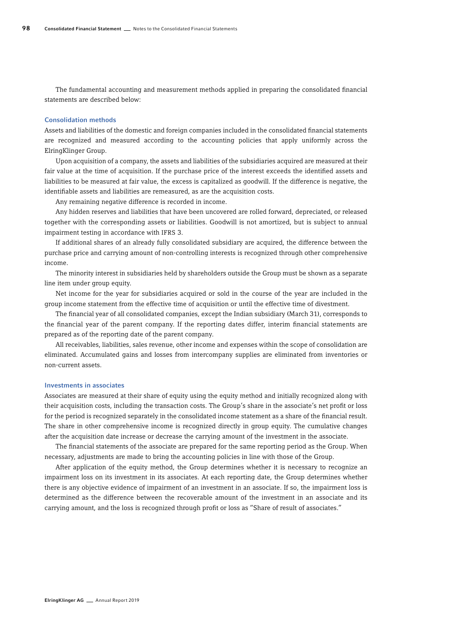The fundamental accounting and measurement methods applied in preparing the consolidated financial statements are described below:

#### Consolidation methods

Assets and liabilities of the domestic and foreign companies included in the consolidated financial statements are recognized and measured according to the accounting policies that apply uniformly across the ElringKlinger Group.

Upon acquisition of a company, the assets and liabilities of the subsidiaries acquired are measured at their fair value at the time of acquisition. If the purchase price of the interest exceeds the identified assets and liabilities to be measured at fair value, the excess is capitalized as goodwill. If the difference is negative, the identifiable assets and liabilities are remeasured, as are the acquisition costs.

Any remaining negative difference is recorded in income.

Any hidden reserves and liabilities that have been uncovered are rolled forward, depreciated, or released together with the corresponding assets or liabilities. Goodwill is not amortized, but is subject to annual impairment testing in accordance with IFRS 3.

If additional shares of an already fully consolidated subsidiary are acquired, the difference between the purchase price and carrying amount of non-controlling interests is recognized through other comprehensive income.

The minority interest in subsidiaries held by shareholders outside the Group must be shown as a separate line item under group equity.

Net income for the year for subsidiaries acquired or sold in the course of the year are included in the group income statement from the effective time of acquisition or until the effective time of divestment.

The financial year of all consolidated companies, except the Indian subsidiary (March 31), corresponds to the financial year of the parent company. If the reporting dates differ, interim financial statements are prepared as of the reporting date of the parent company.

All receivables, liabilities, sales revenue, other income and expenses within the scope of consolidation are eliminated. Accumulated gains and losses from intercompany supplies are eliminated from inventories or non-current assets.

#### Investments in associates

Associates are measured at their share of equity using the equity method and initially recognized along with their acquisition costs, including the transaction costs. The Group's share in the associate's net profit or loss for the period is recognized separately in the consolidated income statement as a share of the financial result. The share in other comprehensive income is recognized directly in group equity. The cumulative changes after the acquisition date increase or decrease the carrying amount of the investment in the associate.

The financial statements of the associate are prepared for the same reporting period as the Group. When necessary, adjustments are made to bring the accounting policies in line with those of the Group.

After application of the equity method, the Group determines whether it is necessary to recognize an impairment loss on its investment in its associates. At each reporting date, the Group determines whether there is any objective evidence of impairment of an investment in an associate. If so, the impairment loss is determined as the difference between the recoverable amount of the investment in an associate and its carrying amount, and the loss is recognized through profit or loss as "Share of result of associates."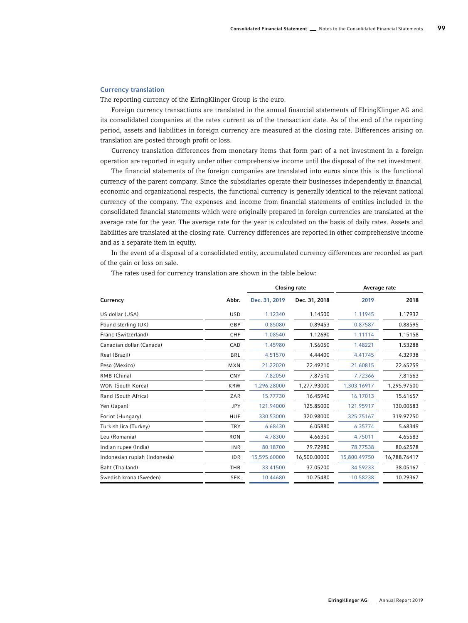#### Currency translation

The reporting currency of the ElringKlinger Group is the euro.

Foreign currency transactions are translated in the annual financial statements of ElringKlinger AG and its consolidated companies at the rates current as of the transaction date. As of the end of the reporting period, assets and liabilities in foreign currency are measured at the closing rate. Differences arising on translation are posted through profit or loss.

Currency translation differences from monetary items that form part of a net investment in a foreign operation are reported in equity under other comprehensive income until the disposal of the net investment.

The financial statements of the foreign companies are translated into euros since this is the functional currency of the parent company. Since the subsidiaries operate their businesses independently in financial, economic and organizational respects, the functional currency is generally identical to the relevant national currency of the company. The expenses and income from financial statements of entities included in the consolidated financial statements which were originally prepared in foreign currencies are translated at the average rate for the year. The average rate for the year is calculated on the basis of daily rates. Assets and liabilities are translated at the closing rate. Currency differences are reported in other comprehensive income and as a separate item in equity.

In the event of a disposal of a consolidated entity, accumulated currency differences are recorded as part of the gain or loss on sale.

The rates used for currency translation are shown in the table below:

|                               |            |               | <b>Closing rate</b> |              | Average rate |  |
|-------------------------------|------------|---------------|---------------------|--------------|--------------|--|
| Currency                      | Abbr.      | Dec. 31, 2019 | Dec. 31, 2018       | 2019         | 2018         |  |
| US dollar (USA)               | <b>USD</b> | 1.12340       | 1.14500             | 1.11945      | 1.17932      |  |
| Pound sterling (UK)           | GBP        | 0.85080       | 0.89453             | 0.87587      | 0.88595      |  |
| Franc (Switzerland)           | CHF        | 1.08540       | 1.12690             | 1.11114      | 1.15158      |  |
| Canadian dollar (Canada)      | CAD        | 1.45980       | 1.56050             | 1.48221      | 1.53288      |  |
| Real (Brazil)                 | <b>BRL</b> | 4.51570       | 4.44400             | 4.41745      | 4.32938      |  |
| Peso (Mexico)                 | <b>MXN</b> | 21.22020      | 22.49210            | 21.60815     | 22.65259     |  |
| RMB (China)                   | CNY        | 7.82050       | 7.87510             | 7.72366      | 7.81563      |  |
| WON (South Korea)             | <b>KRW</b> | 1.296.28000   | 1.277.93000         | 1.303.16917  | 1.295.97500  |  |
| Rand (South Africa)           | ZAR        | 15.77730      | 16.45940            | 16.17013     | 15.61657     |  |
| Yen (Japan)                   | <b>JPY</b> | 121.94000     | 125.85000           | 121.95917    | 130.00583    |  |
| Forint (Hungary)              | <b>HUF</b> | 330.53000     | 320.98000           | 325.75167    | 319.97250    |  |
| Turkish lira (Turkey)         | <b>TRY</b> | 6.68430       | 6.05880             | 6.35774      | 5.68349      |  |
| Leu (Romania)                 | <b>RON</b> | 4.78300       | 4.66350             | 4.75011      | 4.65583      |  |
| Indian rupee (India)          | <b>INR</b> | 80.18700      | 79.72980            | 78.77538     | 80.62578     |  |
| Indonesian rupiah (Indonesia) | <b>IDR</b> | 15,595.60000  | 16.500.00000        | 15,800.49750 | 16,788.76417 |  |
| Baht (Thailand)               | THB        | 33.41500      | 37.05200            | 34.59233     | 38.05167     |  |
| Swedish krona (Sweden)        | <b>SEK</b> | 10.44680      | 10.25480            | 10.58238     | 10.29367     |  |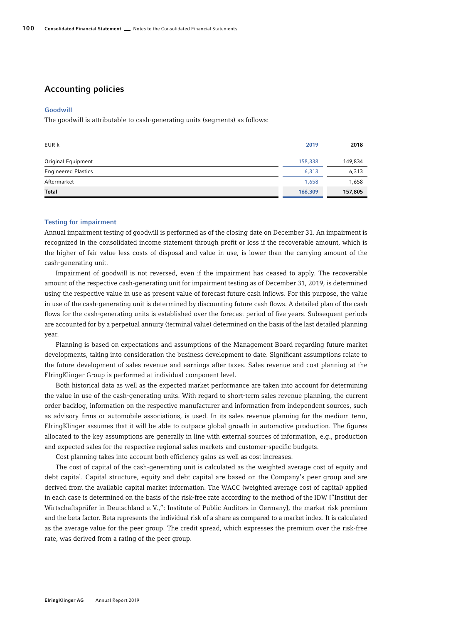# Accounting policies

#### Goodwill

The goodwill is attributable to cash-generating units (segments) as follows:

| EUR k                      | 2019    | 2018    |
|----------------------------|---------|---------|
| Original Equipment         | 158,338 | 149,834 |
| <b>Engineered Plastics</b> | 6,313   | 6,313   |
| Aftermarket                | 1,658   | 1,658   |
| Total                      | 166,309 | 157,805 |

#### Testing for impairment

Annual impairment testing of goodwill is performed as of the closing date on December 31. An impairment is recognized in the consolidated income statement through profit or loss if the recoverable amount, which is the higher of fair value less costs of disposal and value in use, is lower than the carrying amount of the cash-generating unit.

Impairment of goodwill is not reversed, even if the impairment has ceased to apply. The recoverable amount of the respective cash-generating unit for impairment testing as of December 31, 2019, is determined using the respective value in use as present value of forecast future cash inflows. For this purpose, the value in use of the cash-generating unit is determined by discounting future cash flows. A detailed plan of the cash flows for the cash-generating units is established over the forecast period of five years. Subsequent periods are accounted for by a perpetual annuity (terminal value) determined on the basis of the last detailed planning year.

Planning is based on expectations and assumptions of the Management Board regarding future market developments, taking into consideration the business development to date. Significant assumptions relate to the future development of sales revenue and earnings after taxes. Sales revenue and cost planning at the ElringKlinger Group is performed at individual component level.

Both historical data as well as the expected market performance are taken into account for determining the value in use of the cash-generating units. With regard to short-term sales revenue planning, the current order backlog, information on the respective manufacturer and information from independent sources, such as advisory firms or automobile associations, is used. In its sales revenue planning for the medium term, ElringKlinger assumes that it will be able to outpace global growth in automotive production. The figures allocated to the key assumptions are generally in line with external sources of information, e.g., production and expected sales for the respective regional sales markets and customer-specific budgets.

Cost planning takes into account both efficiency gains as well as cost increases.

The cost of capital of the cash-generating unit is calculated as the weighted average cost of equity and debt capital. Capital structure, equity and debt capital are based on the Company's peer group and are derived from the available capital market information. The WACC (weighted average cost of capital) applied in each case is determined on the basis of the risk-free rate according to the method of the IDW ["Institut der Wirtschaftsprüfer in Deutschland e.V.,": Institute of Public Auditors in Germany], the market risk premium and the beta factor. Beta represents the individual risk of a share as compared to a market index. It is calculated as the average value for the peer group. The credit spread, which expresses the premium over the risk-free rate, was derived from a rating of the peer group.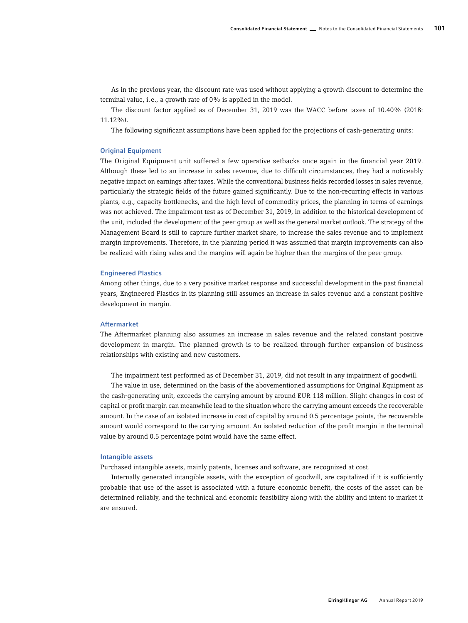As in the previous year, the discount rate was used without applying a growth discount to determine the terminal value, i.e., a growth rate of 0% is applied in the model.

The discount factor applied as of December 31, 2019 was the WACC before taxes of 10.40% (2018: 11.12%).

The following significant assumptions have been applied for the projections of cash-generating units:

#### Original Equipment

The Original Equipment unit suffered a few operative setbacks once again in the financial year 2019. Although these led to an increase in sales revenue, due to difficult circumstances, they had a noticeably negative impact on earnings after taxes. While the conventional business fields recorded losses in sales revenue, particularly the strategic fields of the future gained significantly. Due to the non-recurring effects in various plants, e.g., capacity bottlenecks, and the high level of commodity prices, the planning in terms of earnings was not achieved. The impairment test as of December 31, 2019, in addition to the historical development of the unit, included the development of the peer group as well as the general market outlook. The strategy of the Management Board is still to capture further market share, to increase the sales revenue and to implement margin improvements. Therefore, in the planning period it was assumed that margin improvements can also be realized with rising sales and the margins will again be higher than the margins of the peer group.

#### Engineered Plastics

Among other things, due to a very positive market response and successful development in the past financial years, Engineered Plastics in its planning still assumes an increase in sales revenue and a constant positive development in margin.

#### Aftermarket

The Aftermarket planning also assumes an increase in sales revenue and the related constant positive development in margin. The planned growth is to be realized through further expansion of business relationships with existing and new customers.

The impairment test performed as of December 31, 2019, did not result in any impairment of goodwill.

The value in use, determined on the basis of the abovementioned assumptions for Original Equipment as the cash-generating unit, exceeds the carrying amount by around EUR 118 million. Slight changes in cost of capital or profit margin can meanwhile lead to the situation where the carrying amount exceeds the recoverable amount. In the case of an isolated increase in cost of capital by around 0.5 percentage points, the recoverable amount would correspond to the carrying amount. An isolated reduction of the profit margin in the terminal value by around 0.5 percentage point would have the same effect.

#### Intangible assets

Purchased intangible assets, mainly patents, licenses and software, are recognized at cost.

Internally generated intangible assets, with the exception of goodwill, are capitalized if it is sufficiently probable that use of the asset is associated with a future economic benefit, the costs of the asset can be determined reliably, and the technical and economic feasibility along with the ability and intent to market it are ensured.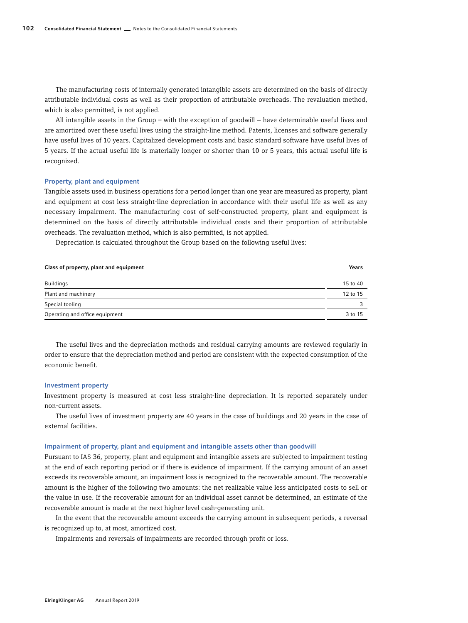The manufacturing costs of internally generated intangible assets are determined on the basis of directly attributable individual costs as well as their proportion of attributable overheads. The revaluation method, which is also permitted, is not applied.

All intangible assets in the Group – with the exception of goodwill − have determinable useful lives and are amortized over these useful lives using the straight-line method. Patents, licenses and software generally have useful lives of 10 years. Capitalized development costs and basic standard software have useful lives of 5 years. If the actual useful life is materially longer or shorter than 10 or 5 years, this actual useful life is recognized.

#### Property, plant and equipment

Tangible assets used in business operations for a period longer than one year are measured as property, plant and equipment at cost less straight-line depreciation in accordance with their useful life as well as any necessary impairment. The manufacturing cost of self-constructed property, plant and equipment is determined on the basis of directly attributable individual costs and their proportion of attributable overheads. The revaluation method, which is also permitted, is not applied.

Depreciation is calculated throughout the Group based on the following useful lives:

| Class of property, plant and equipment | Years    |
|----------------------------------------|----------|
| <b>Buildings</b>                       | 15 to 40 |
| Plant and machinery                    | 12 to 15 |
| Special tooling                        | 3        |
| Operating and office equipment         | 3 to 15  |

The useful lives and the depreciation methods and residual carrying amounts are reviewed regularly in order to ensure that the depreciation method and period are consistent with the expected consumption of the economic benefit.

#### Investment property

Investment property is measured at cost less straight-line depreciation. It is reported separately under non-current assets.

The useful lives of investment property are 40 years in the case of buildings and 20 years in the case of external facilities.

#### Impairment of property, plant and equipment and intangible assets other than goodwill

Pursuant to IAS 36, property, plant and equipment and intangible assets are subjected to impairment testing at the end of each reporting period or if there is evidence of impairment. If the carrying amount of an asset exceeds its recoverable amount, an impairment loss is recognized to the recoverable amount. The recoverable amount is the higher of the following two amounts: the net realizable value less anticipated costs to sell or the value in use. If the recoverable amount for an individual asset cannot be determined, an estimate of the recoverable amount is made at the next higher level cash-generating unit.

In the event that the recoverable amount exceeds the carrying amount in subsequent periods, a reversal is recognized up to, at most, amortized cost.

Impairments and reversals of impairments are recorded through profit or loss.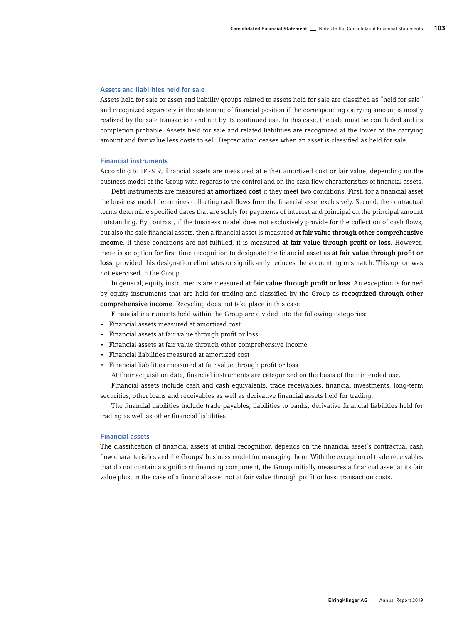#### Assets and liabilities held for sale

Assets held for sale or asset and liability groups related to assets held for sale are classified as "held for sale" and recognized separately in the statement of financial position if the corresponding carrying amount is mostly realized by the sale transaction and not by its continued use. In this case, the sale must be concluded and its completion probable. Assets held for sale and related liabilities are recognized at the lower of the carrying amount and fair value less costs to sell. Depreciation ceases when an asset is classified as held for sale.

#### Financial instruments

According to IFRS 9, financial assets are measured at either amortized cost or fair value, depending on the business model of the Group with regards to the control and on the cash flow characteristics of financial assets.

Debt instruments are measured at amortized cost if they meet two conditions. First, for a financial asset the business model determines collecting cash flows from the financial asset exclusively. Second, the contractual terms determine specified dates that are solely for payments of interest and principal on the principal amount outstanding. By contrast, if the business model does not exclusively provide for the collection of cash flows, but also the sale financial assets, then a financial asset is measured at fair value through other comprehensive income. If these conditions are not fulfilled, it is measured at fair value through profit or loss. However, there is an option for first-time recognition to designate the financial asset as at fair value through profit or loss, provided this designation eliminates or significantly reduces the accounting mismatch. This option was not exercised in the Group.

In general, equity instruments are measured at fair value through profit or loss. An exception is formed by equity instruments that are held for trading and classified by the Group as recognized through other comprehensive income. Recycling does not take place in this case.

Financial instruments held within the Group are divided into the following categories:

- Financial assets measured at amortized cost
- Financial assets at fair value through profit or loss
- Financial assets at fair value through other comprehensive income
- Financial liabilities measured at amortized cost
- Financial liabilities measured at fair value through profit or loss

At their acquisition date, financial instruments are categorized on the basis of their intended use.

Financial assets include cash and cash equivalents, trade receivables, financial investments, long-term securities, other loans and receivables as well as derivative financial assets held for trading.

The financial liabilities include trade payables, liabilities to banks, derivative financial liabilities held for trading as well as other financial liabilities.

#### Financial assets

The classification of financial assets at initial recognition depends on the financial asset's contractual cash flow characteristics and the Groups' business model for managing them. With the exception of trade receivables that do not contain a significant financing component, the Group initially measures a financial asset at its fair value plus, in the case of a financial asset not at fair value through profit or loss, transaction costs.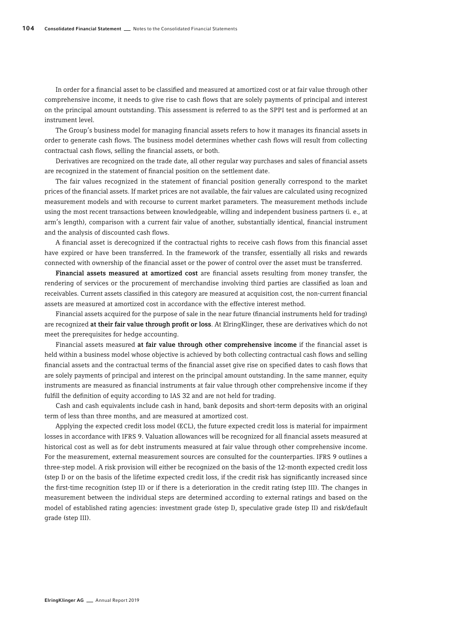In order for a financial asset to be classified and measured at amortized cost or at fair value through other comprehensive income, it needs to give rise to cash flows that are solely payments of principal and interest on the principal amount outstanding. This assessment is referred to as the SPPI test and is performed at an instrument level.

The Group's business model for managing financial assets refers to how it manages its financial assets in order to generate cash flows. The business model determines whether cash flows will result from collecting contractual cash flows, selling the financial assets, or both.

Derivatives are recognized on the trade date, all other regular way purchases and sales of financial assets are recognized in the statement of financial position on the settlement date.

The fair values recognized in the statement of financial position generally correspond to the market prices of the financial assets. If market prices are not available, the fair values are calculated using recognized measurement models and with recourse to current market parameters. The measurement methods include using the most recent transactions between knowledgeable, willing and independent business partners (i. e., at arm's length), comparison with a current fair value of another, substantially identical, financial instrument and the analysis of discounted cash flows.

A financial asset is derecognized if the contractual rights to receive cash flows from this financial asset have expired or have been transferred. In the framework of the transfer, essentially all risks and rewards connected with ownership of the financial asset or the power of control over the asset must be transferred.

Financial assets measured at amortized cost are financial assets resulting from money transfer, the rendering of services or the procurement of merchandise involving third parties are classified as loan and receivables. Current assets classified in this category are measured at acquisition cost, the non-current financial assets are measured at amortized cost in accordance with the effective interest method.

Financial assets acquired for the purpose of sale in the near future (financial instruments held for trading) are recognized at their fair value through profit or loss. At ElringKlinger, these are derivatives which do not meet the prerequisites for hedge accounting.

Financial assets measured at fair value through other comprehensive income if the financial asset is held within a business model whose objective is achieved by both collecting contractual cash flows and selling financial assets and the contractual terms of the financial asset give rise on specified dates to cash flows that are solely payments of principal and interest on the principal amount outstanding. In the same manner, equity instruments are measured as financial instruments at fair value through other comprehensive income if they fulfill the definition of equity according to IAS 32 and are not held for trading.

Cash and cash equivalents include cash in hand, bank deposits and short-term deposits with an original term of less than three months, and are measured at amortized cost.

Applying the expected credit loss model (ECL), the future expected credit loss is material for impairment losses in accordance with IFRS 9. Valuation allowances will be recognized for all financial assets measured at historical cost as well as for debt instruments measured at fair value through other comprehensive income. For the measurement, external measurement sources are consulted for the counterparties. IFRS 9 outlines a three-step model. A risk provision will either be recognized on the basis of the 12-month expected credit loss (step I) or on the basis of the lifetime expected credit loss, if the credit risk has significantly increased since the first-time recognition (step II) or if there is a deterioration in the credit rating (step III). The changes in measurement between the individual steps are determined according to external ratings and based on the model of established rating agencies: investment grade (step I), speculative grade (step II) and risk/default grade (step III).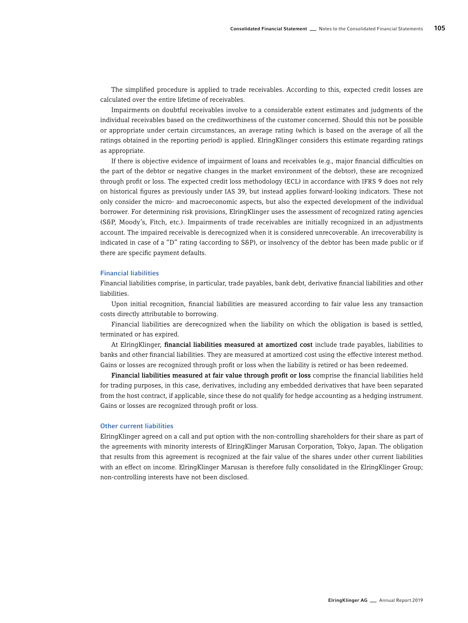The simplified procedure is applied to trade receivables. According to this, expected credit losses are calculated over the entire lifetime of receivables.

Impairments on doubtful receivables involve to a considerable extent estimates and judgments of the individual receivables based on the creditworthiness of the customer concerned. Should this not be possible or appropriate under certain circumstances, an average rating (which is based on the average of all the ratings obtained in the reporting period) is applied. ElringKlinger considers this estimate regarding ratings as appropriate.

If there is objective evidence of impairment of loans and receivables (e.g., major financial difficulties on the part of the debtor or negative changes in the market environment of the debtor), these are recognized through profit or loss. The expected credit loss methodology (ECL) in accordance with IFRS 9 does not rely on historical figures as previously under IAS 39, but instead applies forward-looking indicators. These not only consider the micro- and macroeconomic aspects, but also the expected development of the individual borrower. For determining risk provisions, ElringKlinger uses the assessment of recognized rating agencies (S&P, Moody's, Fitch, etc.). Impairments of trade receivables are initially recognized in an adjustments account. The impaired receivable is derecognized when it is considered unrecoverable. An irrecoverability is indicated in case of a "D" rating (according to S&P), or insolvency of the debtor has been made public or if there are specific payment defaults.

#### Financial liabilities

Financial liabilities comprise, in particular, trade payables, bank debt, derivative financial liabilities and other liabilities.

Upon initial recognition, financial liabilities are measured according to fair value less any transaction costs directly attributable to borrowing.

Financial liabilities are derecognized when the liability on which the obligation is based is settled, terminated or has expired.

At ElringKlinger, financial liabilities measured at amortized cost include trade payables, liabilities to banks and other financial liabilities. They are measured at amortized cost using the effective interest method. Gains or losses are recognized through profit or loss when the liability is retired or has been redeemed.

Financial liabilities measured at fair value through profit or loss comprise the financial liabilities held for trading purposes, in this case, derivatives, including any embedded derivatives that have been separated from the host contract, if applicable, since these do not qualify for hedge accounting as a hedging instrument. Gains or losses are recognized through profit or loss.

#### Other current liabilities

ElringKlinger agreed on a call and put option with the non-controlling shareholders for their share as part of the agreements with minority interests of ElringKlinger Marusan Corporation, Tokyo, Japan. The obligation that results from this agreement is recognized at the fair value of the shares under other current liabilities with an effect on income. ElringKlinger Marusan is therefore fully consolidated in the ElringKlinger Group; non-controlling interests have not been disclosed.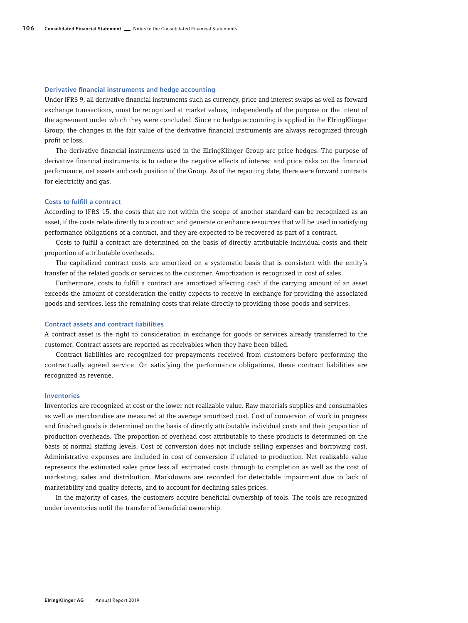#### Derivative financial instruments and hedge accounting

Under IFRS 9, all derivative financial instruments such as currency, price and interest swaps as well as forward exchange transactions, must be recognized at market values, independently of the purpose or the intent of the agreement under which they were concluded. Since no hedge accounting is applied in the ElringKlinger Group, the changes in the fair value of the derivative financial instruments are always recognized through profit or loss.

The derivative financial instruments used in the ElringKlinger Group are price hedges. The purpose of derivative financial instruments is to reduce the negative effects of interest and price risks on the financial performance, net assets and cash position of the Group. As of the reporting date, there were forward contracts for electricity and gas.

#### Costs to fulfill a contract

According to IFRS 15, the costs that are not within the scope of another standard can be recognized as an asset, if the costs relate directly to a contract and generate or enhance resources that will be used in satisfying performance obligations of a contract, and they are expected to be recovered as part of a contract.

Costs to fulfill a contract are determined on the basis of directly attributable individual costs and their proportion of attributable overheads.

The capitalized contract costs are amortized on a systematic basis that is consistent with the entity's transfer of the related goods or services to the customer. Amortization is recognized in cost of sales.

Furthermore, costs to fulfill a contract are amortized affecting cash if the carrying amount of an asset exceeds the amount of consideration the entity expects to receive in exchange for providing the associated goods and services, less the remaining costs that relate directly to providing those goods and services.

#### Contract assets and contract liabilities

A contract asset is the right to consideration in exchange for goods or services already transferred to the customer. Contract assets are reported as receivables when they have been billed.

Contract liabilities are recognized for prepayments received from customers before performing the contractually agreed service. On satisfying the performance obligations, these contract liabilities are recognized as revenue.

#### Inventories

Inventories are recognized at cost or the lower net realizable value. Raw materials supplies and consumables as well as merchandise are measured at the average amortized cost. Cost of conversion of work in progress and finished goods is determined on the basis of directly attributable individual costs and their proportion of production overheads. The proportion of overhead cost attributable to these products is determined on the basis of normal staffing levels. Cost of conversion does not include selling expenses and borrowing cost. Administrative expenses are included in cost of conversion if related to production. Net realizable value represents the estimated sales price less all estimated costs through to completion as well as the cost of marketing, sales and distribution. Markdowns are recorded for detectable impairment due to lack of marketability and quality defects, and to account for declining sales prices.

In the majority of cases, the customers acquire beneficial ownership of tools. The tools are recognized under inventories until the transfer of beneficial ownership.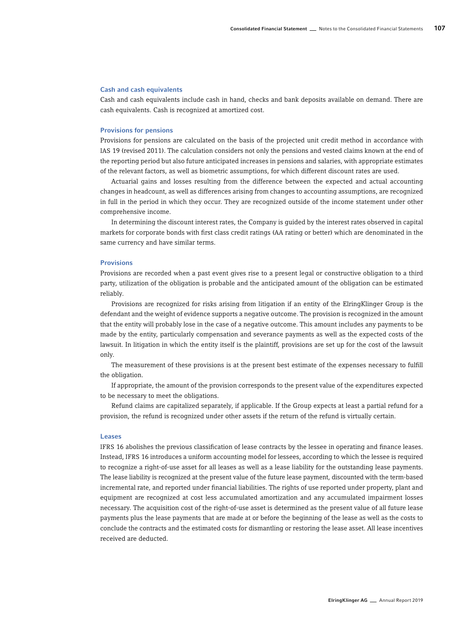#### Cash and cash equivalents

Cash and cash equivalents include cash in hand, checks and bank deposits available on demand. There are cash equivalents. Cash is recognized at amortized cost.

#### Provisions for pensions

Provisions for pensions are calculated on the basis of the projected unit credit method in accordance with IAS 19 (revised 2011). The calculation considers not only the pensions and vested claims known at the end of the reporting period but also future anticipated increases in pensions and salaries, with appropriate estimates of the relevant factors, as well as biometric assumptions, for which different discount rates are used.

Actuarial gains and losses resulting from the difference between the expected and actual accounting changes in headcount, as well as differences arising from changes to accounting assumptions, are recognized in full in the period in which they occur. They are recognized outside of the income statement under other comprehensive income.

In determining the discount interest rates, the Company is guided by the interest rates observed in capital markets for corporate bonds with first class credit ratings (AA rating or better) which are denominated in the same currency and have similar terms.

#### Provisions

Provisions are recorded when a past event gives rise to a present legal or constructive obligation to a third party, utilization of the obligation is probable and the anticipated amount of the obligation can be estimated reliably.

Provisions are recognized for risks arising from litigation if an entity of the ElringKlinger Group is the defendant and the weight of evidence supports a negative outcome. The provision is recognized in the amount that the entity will probably lose in the case of a negative outcome. This amount includes any payments to be made by the entity, particularly compensation and severance payments as well as the expected costs of the lawsuit. In litigation in which the entity itself is the plaintiff, provisions are set up for the cost of the lawsuit only.

The measurement of these provisions is at the present best estimate of the expenses necessary to fulfill the obligation.

If appropriate, the amount of the provision corresponds to the present value of the expenditures expected to be necessary to meet the obligations.

Refund claims are capitalized separately, if applicable. If the Group expects at least a partial refund for a provision, the refund is recognized under other assets if the return of the refund is virtually certain.

#### Leases

IFRS 16 abolishes the previous classification of lease contracts by the lessee in operating and finance leases. Instead, IFRS 16 introduces a uniform accounting model for lessees, according to which the lessee is required to recognize a right-of-use asset for all leases as well as a lease liability for the outstanding lease payments. The lease liability is recognized at the present value of the future lease payment, discounted with the term-based incremental rate, and reported under financial liabilities. The rights of use reported under property, plant and equipment are recognized at cost less accumulated amortization and any accumulated impairment losses necessary. The acquisition cost of the right-of-use asset is determined as the present value of all future lease payments plus the lease payments that are made at or before the beginning of the lease as well as the costs to conclude the contracts and the estimated costs for dismantling or restoring the lease asset. All lease incentives received are deducted.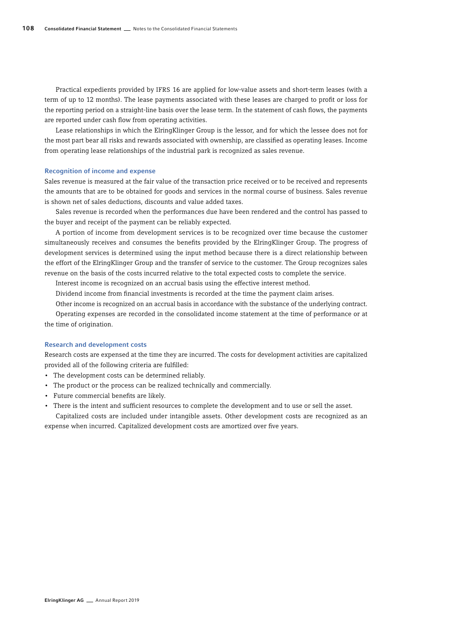Practical expedients provided by IFRS 16 are applied for low-value assets and short-term leases (with a term of up to 12 months). The lease payments associated with these leases are charged to profit or loss for the reporting period on a straight-line basis over the lease term. In the statement of cash flows, the payments are reported under cash flow from operating activities.

Lease relationships in which the ElringKlinger Group is the lessor, and for which the lessee does not for the most part bear all risks and rewards associated with ownership, are classified as operating leases. Income from operating lease relationships of the industrial park is recognized as sales revenue.

#### Recognition of income and expense

Sales revenue is measured at the fair value of the transaction price received or to be received and represents the amounts that are to be obtained for goods and services in the normal course of business. Sales revenue is shown net of sales deductions, discounts and value added taxes.

Sales revenue is recorded when the performances due have been rendered and the control has passed to the buyer and receipt of the payment can be reliably expected.

A portion of income from development services is to be recognized over time because the customer simultaneously receives and consumes the benefits provided by the ElringKlinger Group. The progress of development services is determined using the input method because there is a direct relationship between the effort of the ElringKlinger Group and the transfer of service to the customer. The Group recognizes sales revenue on the basis of the costs incurred relative to the total expected costs to complete the service.

Interest income is recognized on an accrual basis using the effective interest method.

Dividend income from financial investments is recorded at the time the payment claim arises.

Other income is recognized on an accrual basis in accordance with the substance of the underlying contract.

Operating expenses are recorded in the consolidated income statement at the time of performance or at the time of origination.

#### Research and development costs

Research costs are expensed at the time they are incurred. The costs for development activities are capitalized provided all of the following criteria are fulfilled:

- The development costs can be determined reliably.
- The product or the process can be realized technically and commercially.
- Future commercial benefits are likely.
- There is the intent and sufficient resources to complete the development and to use or sell the asset.

Capitalized costs are included under intangible assets. Other development costs are recognized as an expense when incurred. Capitalized development costs are amortized over five years.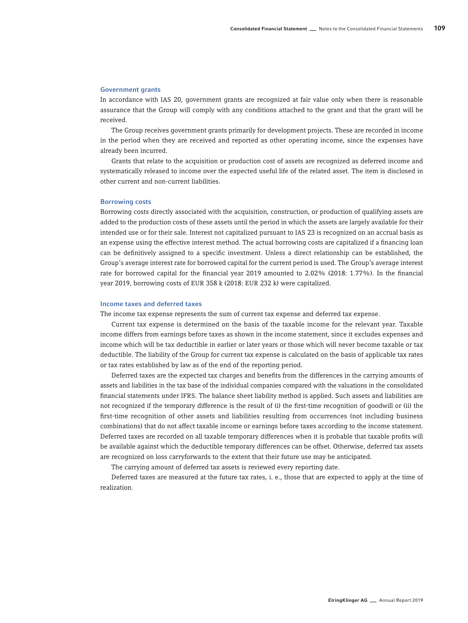#### Government grants

In accordance with IAS 20, government grants are recognized at fair value only when there is reasonable assurance that the Group will comply with any conditions attached to the grant and that the grant will be received.

The Group receives government grants primarily for development projects. These are recorded in income in the period when they are received and reported as other operating income, since the expenses have already been incurred.

Grants that relate to the acquisition or production cost of assets are recognized as deferred income and systematically released to income over the expected useful life of the related asset. The item is disclosed in other current and non-current liabilities.

#### Borrowing costs

Borrowing costs directly associated with the acquisition, construction, or production of qualifying assets are added to the production costs of these assets until the period in which the assets are largely available for their intended use or for their sale. Interest not capitalized pursuant to IAS 23 is recognized on an accrual basis as an expense using the effective interest method. The actual borrowing costs are capitalized if a financing loan can be definitively assigned to a specific investment. Unless a direct relationship can be established, the Group's average interest rate for borrowed capital for the current period is used. The Group's average interest rate for borrowed capital for the financial year 2019 amounted to 2.02% (2018: 1.77%). In the financial year 2019, borrowing costs of EUR 358 k (2018: EUR 232 k) were capitalized.

#### Income taxes and deferred taxes

The income tax expense represents the sum of current tax expense and deferred tax expense.

Current tax expense is determined on the basis of the taxable income for the relevant year. Taxable income differs from earnings before taxes as shown in the income statement, since it excludes expenses and income which will be tax deductible in earlier or later years or those which will never become taxable or tax deductible. The liability of the Group for current tax expense is calculated on the basis of applicable tax rates or tax rates established by law as of the end of the reporting period.

Deferred taxes are the expected tax charges and benefits from the differences in the carrying amounts of assets and liabilities in the tax base of the individual companies compared with the valuations in the consolidated financial statements under IFRS. The balance sheet liability method is applied. Such assets and liabilities are not recognized if the temporary difference is the result of (i) the first-time recognition of goodwill or (ii) the first-time recognition of other assets and liabilities resulting from occurrences (not including business combinations) that do not affect taxable income or earnings before taxes according to the income statement. Deferred taxes are recorded on all taxable temporary differences when it is probable that taxable profits will be available against which the deductible temporary differences can be offset. Otherwise, deferred tax assets are recognized on loss carryforwards to the extent that their future use may be anticipated.

The carrying amount of deferred tax assets is reviewed every reporting date.

Deferred taxes are measured at the future tax rates, i. e., those that are expected to apply at the time of realization.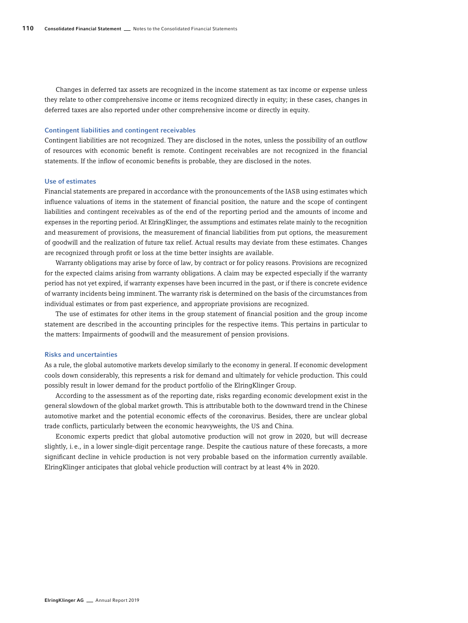Changes in deferred tax assets are recognized in the income statement as tax income or expense unless they relate to other comprehensive income or items recognized directly in equity; in these cases, changes in deferred taxes are also reported under other comprehensive income or directly in equity.

#### Contingent liabilities and contingent receivables

Contingent liabilities are not recognized. They are disclosed in the notes, unless the possibility of an outflow of resources with economic benefit is remote. Contingent receivables are not recognized in the financial statements. If the inflow of economic benefits is probable, they are disclosed in the notes.

#### Use of estimates

Financial statements are prepared in accordance with the pronouncements of the IASB using estimates which influence valuations of items in the statement of financial position, the nature and the scope of contingent liabilities and contingent receivables as of the end of the reporting period and the amounts of income and expenses in the reporting period. At ElringKlinger, the assumptions and estimates relate mainly to the recognition and measurement of provisions, the measurement of financial liabilities from put options, the measurement of goodwill and the realization of future tax relief. Actual results may deviate from these estimates. Changes are recognized through profit or loss at the time better insights are available.

Warranty obligations may arise by force of law, by contract or for policy reasons. Provisions are recognized for the expected claims arising from warranty obligations. A claim may be expected especially if the warranty period has not yet expired, if warranty expenses have been incurred in the past, or if there is concrete evidence of warranty incidents being imminent. The warranty risk is determined on the basis of the circumstances from individual estimates or from past experience, and appropriate provisions are recognized.

The use of estimates for other items in the group statement of financial position and the group income statement are described in the accounting principles for the respective items. This pertains in particular to the matters: Impairments of goodwill and the measurement of pension provisions.

#### Risks and uncertainties

As a rule, the global automotive markets develop similarly to the economy in general. If economic development cools down considerably, this represents a risk for demand and ultimately for vehicle production. This could possibly result in lower demand for the product portfolio of the ElringKlinger Group.

According to the assessment as of the reporting date, risks regarding economic development exist in the general slowdown of the global market growth. This is attributable both to the downward trend in the Chinese automotive market and the potential economic effects of the coronavirus. Besides, there are unclear global trade conflicts, particularly between the economic heavyweights, the US and China.

Economic experts predict that global automotive production will not grow in 2020, but will decrease slightly, i.e., in a lower single-digit percentage range. Despite the cautious nature of these forecasts, a more significant decline in vehicle production is not very probable based on the information currently available. ElringKlinger anticipates that global vehicle production will contract by at least 4% in 2020.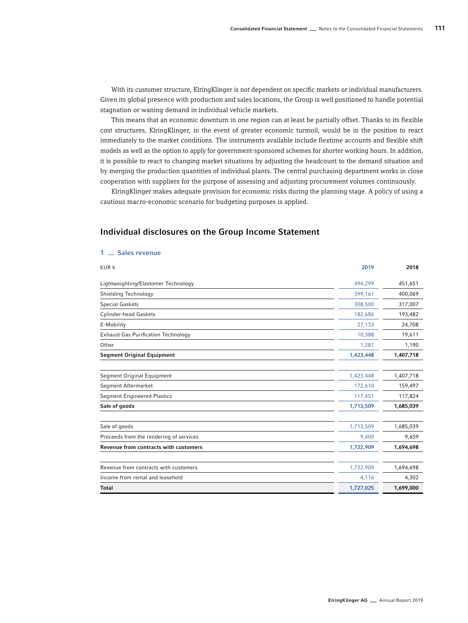With its customer structure, ElringKlinger is not dependent on specific markets or individual manufacturers. Given its global presence with production and sales locations, the Group is well positioned to handle potential stagnation or waning demand in individual vehicle markets.

This means that an economic downturn in one region can at least be partially offset. Thanks to its flexible cost structures, ElringKlinger, in the event of greater economic turmoil, would be in the position to react immediately to the market conditions. The instruments available include flextime accounts and flexible shift models as well as the option to apply for government-sponsored schemes for shorter working hours. In addition, it is possible to react to changing market situations by adjusting the headcount to the demand situation and by merging the production quantities of individual plants. The central purchasing department works in close cooperation with suppliers for the purpose of assessing and adjusting procurement volumes continuously.

ElringKlinger makes adequate provision for economic risks during the planning stage. A policy of using a cautious macro-economic scenario for budgeting purposes is applied.

# EUR k 2019 2018 Lightweighting/Elastomer Technology **451,651** and the control of the control of the control of the control of the control of the control of the control of the control of the control of the control of the control of the con Shielding Technology **399,161** 400,069 Special Gaskets 308,500 317,007 Cylinder-head Gaskets 182,686 193,482 E-Mobility 27,133 24,708 Exhaust Gas Purification Technology 10,388 19,611 Other 1,281 1,190 Segment Original Equipment 1,423,448 1,407,718 Segment Original Equipment 1,423,448 1,407,718 Segment Aftermarket 172,610 159,497 Segment Engineered Plastics 117,824 117,824 Sale of goods 1,713,509 1,685,039 Sale of goods 1,713,509 1,685,039 Proceeds from the rendering of services and the rendering of services and the rendering of services and the services of  $9,400$  9,659 Revenue from contracts with customers 1,722,909 1,694,698 Revenue from contracts with customers and the contracts with customers and the contracts with customers and the contracts with customers and the contracts with customers and the contracts with customers and the contracts w Income from rental and leasehold **4,106** 4,302 Total 1,727,025 1,699,000

#### Individual disclosures on the Group Income Statement

1 <sub>Sales</sub> revenue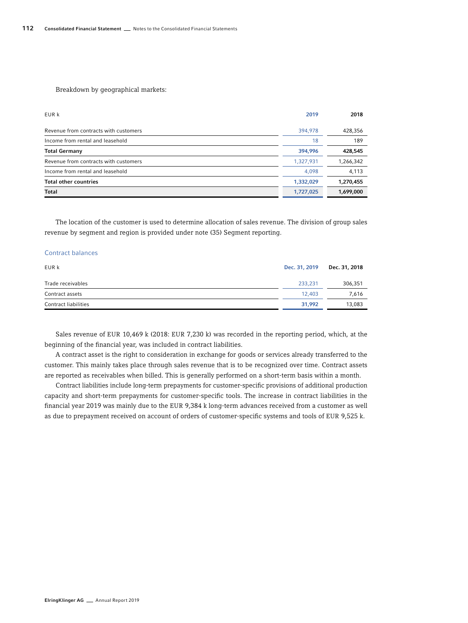Breakdown by geographical markets:

| EUR k                                 | 2019      | 2018      |
|---------------------------------------|-----------|-----------|
| Revenue from contracts with customers | 394,978   | 428,356   |
| Income from rental and leasehold      | 18        | 189       |
| <b>Total Germany</b>                  | 394,996   | 428,545   |
| Revenue from contracts with customers | 1,327,931 | 1,266,342 |
| Income from rental and leasehold      | 4,098     | 4,113     |
| <b>Total other countries</b>          | 1,332,029 | 1,270,455 |
| Total                                 | 1,727,025 | 1,699,000 |

The location of the customer is used to determine allocation of sales revenue. The division of group sales revenue by segment and region is provided under note (35) Segment reporting.

#### Contract balances

| EUR k                | Dec. 31, 2019 | Dec. 31, 2018 |
|----------------------|---------------|---------------|
| Trade receivables    | 233.231       | 306,351       |
| Contract assets      | 12,403        | 7,616         |
| Contract liabilities | 31.992        | 13,083        |

Sales revenue of EUR 10,469 k (2018: EUR 7,230 k) was recorded in the reporting period, which, at the beginning of the financial year, was included in contract liabilities.

A contract asset is the right to consideration in exchange for goods or services already transferred to the customer. This mainly takes place through sales revenue that is to be recognized over time. Contract assets are reported as receivables when billed. This is generally performed on a short-term basis within a month.

Contract liabilities include long-term prepayments for customer-specific provisions of additional production capacity and short-term prepayments for customer-specific tools. The increase in contract liabilities in the financial year 2019 was mainly due to the EUR 9,384 k long-term advances received from a customer as well as due to prepayment received on account of orders of customer-specific systems and tools of EUR 9,525 k.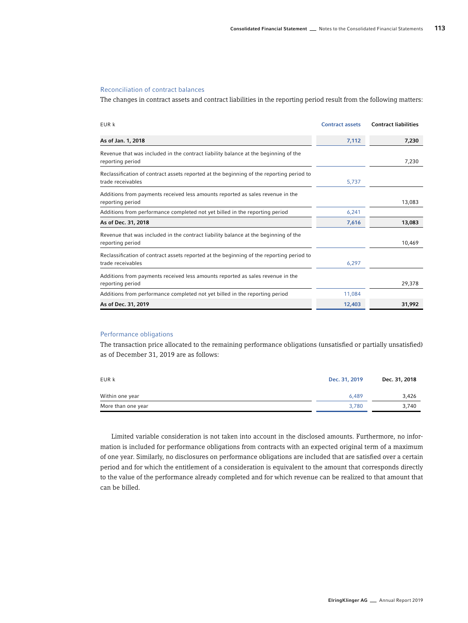#### Reconciliation of contract balances

The changes in contract assets and contract liabilities in the reporting period result from the following matters:

| EUR k                                                                                                         | <b>Contract assets</b> | <b>Contract liabilities</b> |
|---------------------------------------------------------------------------------------------------------------|------------------------|-----------------------------|
| As of Jan. 1, 2018                                                                                            | 7,112                  | 7,230                       |
| Revenue that was included in the contract liability balance at the beginning of the<br>reporting period       |                        | 7.230                       |
| Reclassification of contract assets reported at the beginning of the reporting period to<br>trade receivables | 5,737                  |                             |
| Additions from payments received less amounts reported as sales revenue in the<br>reporting period            |                        | 13,083                      |
| Additions from performance completed not yet billed in the reporting period                                   | 6,241                  |                             |
| As of Dec. 31, 2018                                                                                           | 7,616                  | 13,083                      |
| Revenue that was included in the contract liability balance at the beginning of the<br>reporting period       |                        | 10,469                      |
| Reclassification of contract assets reported at the beginning of the reporting period to<br>trade receivables | 6,297                  |                             |
| Additions from payments received less amounts reported as sales revenue in the<br>reporting period            |                        | 29,378                      |
| Additions from performance completed not yet billed in the reporting period                                   | 11,084                 |                             |
| As of Dec. 31, 2019                                                                                           | 12,403                 | 31,992                      |

#### Performance obligations

The transaction price allocated to the remaining performance obligations (unsatisfied or partially unsatisfied) as of December 31, 2019 are as follows:

| EUR k              | Dec. 31, 2019 | Dec. 31, 2018 |
|--------------------|---------------|---------------|
| Within one year    | 6.489         | 3,426         |
| More than one year | 3.780         | 3.740         |

Limited variable consideration is not taken into account in the disclosed amounts. Furthermore, no information is included for performance obligations from contracts with an expected original term of a maximum of one year. Similarly, no disclosures on performance obligations are included that are satisfied over a certain period and for which the entitlement of a consideration is equivalent to the amount that corresponds directly to the value of the performance already completed and for which revenue can be realized to that amount that can be billed.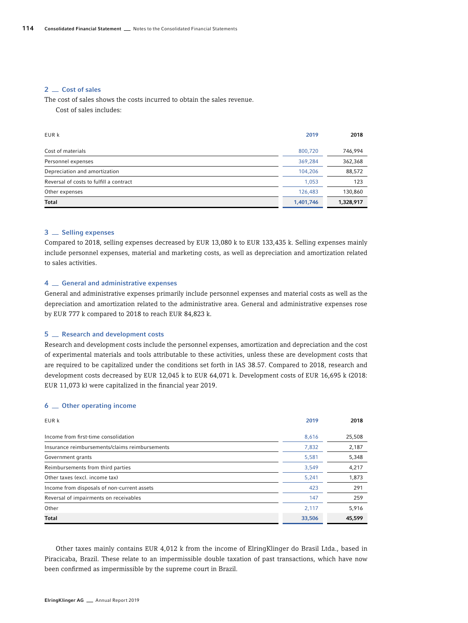#### 2 \_ Cost of sales

The cost of sales shows the costs incurred to obtain the sales revenue.

Cost of sales includes:

| EUR k                                   | 2019      | 2018      |
|-----------------------------------------|-----------|-----------|
| Cost of materials                       | 800,720   | 746,994   |
| Personnel expenses                      | 369,284   | 362,368   |
| Depreciation and amortization           | 104,206   | 88,572    |
| Reversal of costs to fulfill a contract | 1,053     | 123       |
| Other expenses                          | 126,483   | 130,860   |
| <b>Total</b>                            | 1,401,746 | 1,328,917 |

#### 3 <sub>Selling</sub> expenses

Compared to 2018, selling expenses decreased by EUR 13,080 k to EUR 133,435 k. Selling expenses mainly include personnel expenses, material and marketing costs, as well as depreciation and amortization related to sales activities.

#### 4 General and administrative expenses

General and administrative expenses primarily include personnel expenses and material costs as well as the depreciation and amortization related to the administrative area. General and administrative expenses rose by EUR 777 k compared to 2018 to reach EUR 84,823 k.

#### 5 **Research and development costs**

Research and development costs include the personnel expenses, amortization and depreciation and the cost of experimental materials and tools attributable to these activities, unless these are development costs that are required to be capitalized under the conditions set forth in IAS 38.57. Compared to 2018, research and development costs decreased by EUR 12,045 k to EUR 64,071 k. Development costs of EUR 16,695 k (2018: EUR 11,073 k) were capitalized in the financial year 2019.

#### 6 <sub>—</sub> Other operating income

| EUR k                                          | 2019   | 2018   |
|------------------------------------------------|--------|--------|
| Income from first-time consolidation           | 8,616  | 25,508 |
| Insurance reimbursements/claims reimbursements | 7,832  | 2,187  |
| Government grants                              | 5,581  | 5,348  |
| Reimbursements from third parties              | 3,549  | 4,217  |
| Other taxes (excl. income tax)                 | 5,241  | 1,873  |
| Income from disposals of non-current assets    | 423    | 291    |
| Reversal of impairments on receivables         | 147    | 259    |
| Other                                          | 2,117  | 5,916  |
| <b>Total</b>                                   | 33,506 | 45,599 |

Other taxes mainly contains EUR 4,012 k from the income of ElringKlinger do Brasil Ltda., based in Piracicaba, Brazil. These relate to an impermissible double taxation of past transactions, which have now been confirmed as impermissible by the supreme court in Brazil.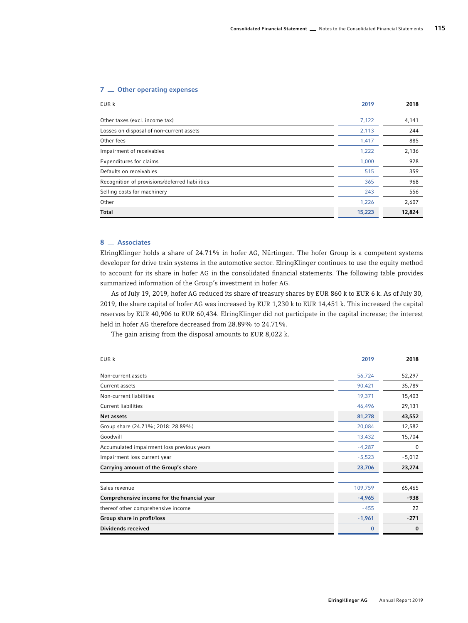#### 7 <sub>—</sub> Other operating expenses

| EUR k                                          | 2019   | 2018   |
|------------------------------------------------|--------|--------|
| Other taxes (excl. income tax)                 | 7,122  | 4,141  |
| Losses on disposal of non-current assets       | 2,113  | 244    |
| Other fees                                     | 1,417  | 885    |
| Impairment of receivables                      | 1,222  | 2,136  |
| <b>Expenditures for claims</b>                 | 1,000  | 928    |
| Defaults on receivables                        | 515    | 359    |
| Recognition of provisions/deferred liabilities | 365    | 968    |
| Selling costs for machinery                    | 243    | 556    |
| Other                                          | 1,226  | 2,607  |
| <b>Total</b>                                   | 15,223 | 12,824 |

# 8 <sub>Associates</sub>

ElringKlinger holds a share of 24.71% in hofer AG, Nürtingen. The hofer Group is a competent systems developer for drive train systems in the automotive sector. ElringKlinger continues to use the equity method to account for its share in hofer AG in the consolidated financial statements. The following table provides summarized information of the Group's investment in hofer AG.

As of July 19, 2019, hofer AG reduced its share of treasury shares by EUR 860 k to EUR 6 k. As of July 30, 2019, the share capital of hofer AG was increased by EUR 1,230 k to EUR 14,451 k. This increased the capital reserves by EUR 40,906 to EUR 60,434. ElringKlinger did not participate in the capital increase; the interest held in hofer AG therefore decreased from 28.89% to 24.71%.

The gain arising from the disposal amounts to EUR 8,022 k.

| EUR k                                       | 2019     | 2018     |
|---------------------------------------------|----------|----------|
| Non-current assets                          | 56,724   | 52,297   |
| Current assets                              | 90,421   | 35,789   |
| Non-current liabilities                     | 19,371   | 15,403   |
| <b>Current liabilities</b>                  | 46,496   | 29,131   |
| <b>Net assets</b>                           | 81,278   | 43,552   |
| Group share (24.71%; 2018: 28.89%)          | 20,084   | 12,582   |
| Goodwill                                    | 13,432   | 15,704   |
| Accumulated impairment loss previous years  | $-4,287$ | 0        |
| Impairment loss current year                | $-5,523$ | $-5,012$ |
| Carrying amount of the Group's share        | 23,706   | 23,274   |
| Sales revenue                               | 109,759  | 65,465   |
| Comprehensive income for the financial year | $-4,965$ | $-938$   |
| thereof other comprehensive income          | $-455$   | 22       |
| Group share in profit/loss                  | $-1,961$ | $-271$   |
| Dividends received                          | $\bf{0}$ | $\bf{0}$ |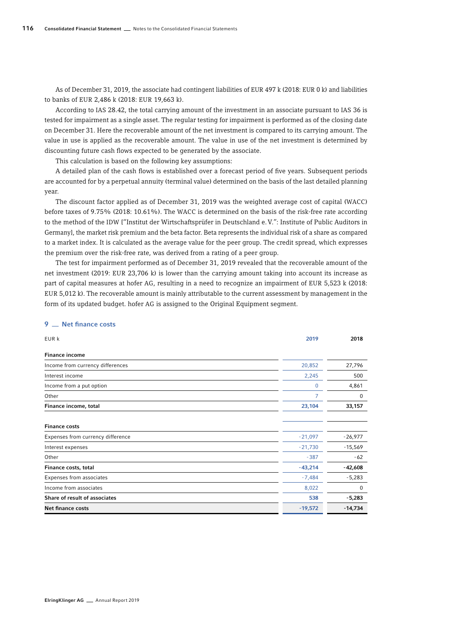As of December 31, 2019, the associate had contingent liabilities of EUR 497 k (2018: EUR 0 k) and liabilities to banks of EUR 2,486 k (2018: EUR 19,663 k).

According to IAS 28.42, the total carrying amount of the investment in an associate pursuant to IAS 36 is tested for impairment as a single asset. The regular testing for impairment is performed as of the closing date on December 31. Here the recoverable amount of the net investment is compared to its carrying amount. The value in use is applied as the recoverable amount. The value in use of the net investment is determined by discounting future cash flows expected to be generated by the associate.

This calculation is based on the following key assumptions:

A detailed plan of the cash flows is established over a forecast period of five years. Subsequent periods are accounted for by a perpetual annuity (terminal value) determined on the basis of the last detailed planning year.

The discount factor applied as of December 31, 2019 was the weighted average cost of capital (WACC) before taxes of 9.75% (2018: 10.61%). The WACC is determined on the basis of the risk-free rate according to the method of the IDW ["Institut der Wirtschaftsprüfer in Deutschland e.V.": Institute of Public Auditors in Germany], the market risk premium and the beta factor. Beta represents the individual risk of a share as compared to a market index. It is calculated as the average value for the peer group. The credit spread, which expresses the premium over the risk-free rate, was derived from a rating of a peer group.

The test for impairment performed as of December 31, 2019 revealed that the recoverable amount of the net investment (2019: EUR 23,706 k) is lower than the carrying amount taking into account its increase as part of capital measures at hofer AG, resulting in a need to recognize an impairment of EUR 5,523 k (2018: EUR 5,012 k). The recoverable amount is mainly attributable to the current assessment by management in the form of its updated budget. hofer AG is assigned to the Original Equipment segment.

#### 9 **Net finance costs**

| EUR k                             | 2019      | 2018      |
|-----------------------------------|-----------|-----------|
| <b>Finance income</b>             |           |           |
| Income from currency differences  | 20,852    | 27,796    |
| Interest income                   | 2,245     | 500       |
| Income from a put option          | 0         | 4,861     |
| Other                             | 7         | 0         |
| Finance income, total             | 23,104    | 33,157    |
| <b>Finance costs</b>              |           |           |
| Expenses from currency difference | $-21,097$ | $-26,977$ |
| Interest expenses                 | $-21,730$ | $-15,569$ |
| Other                             | $-387$    | $-62$     |
| Finance costs, total              | $-43,214$ | $-42,608$ |
| Expenses from associates          | $-7,484$  | $-5,283$  |
| Income from associates            | 8,022     | 0         |
| Share of result of associates     | 538       | $-5,283$  |
| Net finance costs                 | $-19,572$ | $-14,734$ |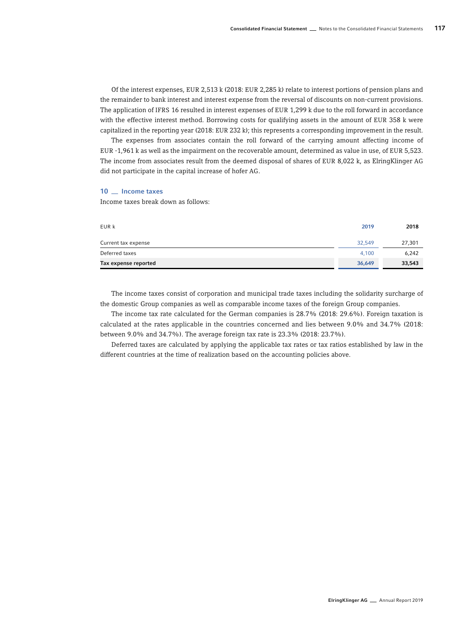Of the interest expenses, EUR 2,513 k (2018: EUR 2,285 k) relate to interest portions of pension plans and the remainder to bank interest and interest expense from the reversal of discounts on non-current provisions. The application of IFRS 16 resulted in interest expenses of EUR 1,299 k due to the roll forward in accordance with the effective interest method. Borrowing costs for qualifying assets in the amount of EUR 358 k were capitalized in the reporting year (2018: EUR 232 k); this represents a corresponding improvement in the result.

The expenses from associates contain the roll forward of the carrying amount affecting income of EUR -1,961 k as well as the impairment on the recoverable amount, determined as value in use, of EUR 5,523. The income from associates result from the deemed disposal of shares of EUR 8,022 k, as ElringKlinger AG did not participate in the capital increase of hofer AG.

#### 10 <sub>-</sub> Income taxes

Income taxes break down as follows:

| EUR k                | 2019   | 2018   |
|----------------------|--------|--------|
| Current tax expense  | 32.549 | 27,301 |
| Deferred taxes       | 4.100  | 6,242  |
| Tax expense reported | 36,649 | 33,543 |

The income taxes consist of corporation and municipal trade taxes including the solidarity surcharge of the domestic Group companies as well as comparable income taxes of the foreign Group companies.

The income tax rate calculated for the German companies is 28.7% (2018: 29.6%). Foreign taxation is calculated at the rates applicable in the countries concerned and lies between 9.0% and 34.7% (2018: between 9.0% and 34.7%). The average foreign tax rate is 23.3% (2018: 23.7%).

Deferred taxes are calculated by applying the applicable tax rates or tax ratios established by law in the different countries at the time of realization based on the accounting policies above.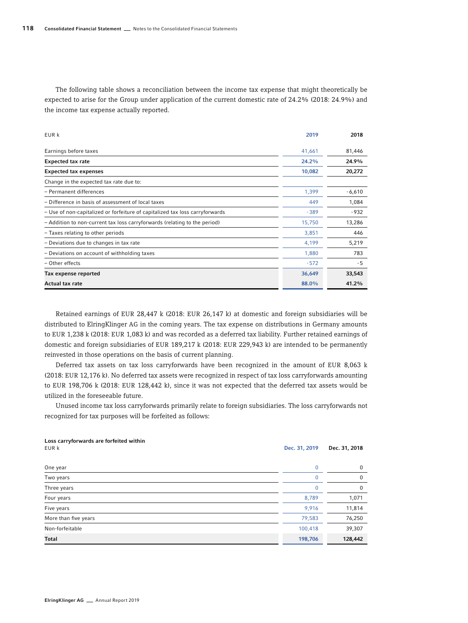The following table shows a reconciliation between the income tax expense that might theoretically be expected to arise for the Group under application of the current domestic rate of 24.2% (2018: 24.9%) and the income tax expense actually reported.

| EUR k                                                                        | 2019   | 2018     |
|------------------------------------------------------------------------------|--------|----------|
| Earnings before taxes                                                        | 41,661 | 81,446   |
| <b>Expected tax rate</b>                                                     | 24.2%  | 24.9%    |
| <b>Expected tax expenses</b>                                                 | 10,082 | 20,272   |
| Change in the expected tax rate due to:                                      |        |          |
| - Permanent differences                                                      | 1,399  | $-6,610$ |
| - Difference in basis of assessment of local taxes                           | 449    | 1,084    |
| - Use of non-capitalized or forfeiture of capitalized tax loss carryforwards | $-389$ | $-932$   |
| - Addition to non-current tax loss carryforwards (relating to the period)    | 15,750 | 13,286   |
| - Taxes relating to other periods                                            | 3,851  | 446      |
| - Deviations due to changes in tax rate                                      | 4,199  | 5,219    |
| - Deviations on account of withholding taxes                                 | 1,880  | 783      |
| - Other effects                                                              | $-572$ | - 5      |
| Tax expense reported                                                         | 36,649 | 33,543   |
| Actual tax rate                                                              | 88.0%  | 41.2%    |

Retained earnings of EUR 28,447 k (2018: EUR 26,147 k) at domestic and foreign subsidiaries will be distributed to ElringKlinger AG in the coming years. The tax expense on distributions in Germany amounts to EUR 1,238 k (2018: EUR 1,083 k) and was recorded as a deferred tax liability. Further retained earnings of domestic and foreign subsidiaries of EUR 189,217 k (2018: EUR 229,943 k) are intended to be permanently reinvested in those operations on the basis of current planning.

Deferred tax assets on tax loss carryforwards have been recognized in the amount of EUR 8,063 k (2018: EUR 12,176 k). No deferred tax assets were recognized in respect of tax loss carryforwards amounting to EUR 198,706 k (2018: EUR 128,442 k), since it was not expected that the deferred tax assets would be utilized in the foreseeable future.

Unused income tax loss carryforwards primarily relate to foreign subsidiaries. The loss carryforwards not recognized for tax purposes will be forfeited as follows:

# Loss carryforwards are forfeited within EUR k Dec. 31, 2018 **Dec. 31, 2018** One year 0 0 Two years 0 0 Three years 0 0 Four years 8,789 1,071 Five years 9,916 11,814 More than five years 79,583 76,250 Non-forfeitable 100,418 39,307 Total 198,706 128,442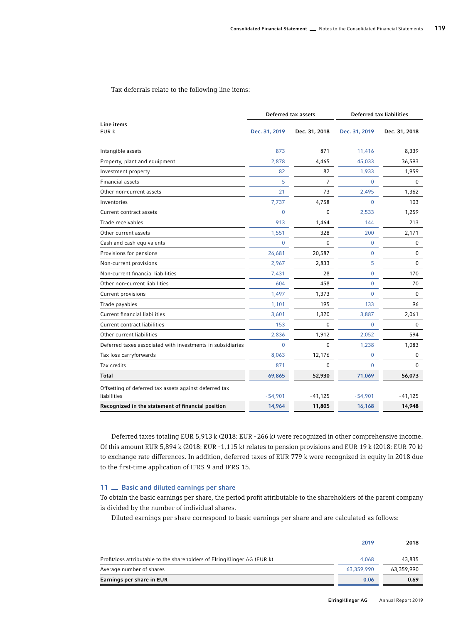Tax deferrals relate to the following line items:

| Deferred tax assets                                                   |                | <b>Deferred tax liabilities</b> |                |               |
|-----------------------------------------------------------------------|----------------|---------------------------------|----------------|---------------|
| Line items<br>EUR k                                                   | Dec. 31, 2019  | Dec. 31, 2018                   | Dec. 31, 2019  | Dec. 31, 2018 |
| Intangible assets                                                     | 873            | 871                             | 11,416         | 8,339         |
| Property, plant and equipment                                         | 2,878          | 4,465                           | 45,033         | 36,593        |
| Investment property                                                   | 82             | 82                              | 1,933          | 1,959         |
| <b>Financial assets</b>                                               | 5              | $\overline{7}$                  | $\mathbf{0}$   | $\Omega$      |
| Other non-current assets                                              | 21             | 73                              | 2,495          | 1,362         |
| Inventories                                                           | 7,737          | 4,758                           | $\Omega$       | 103           |
| Current contract assets                                               | 0              | $\Omega$                        | 2,533          | 1,259         |
| Trade receivables                                                     | 913            | 1,464                           | 144            | 213           |
| Other current assets                                                  | 1,551          | 328                             | 200            | 2,171         |
| Cash and cash equivalents                                             | $\overline{0}$ | $\Omega$                        | 0              | 0             |
| Provisions for pensions                                               | 26,681         | 20,587                          | $\mathbf 0$    | 0             |
| Non-current provisions                                                | 2,967          | 2,833                           | 5              | $\mathbf 0$   |
| Non-current financial liabilities                                     | 7,431          | 28                              | $\Omega$       | 170           |
| Other non-current liabilities                                         | 604            | 458                             | $\overline{0}$ | 70            |
| Current provisions                                                    | 1,497          | 1,373                           | $\Omega$       | $\Omega$      |
| Trade payables                                                        | 1,101          | 195                             | 133            | 96            |
| <b>Current financial liabilities</b>                                  | 3,601          | 1,320                           | 3,887          | 2,061         |
| <b>Current contract liabilities</b>                                   | 153            | 0                               | $\mathbf 0$    | 0             |
| Other current liabilities                                             | 2,836          | 1,912                           | 2,052          | 594           |
| Deferred taxes associated with investments in subsidiaries            | 0              | 0                               | 1,238          | 1,083         |
| Tax loss carryforwards                                                | 8,063          | 12,176                          | $\mathbf{0}$   | $\mathbf 0$   |
| Tax credits                                                           | 871            | 0                               | $\Omega$       | 0             |
| <b>Total</b>                                                          | 69,865         | 52,930                          | 71,069         | 56,073        |
| Offsetting of deferred tax assets against deferred tax<br>liabilities | $-54,901$      | $-41,125$                       | $-54,901$      | $-41,125$     |
| Recognized in the statement of financial position                     | 14,964         | 11,805                          | 16,168         | 14,948        |

Deferred taxes totaling EUR 5,913 k (2018: EUR -266 k) were recognized in other comprehensive income. Of this amount EUR 5,894 k (2018: EUR -1,115 k) relates to pension provisions and EUR 19 k (2018: EUR 70 k) to exchange rate differences. In addition, deferred taxes of EUR 779 k were recognized in equity in 2018 due to the first-time application of IFRS 9 and IFRS 15.

#### 11 **Basic and diluted earnings per share**

To obtain the basic earnings per share, the period profit attributable to the shareholders of the parent company is divided by the number of individual shares.

Diluted earnings per share correspond to basic earnings per share and are calculated as follows:

| Earnings per share in EUR                                                | 0.06       | 0.69       |
|--------------------------------------------------------------------------|------------|------------|
| Average number of shares                                                 | 63.359.990 | 63,359,990 |
| Profit/loss attributable to the shareholders of ElringKlinger AG (EUR k) | 4.068      | 43.835     |
|                                                                          | 2019       | 2018       |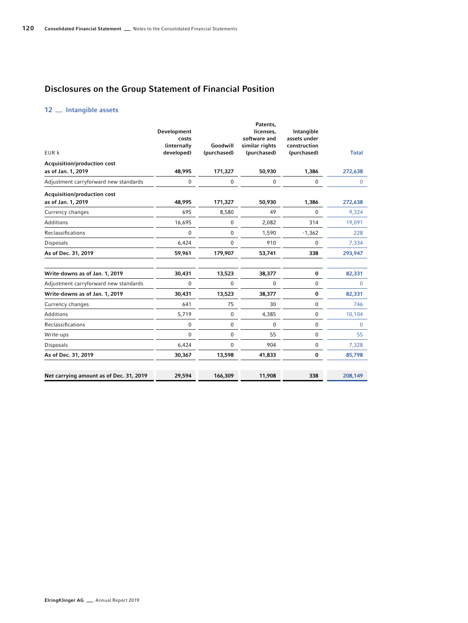# Disclosures on the Group Statement of Financial Position

# 12 \_ Intangible assets

| EUR k                                             | Development<br>costs<br>(internally<br>developed) | Goodwill<br>(purchased) | Patents,<br>licenses,<br>software and<br>similar rights<br>(purchased) | Intangible<br>assets under<br>construction<br>(purchased) | <b>Total</b> |
|---------------------------------------------------|---------------------------------------------------|-------------------------|------------------------------------------------------------------------|-----------------------------------------------------------|--------------|
| Acquisition/production cost                       |                                                   |                         |                                                                        |                                                           |              |
| as of Jan. 1, 2019                                | 48,995                                            | 171,327                 | 50,930                                                                 | 1,386                                                     | 272,638      |
| Adjustment carryforward new standards             | $\mathbf 0$                                       | 0                       | $\mathbf 0$                                                            | 0                                                         | 0            |
| Acquisition/production cost<br>as of Jan. 1, 2019 | 48,995                                            | 171,327                 | 50,930                                                                 | 1,386                                                     | 272,638      |
| Currency changes                                  | 695                                               | 8,580                   | 49                                                                     | 0                                                         | 9,324        |
| <b>Additions</b>                                  | 16,695                                            | 0                       | 2,082                                                                  | 314                                                       | 19,091       |
| Reclassifications                                 | $\mathbf 0$                                       | 0                       | 1,590                                                                  | $-1,362$                                                  | 228          |
| Disposals                                         | 6,424                                             | 0                       | 910                                                                    | 0                                                         | 7,334        |
| As of Dec. 31, 2019                               | 59,961                                            | 179,907                 | 53,741                                                                 | 338                                                       | 293,947      |
| Write-downs as of Jan. 1, 2019                    | 30,431                                            | 13,523                  | 38,377                                                                 | 0                                                         | 82,331       |
| Adjustment carryforward new standards             | 0                                                 | 0                       | 0                                                                      | 0                                                         | 0            |
| Write-downs as of Jan. 1, 2019                    | 30,431                                            | 13,523                  | 38,377                                                                 | 0                                                         | 82,331       |
| Currency changes                                  | 641                                               | 75                      | 30                                                                     | 0                                                         | 746          |
| <b>Additions</b>                                  | 5,719                                             | 0                       | 4,385                                                                  | 0                                                         | 10,104       |
| Reclassifications                                 | $\mathbf 0$                                       | 0                       | $\pmb{0}$                                                              | 0                                                         | 0            |
| Write-ups                                         | $\Omega$                                          | 0                       | 55                                                                     | 0                                                         | 55           |
| Disposals                                         | 6,424                                             | 0                       | 904                                                                    | 0                                                         | 7,328        |
| As of Dec. 31, 2019                               | 30,367                                            | 13,598                  | 41,833                                                                 | 0                                                         | 85,798       |
| Net carrying amount as of Dec. 31, 2019           | 29,594                                            | 166,309                 | 11,908                                                                 | 338                                                       | 208,149      |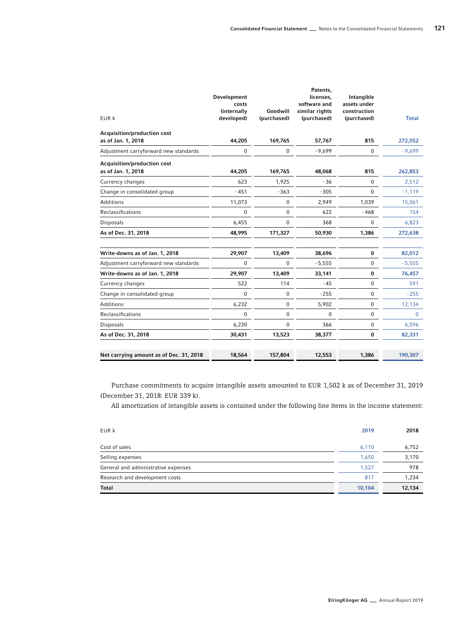| EUR k                                             | Development<br>costs<br>(internally<br>developed) | Goodwill<br>(purchased) | Patents,<br>licenses,<br>software and<br>similar rights<br>(purchased) | Intangible<br>assets under<br>construction<br>(purchased) | <b>Total</b> |
|---------------------------------------------------|---------------------------------------------------|-------------------------|------------------------------------------------------------------------|-----------------------------------------------------------|--------------|
| Acquisition/production cost                       |                                                   |                         |                                                                        |                                                           |              |
| as of Jan. 1, 2018                                | 44,205                                            | 169,765                 | 57,767                                                                 | 815                                                       | 272,552      |
| Adjustment carryforward new standards             | $\bf{0}$                                          | 0                       | $-9,699$                                                               | $\boldsymbol{0}$                                          | $-9,699$     |
| Acquisition/production cost<br>as of Jan. 1, 2018 | 44,205                                            | 169,765                 | 48,068                                                                 | 815                                                       | 262,853      |
| Currency changes                                  | 623                                               | 1,925                   | $-36$                                                                  | $\mathbf 0$                                               | 2,512        |
| Change in consolidated group                      | $-451$                                            | $-363$                  | $-305$                                                                 | $\Omega$                                                  | $-1,119$     |
| Additions                                         | 11,073                                            | 0                       | 2,949                                                                  | 1,039                                                     | 15,061       |
| Reclassifications                                 | $\pmb{0}$                                         | 0                       | 622                                                                    | $-468$                                                    | 154          |
| <b>Disposals</b>                                  | 6,455                                             | $\Omega$                | 368                                                                    | $\Omega$                                                  | 6,823        |
| As of Dec. 31, 2018                               | 48,995                                            | 171,327                 | 50,930                                                                 | 1,386                                                     | 272,638      |
| Write-downs as of Jan. 1, 2018                    | 29,907                                            | 13,409                  | 38,696                                                                 | 0                                                         | 82,012       |
| Adjustment carryforward new standards             | $\mathbf 0$                                       | $\Omega$                | $-5,555$                                                               | $\mathbf 0$                                               | $-5,555$     |
| Write-downs as of Jan. 1, 2018                    | 29,907                                            | 13,409                  | 33,141                                                                 | $\bf{0}$                                                  | 76,457       |
| Currency changes                                  | 522                                               | 114                     | $-45$                                                                  | $\pmb{0}$                                                 | 591          |
| Change in consolidated group                      | $\mathbf 0$                                       | 0                       | $-255$                                                                 | $\pmb{0}$                                                 | $-255$       |
| Additions                                         | 6,232                                             | 0                       | 5,902                                                                  | $\mathbf 0$                                               | 12,134       |
| Reclassifications                                 | $\mathbf{0}$                                      | 0                       | $\mathbf 0$                                                            | $\mathbf 0$                                               | $\mathbf{0}$ |
| <b>Disposals</b>                                  | 6,230                                             | 0                       | 366                                                                    | $\mathbf 0$                                               | 6,596        |
| As of Dec. 31, 2018                               | 30,431                                            | 13,523                  | 38,377                                                                 | 0                                                         | 82,331       |
| Net carrying amount as of Dec. 31, 2018           | 18,564                                            | 157,804                 | 12,553                                                                 | 1,386                                                     | 190,307      |

Purchase commitments to acquire intangible assets amounted to EUR 1,502 k as of December 31, 2019 (December 31, 2018: EUR 339 k).

All amortization of intangible assets is contained under the following line items in the income statement:

| EUR k                               | 2019   | 2018   |
|-------------------------------------|--------|--------|
| Cost of sales                       | 6,110  | 6,752  |
| Selling expenses                    | 1.650  | 3,170  |
| General and administrative expenses | 1.527  | 978    |
| Research and development costs      | 817    | 1,234  |
| <b>Total</b>                        | 10,104 | 12,134 |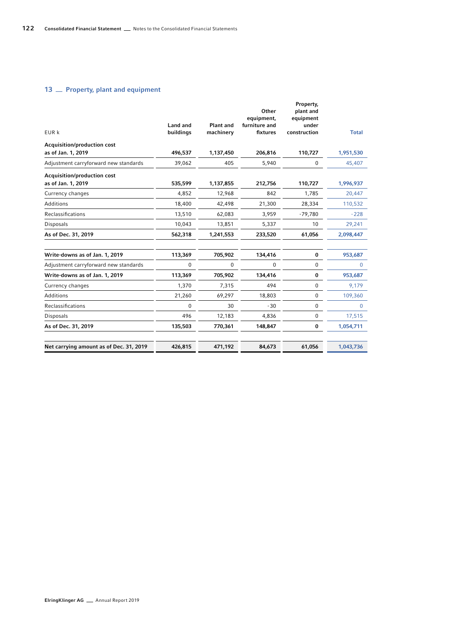# 13 <sub>Property, plant and equipment</sub>

| EUR k                                   | Land and<br>buildings | Plant and<br>machinery | Other<br>equipment,<br>furniture and<br>fixtures | Property,<br>plant and<br>equipment<br>under<br>construction | <b>Total</b> |
|-----------------------------------------|-----------------------|------------------------|--------------------------------------------------|--------------------------------------------------------------|--------------|
| Acquisition/production cost             |                       |                        |                                                  |                                                              |              |
| as of Jan. 1, 2019                      | 496,537               | 1,137,450              | 206,816                                          | 110,727                                                      | 1,951,530    |
| Adjustment carryforward new standards   | 39,062                | 405                    | 5,940                                            | 0                                                            | 45,407       |
| Acquisition/production cost             |                       |                        |                                                  |                                                              |              |
| as of Jan. 1, 2019                      | 535,599               | 1,137,855              | 212,756                                          | 110,727                                                      | 1,996,937    |
| Currency changes                        | 4,852                 | 12,968                 | 842                                              | 1,785                                                        | 20,447       |
| Additions                               | 18,400                | 42,498                 | 21,300                                           | 28,334                                                       | 110,532      |
| Reclassifications                       | 13,510                | 62,083                 | 3,959                                            | $-79,780$                                                    | $-228$       |
| <b>Disposals</b>                        | 10,043                | 13,851                 | 5,337                                            | 10                                                           | 29,241       |
| As of Dec. 31, 2019                     | 562,318               | 1,241,553              | 233,520                                          | 61,056                                                       | 2,098,447    |
| Write-downs as of Jan. 1, 2019          | 113,369               | 705,902                | 134,416                                          | $\bf{0}$                                                     | 953,687      |
| Adjustment carryforward new standards   | $\mathbf 0$           | 0                      | $\Omega$                                         | $\Omega$                                                     | $\Omega$     |
| Write-downs as of Jan. 1, 2019          | 113,369               | 705,902                | 134,416                                          | $\bf{0}$                                                     | 953,687      |
| Currency changes                        | 1,370                 | 7,315                  | 494                                              | $\mathbf{0}$                                                 | 9,179        |
| <b>Additions</b>                        | 21,260                | 69,297                 | 18,803                                           | $\mathbf 0$                                                  | 109,360      |
| Reclassifications                       | $\Omega$              | 30                     | $-30$                                            | $\mathbf 0$                                                  | $\Omega$     |
| Disposals                               | 496                   | 12,183                 | 4,836                                            | $\mathbf 0$                                                  | 17,515       |
| As of Dec. 31, 2019                     | 135,503               | 770,361                | 148,847                                          | $\bf{0}$                                                     | 1,054,711    |
| Net carrying amount as of Dec. 31, 2019 | 426,815               | 471,192                | 84,673                                           | 61,056                                                       | 1,043,736    |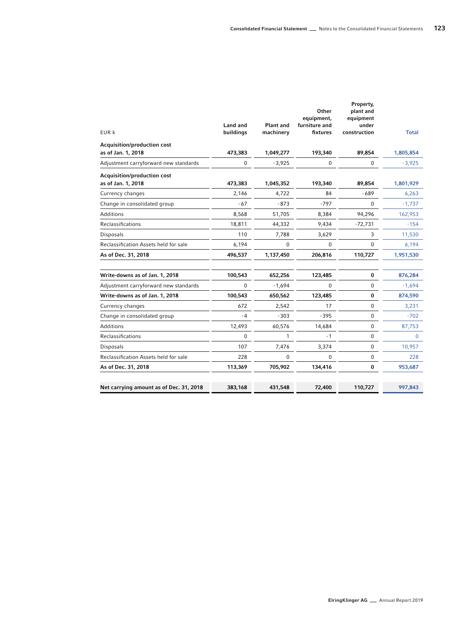| EUR k                                             | <b>Land and</b><br>buildings | <b>Plant and</b><br>machinery | Other<br>equipment,<br>furniture and<br>fixtures | Property,<br>plant and<br>equipment<br>under<br>construction | <b>Total</b> |
|---------------------------------------------------|------------------------------|-------------------------------|--------------------------------------------------|--------------------------------------------------------------|--------------|
| Acquisition/production cost                       |                              |                               |                                                  |                                                              |              |
| as of Jan. 1, 2018                                | 473,383                      | 1,049,277                     | 193,340                                          | 89,854                                                       | 1,805,854    |
| Adjustment carryforward new standards             | 0                            | $-3,925$                      | 0                                                | 0                                                            | $-3,925$     |
| Acquisition/production cost<br>as of Jan. 1, 2018 | 473,383                      | 1,045,352                     | 193,340                                          | 89,854                                                       | 1,801,929    |
| Currency changes                                  | 2,146                        | 4,722                         | 84                                               | $-689$                                                       | 6,263        |
| Change in consolidated group                      | - 67                         | $-873$                        | $-797$                                           | $\Omega$                                                     | $-1,737$     |
| <b>Additions</b>                                  | 8,568                        | 51,705                        | 8,384                                            | 94,296                                                       | 162,953      |
| Reclassifications                                 | 18,811                       | 44,332                        | 9,434                                            | $-72,731$                                                    | $-154$       |
| Disposals                                         | 110                          | 7,788                         | 3,629                                            | 3                                                            | 11,530       |
| Reclassification Assets held for sale             | 6,194                        | 0                             | 0                                                | $\Omega$                                                     | 6,194        |
| As of Dec. 31, 2018                               | 496,537                      | 1,137,450                     | 206,816                                          | 110,727                                                      | 1,951,530    |
| Write-downs as of Jan. 1, 2018                    | 100,543                      | 652,256                       | 123,485                                          | 0                                                            | 876,284      |
| Adjustment carryforward new standards             | $\Omega$                     | $-1,694$                      | 0                                                | $\mathbf 0$                                                  | $-1,694$     |
| Write-downs as of Jan. 1, 2018                    | 100,543                      | 650,562                       | 123,485                                          | $\bf{0}$                                                     | 874,590      |
| Currency changes                                  | 672                          | 2,542                         | 17                                               | 0                                                            | 3,231        |
| Change in consolidated group                      | $-4$                         | $-303$                        | $-395$                                           | 0                                                            | $-702$       |
| <b>Additions</b>                                  | 12,493                       | 60,576                        | 14,684                                           | 0                                                            | 87,753       |
| Reclassifications                                 | 0                            | 1                             | $-1$                                             | 0                                                            | $\mathbf{0}$ |
| <b>Disposals</b>                                  | 107                          | 7,476                         | 3,374                                            | $\mathbf 0$                                                  | 10,957       |
| Reclassification Assets held for sale             | 228                          | 0                             | 0                                                | $\mathbf 0$                                                  | 228          |
| As of Dec. 31, 2018                               | 113,369                      | 705,902                       | 134,416                                          | $\bf{0}$                                                     | 953,687      |
| Net carrying amount as of Dec. 31, 2018           | 383,168                      | 431,548                       | 72,400                                           | 110,727                                                      | 997,843      |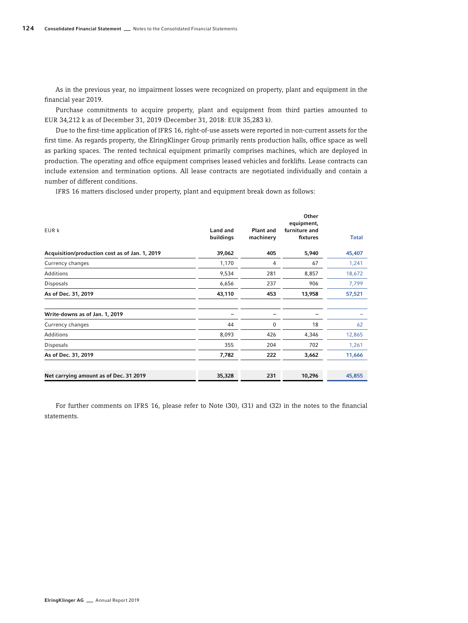As in the previous year, no impairment losses were recognized on property, plant and equipment in the financial year 2019.

Purchase commitments to acquire property, plant and equipment from third parties amounted to EUR 34,212 k as of December 31, 2019 (December 31, 2018: EUR 35,283 k).

Due to the first-time application of IFRS 16, right-of-use assets were reported in non-current assets for the first time. As regards property, the ElringKlinger Group primarily rents production halls, office space as well as parking spaces. The rented technical equipment primarily comprises machines, which are deployed in production. The operating and office equipment comprises leased vehicles and forklifts. Lease contracts can include extension and termination options. All lease contracts are negotiated individually and contain a number of different conditions.

IFRS 16 matters disclosed under property, plant and equipment break down as follows:

| EUR k                                          | Land and<br>buildings | <b>Plant and</b><br>machinery | Other<br>equipment,<br>furniture and<br>fixtures | <b>Total</b> |
|------------------------------------------------|-----------------------|-------------------------------|--------------------------------------------------|--------------|
| Acquisition/production cost as of Jan. 1, 2019 | 39,062                | 405                           | 5,940                                            | 45,407       |
| Currency changes                               | 1,170                 | 4                             | 67                                               | 1,241        |
| Additions                                      | 9,534                 | 281                           | 8,857                                            | 18,672       |
| Disposals                                      | 6,656                 | 237                           | 906                                              | 7,799        |
| As of Dec. 31, 2019                            | 43,110                | 453                           | 13,958                                           | 57,521       |
| Write-downs as of Jan. 1, 2019                 |                       |                               |                                                  |              |
| Currency changes                               | 44                    | 0                             | 18                                               | 62           |
| Additions                                      | 8,093                 | 426                           | 4,346                                            | 12,865       |
| <b>Disposals</b>                               | 355                   | 204                           | 702                                              | 1,261        |
| As of Dec. 31, 2019                            | 7,782                 | 222                           | 3,662                                            | 11,666       |
| Net carrying amount as of Dec. 31 2019         | 35,328                | 231                           | 10,296                                           | 45,855       |

For further comments on IFRS 16, please refer to Note (30), (31) and (32) in the notes to the financial statements.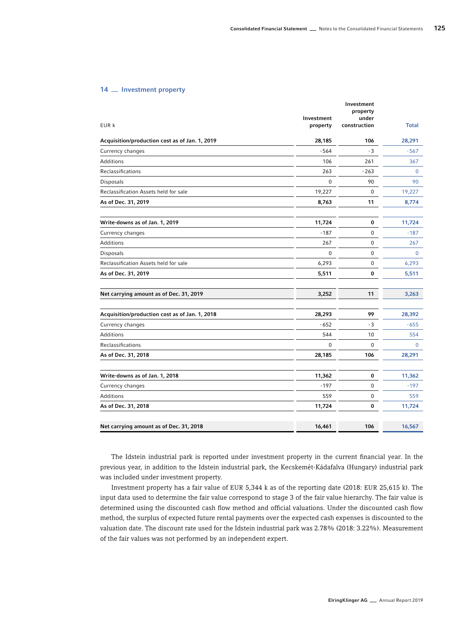### 14 <sub>Investment property</sub>

| EUR k                                          | Investment<br>property | Investment<br>property<br>under<br>construction | <b>Total</b> |
|------------------------------------------------|------------------------|-------------------------------------------------|--------------|
| Acquisition/production cost as of Jan. 1, 2019 | 28,185                 | 106                                             | 28,291       |
| Currency changes                               | $-564$                 | $-3$                                            | $-567$       |
| Additions                                      | 106                    | 261                                             | 367          |
| Reclassifications                              | 263                    | $-263$                                          | $\Omega$     |
| Disposals                                      | 0                      | 90                                              | 90           |
| Reclassification Assets held for sale          | 19,227                 | $\mathbf 0$                                     | 19,227       |
| As of Dec. 31, 2019                            | 8,763                  | 11                                              | 8,774        |
| Write-downs as of Jan. 1, 2019                 | 11,724                 | 0                                               | 11,724       |
| Currency changes                               | $-187$                 | $\mathbf 0$                                     | $-187$       |
| <b>Additions</b>                               | 267                    | $\mathbf 0$                                     | 267          |
| Disposals                                      | 0                      | $\mathbf 0$                                     | $\mathbf{0}$ |
| Reclassification Assets held for sale          | 6,293                  | $\mathbf 0$                                     | 6,293        |
| As of Dec. 31, 2019                            | 5,511                  | 0                                               | 5,511        |
| Net carrying amount as of Dec. 31, 2019        | 3,252                  | 11                                              | 3,263        |
| Acquisition/production cost as of Jan. 1, 2018 | 28,293                 | 99                                              | 28,392       |
| Currency changes                               | $-652$                 | - 3                                             | $-655$       |
| Additions                                      | 544                    | 10                                              | 554          |
| Reclassifications                              | $\overline{0}$         | $\mathbf 0$                                     | $\mathbf{0}$ |
| As of Dec. 31, 2018                            | 28,185                 | 106                                             | 28,291       |
| Write-downs as of Jan. 1, 2018                 | 11,362                 | 0                                               | 11,362       |
| Currency changes                               | $-197$                 | 0                                               | $-197$       |
| Additions                                      | 559                    | $\pmb{0}$                                       | 559          |
| As of Dec. 31, 2018                            | 11,724                 | 0                                               | 11,724       |
| Net carrying amount as of Dec. 31, 2018        | 16,461                 | 106                                             | 16,567       |
|                                                |                        |                                                 |              |

The Idstein industrial park is reported under investment property in the current financial year. In the previous year, in addition to the Idstein industrial park, the Kecskemét-Kádafalva (Hungary) industrial park was included under investment property.

Investment property has a fair value of EUR 5,344 k as of the reporting date (2018: EUR 25,615 k). The input data used to determine the fair value correspond to stage 3 of the fair value hierarchy. The fair value is determined using the discounted cash flow method and official valuations. Under the discounted cash flow method, the surplus of expected future rental payments over the expected cash expenses is discounted to the valuation date. The discount rate used for the Idstein industrial park was 2.78% (2018: 3.22%). Measurement of the fair values was not performed by an independent expert.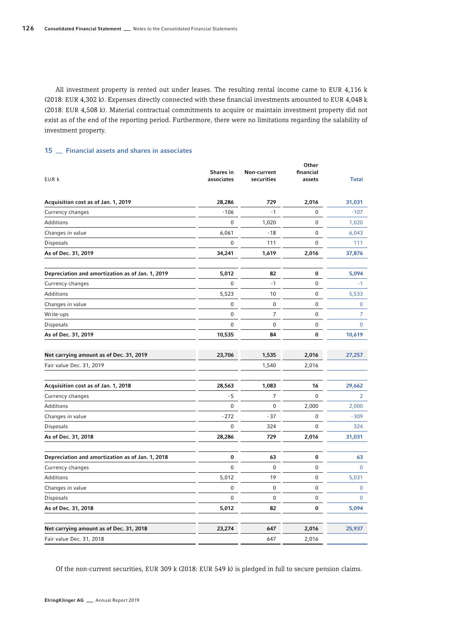All investment property is rented out under leases. The resulting rental income came to EUR 4,116 k (2018: EUR 4,302 k). Expenses directly connected with these financial investments amounted to EUR 4,048 k (2018: EUR 4,508 k). Material contractual commitments to acquire or maintain investment property did not exist as of the end of the reporting period. Furthermore, there were no limitations regarding the salability of investment property.

# 15 **Financial assets and shares in associates**

| EUR k                                            | Shares in<br>associates | Non-current<br>securities | Other<br>financial<br>assets | <b>Total</b>   |
|--------------------------------------------------|-------------------------|---------------------------|------------------------------|----------------|
| Acquisition cost as of Jan. 1, 2019              | 28,286                  | 729                       | 2,016                        | 31,031         |
| Currency changes                                 | $-106$                  | $-1$                      | 0                            | $-107$         |
| Additions                                        | 0                       | 1,020                     | 0                            | 1,020          |
| Changes in value                                 | 6,061                   | -18                       | 0                            | 6,043          |
| Disposals                                        | 0                       | 111                       | 0                            | 111            |
| As of Dec. 31, 2019                              | 34,241                  | 1,619                     | 2,016                        | 37,876         |
| Depreciation and amortization as of Jan. 1, 2019 | 5,012                   | 82                        | 0                            | 5,094          |
| Currency changes                                 | 0                       | $-1$                      | 0                            | $-1$           |
| Additions                                        | 5,523                   | 10                        | 0                            | 5,533          |
| Changes in value                                 | 0                       | 0                         | 0                            | 0              |
| Write-ups                                        | 0                       | 7                         | 0                            | $\overline{7}$ |
| <b>Disposals</b>                                 | 0                       | $\mathbf 0$               | 0                            | 0              |
| As of Dec. 31, 2019                              | 10,535                  | 84                        | 0                            | 10,619         |
| Net carrying amount as of Dec. 31, 2019          | 23,706                  | 1,535                     | 2,016                        | 27,257         |
| Fair value Dec. 31, 2019                         |                         | 1,540                     | 2,016                        |                |
| Acquisition cost as of Jan. 1, 2018              | 28,563                  | 1,083                     | 16                           | 29,662         |
| Currency changes                                 | - 5                     | 7                         | 0                            | $\overline{2}$ |
| Additions                                        | 0                       | 0                         | 2,000                        | 2,000          |
| Changes in value                                 | $-272$                  | - 37                      | 0                            | $-309$         |
| Disposals                                        | 0                       | 324                       | 0                            | 324            |
| As of Dec. 31, 2018                              | 28,286                  | 729                       | 2,016                        | 31,031         |
| Depreciation and amortization as of Jan. 1, 2018 | 0                       | 63                        | 0                            | 63             |
| Currency changes                                 | 0                       | 0                         | 0                            | 0              |
| Additions                                        | 5,012                   | 19                        | 0                            | 5,031          |
| Changes in value                                 | 0                       | 0                         | 0                            | 0              |
| <b>Disposals</b>                                 | 0                       | 0                         | 0                            | 0              |
| As of Dec. 31, 2018                              | 5,012                   | 82                        | 0                            | 5,094          |
| Net carrying amount as of Dec. 31, 2018          | 23,274                  | 647                       | 2,016                        | 25,937         |
| Fair value Dec. 31, 2018                         |                         | 647                       | 2,016                        |                |

Of the non-current securities, EUR 309 k (2018: EUR 549 k) is pledged in full to secure pension claims.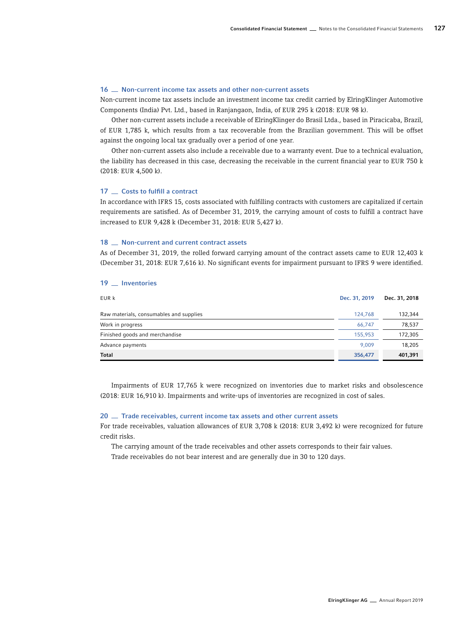# 16  $\equiv$  Non-current income tax assets and other non-current assets

Non-current income tax assets include an investment income tax credit carried by ElringKlinger Automotive Components (India) Pvt. Ltd., based in Ranjangaon, India, of EUR 295 k (2018: EUR 98 k).

Other non-current assets include a receivable of ElringKlinger do Brasil Ltda., based in Piracicaba, Brazil, of EUR 1,785 k, which results from a tax recoverable from the Brazilian government. This will be offset against the ongoing local tax gradually over a period of one year.

Other non-current assets also include a receivable due to a warranty event. Due to a technical evaluation, the liability has decreased in this case, decreasing the receivable in the current financial year to EUR 750 k (2018: EUR 4,500 k).

# 17 <sub>costs</sub> to fulfill a contract

In accordance with IFRS 15, costs associated with fulfilling contracts with customers are capitalized if certain requirements are satisfied. As of December 31, 2019, the carrying amount of costs to fulfill a contract have increased to EUR 9,428 k (December 31, 2018: EUR 5,427 k).

# 18 **Non-current and current contract assets**

As of December 31, 2019, the rolled forward carrying amount of the contract assets came to EUR 12,403 k (December 31, 2018: EUR 7,616 k). No significant events for impairment pursuant to IFRS 9 were identified.

# 19 <sub>-</sub> Inventories

| EUR k                                   | Dec. 31, 2019 | Dec. 31, 2018 |
|-----------------------------------------|---------------|---------------|
| Raw materials, consumables and supplies | 124.768       | 132,344       |
| Work in progress                        | 66.747        | 78,537        |
| Finished goods and merchandise          | 155,953       | 172,305       |
| Advance payments                        | 9.009         | 18,205        |
| Total                                   | 356,477       | 401,391       |

Impairments of EUR 17,765 k were recognized on inventories due to market risks and obsolescence (2018: EUR 16,910 k). Impairments and write-ups of inventories are recognized in cost of sales.

## 20  $\pm$  Trade receivables, current income tax assets and other current assets

For trade receivables, valuation allowances of EUR 3,708 k (2018: EUR 3,492 k) were recognized for future credit risks.

The carrying amount of the trade receivables and other assets corresponds to their fair values.

Trade receivables do not bear interest and are generally due in 30 to 120 days.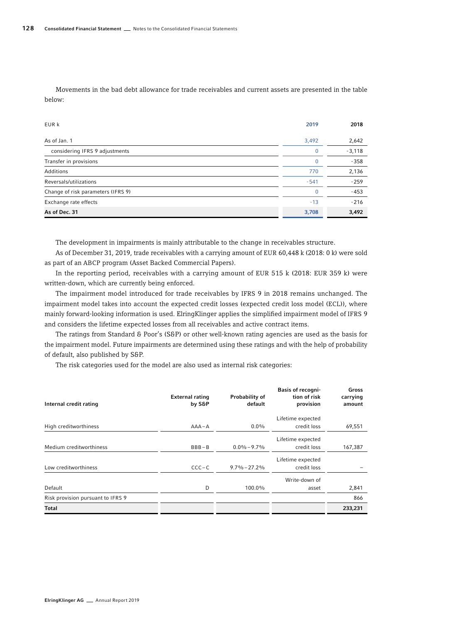Movements in the bad debt allowance for trade receivables and current assets are presented in the table below:

| EUR k                              | 2019     | 2018     |
|------------------------------------|----------|----------|
| As of Jan. 1                       | 3,492    | 2,642    |
| considering IFRS 9 adjustments     | $\Omega$ | $-3,118$ |
| Transfer in provisions             | $\Omega$ | $-358$   |
| Additions                          | 770      | 2,136    |
| Reversals/utilizations             | $-541$   | $-259$   |
| Change of risk parameters (IFRS 9) | $\Omega$ | $-453$   |
| Exchange rate effects              | $-13$    | $-216$   |
| As of Dec. 31                      | 3,708    | 3,492    |

The development in impairments is mainly attributable to the change in receivables structure.

As of December 31, 2019, trade receivables with a carrying amount of EUR 60,448 k (2018: 0 k) were sold as part of an ABCP program (Asset Backed Commercial Papers).

In the reporting period, receivables with a carrying amount of EUR 515 k (2018: EUR 359 k) were written-down, which are currently being enforced.

The impairment model introduced for trade receivables by IFRS 9 in 2018 remains unchanged. The impairment model takes into account the expected credit losses (expected credit loss model (ECL)), where mainly forward-looking information is used. ElringKlinger applies the simplified impairment model of IFRS 9 and considers the lifetime expected losses from all receivables and active contract items.

The ratings from Standard & Poor's (S&P) or other well-known rating agencies are used as the basis for the impairment model. Future impairments are determined using these ratings and with the help of probability of default, also published by S&P.

The risk categories used for the model are also used as internal risk categories:

| Internal credit rating            | <b>External rating</b><br>by S&P | Probability of<br>default | <b>Basis of recogni-</b><br>tion of risk<br>provision | Gross<br>carrying<br>amount |
|-----------------------------------|----------------------------------|---------------------------|-------------------------------------------------------|-----------------------------|
|                                   |                                  |                           | Lifetime expected                                     |                             |
| High creditworthiness             | $AAA - A$                        | $0.0\%$                   | credit loss                                           | 69,551                      |
|                                   |                                  |                           | Lifetime expected                                     |                             |
| Medium creditworthiness           | $BBB - B$                        | $0.0\% - 9.7\%$           | credit loss                                           | 167,387                     |
|                                   |                                  |                           | Lifetime expected                                     |                             |
| Low creditworthiness              | $CCC - C$                        | $9.7\% - 27.2\%$          | credit loss                                           |                             |
|                                   |                                  |                           | Write-down of                                         |                             |
| Default                           | D                                | 100.0%                    | asset                                                 | 2,841                       |
| Risk provision pursuant to IFRS 9 |                                  |                           |                                                       | 866                         |
| Total                             |                                  |                           |                                                       | 233,231                     |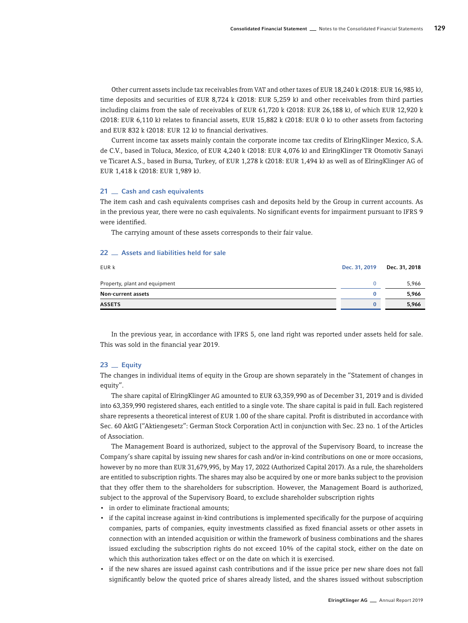Other current assets include tax receivables from VAT and other taxes of EUR 18,240 k (2018: EUR 16,985 k), time deposits and securities of EUR 8,724 k (2018: EUR 5,259 k) and other receivables from third parties including claims from the sale of receivables of EUR 61,720 k (2018: EUR 26,188 k), of which EUR 12,920 k (2018: EUR 6,110 k) relates to financial assets, EUR 15,882 k (2018: EUR 0 k) to other assets from factoring and EUR 832 k (2018: EUR 12 k) to financial derivatives.

Current income tax assets mainly contain the corporate income tax credits of ElringKlinger Mexico, S.A. de C.V., based in Toluca, Mexico, of EUR 4,240 k (2018: EUR 4,076 k) and ElringKlinger TR Otomotiv Sanayi ve Ticaret A.S., based in Bursa, Turkey, of EUR 1,278 k (2018: EUR 1,494 k) as well as of ElringKlinger AG of EUR 1,418 k (2018: EUR 1,989 k).

### 21 <sub>cash</sub> and cash equivalents

The item cash and cash equivalents comprises cash and deposits held by the Group in current accounts. As in the previous year, there were no cash equivalents. No significant events for impairment pursuant to IFRS 9 were identified.

The carrying amount of these assets corresponds to their fair value.

# 22 <sub>-</sub> Assets and liabilities held for sale

| EUR k                         | Dec. 31, 2019 | Dec. 31, 2018 |
|-------------------------------|---------------|---------------|
| Property, plant and equipment |               | 5,966         |
| Non-current assets            |               | 5,966         |
| <b>ASSETS</b>                 | o             | 5,966         |

In the previous year, in accordance with IFRS 5, one land right was reported under assets held for sale. This was sold in the financial year 2019.

# $23$   $\equiv$  Equity

The changes in individual items of equity in the Group are shown separately in the "Statement of changes in equity".

The share capital of ElringKlinger AG amounted to EUR 63,359,990 as of December 31, 2019 and is divided into 63,359,990 registered shares, each entitled to a single vote. The share capital is paid in full. Each registered share represents a theoretical interest of EUR 1.00 of the share capital. Profit is distributed in accordance with Sec. 60 AktG ["Aktiengesetz": German Stock Corporation Act] in conjunction with Sec. 23 no. 1 of the Articles of Association.

The Management Board is authorized, subject to the approval of the Supervisory Board, to increase the Company's share capital by issuing new shares for cash and/or in-kind contributions on one or more occasions, however by no more than EUR 31,679,995, by May 17, 2022 (Authorized Capital 2017). As a rule, the shareholders are entitled to subscription rights. The shares may also be acquired by one or more banks subject to the provision that they offer them to the shareholders for subscription. However, the Management Board is authorized, subject to the approval of the Supervisory Board, to exclude shareholder subscription rights

- in order to eliminate fractional amounts;
- if the capital increase against in-kind contributions is implemented specifically for the purpose of acquiring companies, parts of companies, equity investments classified as fixed financial assets or other assets in connection with an intended acquisition or within the framework of business combinations and the shares issued excluding the subscription rights do not exceed 10% of the capital stock, either on the date on which this authorization takes effect or on the date on which it is exercised.
- if the new shares are issued against cash contributions and if the issue price per new share does not fall significantly below the quoted price of shares already listed, and the shares issued without subscription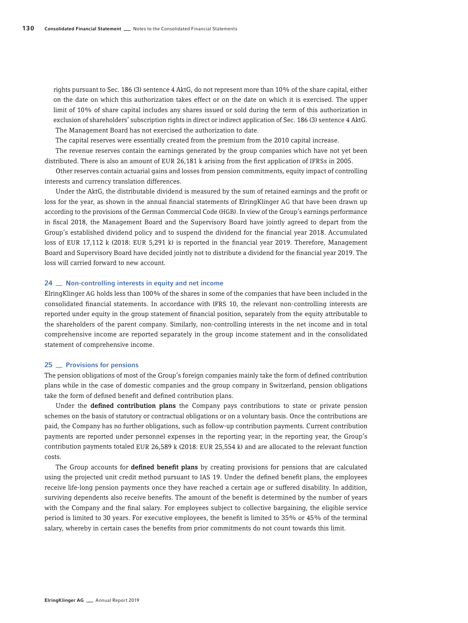rights pursuant to Sec. 186 (3) sentence 4 AktG, do not represent more than 10% of the share capital, either on the date on which this authorization takes effect or on the date on which it is exercised. The upper limit of 10% of share capital includes any shares issued or sold during the term of this authorization in exclusion of shareholders' subscription rights in direct or indirect application of Sec. 186 (3) sentence 4 AktG. The Management Board has not exercised the authorization to date.

The capital reserves were essentially created from the premium from the 2010 capital increase.

The revenue reserves contain the earnings generated by the group companies which have not yet been distributed. There is also an amount of EUR 26,181 k arising from the first application of IFRSs in 2005.

Other reserves contain actuarial gains and losses from pension commitments, equity impact of controlling interests and currency translation differences.

Under the AktG, the distributable dividend is measured by the sum of retained earnings and the profit or loss for the year, as shown in the annual financial statements of ElringKlinger AG that have been drawn up according to the provisions of the German Commercial Code (HGB). In view of the Group's earnings performance in fiscal 2018, the Management Board and the Supervisory Board have jointly agreed to depart from the Group's established dividend policy and to suspend the dividend for the financial year 2018. Accumulated loss of EUR 17,112 k (2018: EUR 5,291 k) is reported in the financial year 2019. Therefore, Management Board and Supervisory Board have decided jointly not to distribute a dividend for the financial year 2019. The loss will carried forward to new account.

### 24 **Mon-controlling interests in equity and net income**

ElringKlinger AG holds less than 100% of the shares in some of the companies that have been included in the consolidated financial statements. In accordance with IFRS 10, the relevant non-controlling interests are reported under equity in the group statement of financial position, separately from the equity attributable to the shareholders of the parent company. Similarly, non-controlling interests in the net income and in total comprehensive income are reported separately in the group income statement and in the consolidated statement of comprehensive income.

### 25 **Provisions for pensions**

The pension obligations of most of the Group's foreign companies mainly take the form of defined contribution plans while in the case of domestic companies and the group company in Switzerland, pension obligations take the form of defined benefit and defined contribution plans.

Under the defined contribution plans the Company pays contributions to state or private pension schemes on the basis of statutory or contractual obligations or on a voluntary basis. Once the contributions are paid, the Company has no further obligations, such as follow-up contribution payments. Current contribution payments are reported under personnel expenses in the reporting year; in the reporting year, the Group's contribution payments totaled EUR 26,589 k (2018: EUR 25,554 k) and are allocated to the relevant function costs.

The Group accounts for **defined benefit plans** by creating provisions for pensions that are calculated using the projected unit credit method pursuant to IAS 19. Under the defined benefit plans, the employees receive life-long pension payments once they have reached a certain age or suffered disability. In addition, surviving dependents also receive benefits. The amount of the benefit is determined by the number of years with the Company and the final salary. For employees subject to collective bargaining, the eligible service period is limited to 30 years. For executive employees, the benefit is limited to 35% or 45% of the terminal salary, whereby in certain cases the benefits from prior commitments do not count towards this limit.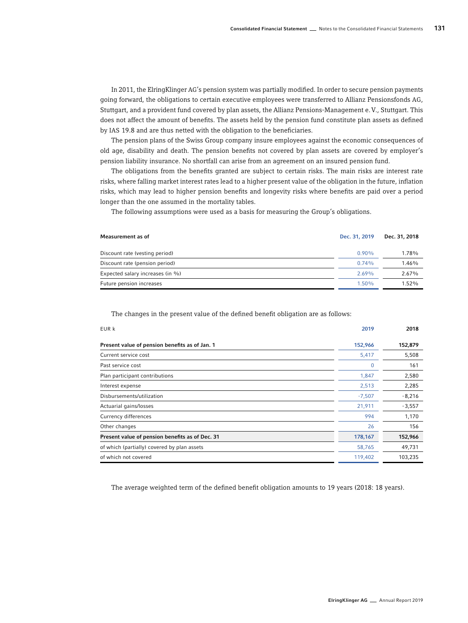In 2011, the ElringKlinger AG's pension system was partially modified. In order to secure pension payments going forward, the obligations to certain executive employees were transferred to Allianz Pensionsfonds AG, Stuttgart, and a provident fund covered by plan assets, the Allianz Pensions-Management e.V., Stuttgart. This does not affect the amount of benefits. The assets held by the pension fund constitute plan assets as defined by IAS 19.8 and are thus netted with the obligation to the beneficiaries.

The pension plans of the Swiss Group company insure employees against the economic consequences of old age, disability and death. The pension benefits not covered by plan assets are covered by employer's pension liability insurance. No shortfall can arise from an agreement on an insured pension fund.

The obligations from the benefits granted are subject to certain risks. The main risks are interest rate risks, where falling market interest rates lead to a higher present value of the obligation in the future, inflation risks, which may lead to higher pension benefits and longevity risks where benefits are paid over a period longer than the one assumed in the mortality tables.

The following assumptions were used as a basis for measuring the Group's obligations.

| Measurement as of                | Dec. 31, 2019 | Dec. 31, 2018 |
|----------------------------------|---------------|---------------|
| Discount rate (vesting period)   | $0.90\%$      | 1.78%         |
| Discount rate (pension period)   | 0.74%         | 1.46%         |
| Expected salary increases (in %) | 2.69%         | 2.67%         |
| Future pension increases         | $1.50\%$      | $1.52\%$      |

The changes in the present value of the defined benefit obligation are as follows:

| EUR k                                           | 2019     | 2018     |
|-------------------------------------------------|----------|----------|
| Present value of pension benefits as of Jan. 1  | 152,966  | 152,879  |
| Current service cost                            | 5,417    | 5,508    |
| Past service cost                               | 0        | 161      |
| Plan participant contributions                  | 1,847    | 2,580    |
| Interest expense                                | 2,513    | 2,285    |
| Disbursements/utilization                       | $-7,507$ | $-8,216$ |
| Actuarial gains/losses                          | 21,911   | $-3,557$ |
| Currency differences                            | 994      | 1,170    |
| Other changes                                   | 26       | 156      |
| Present value of pension benefits as of Dec. 31 | 178,167  | 152,966  |
| of which (partially) covered by plan assets     | 58,765   | 49,731   |
| of which not covered                            | 119,402  | 103,235  |

The average weighted term of the defined benefit obligation amounts to 19 years (2018: 18 years).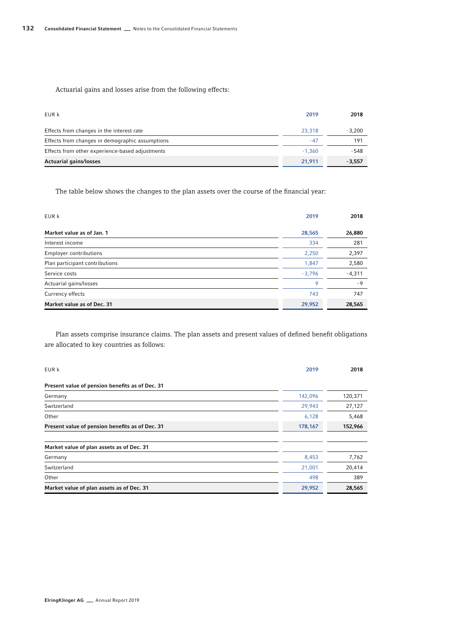Actuarial gains and losses arise from the following effects:

| EUR k                                           | 2019     | 2018     |
|-------------------------------------------------|----------|----------|
| Effects from changes in the interest rate       | 23,318   | $-3.200$ |
| Effects from changes in demographic assumptions | $-47$    | 191      |
| Effects from other experience-based adjustments | $-1.360$ | - 548    |
| <b>Actuarial gains/losses</b>                   | 21.911   | $-3,557$ |

The table below shows the changes to the plan assets over the course of the financial year:

| EUR k                          | 2019     | 2018     |
|--------------------------------|----------|----------|
| Market value as of Jan. 1      | 28,565   | 26,880   |
| Interest income                | 334      | 281      |
| <b>Employer contributions</b>  | 2,250    | 2,397    |
| Plan participant contributions | 1,847    | 2,580    |
| Service costs                  | $-3.796$ | $-4,311$ |
| Actuarial gains/losses         | 9        | - 9      |
| Currency effects               | 743      | 747      |
| Market value as of Dec. 31     | 29,952   | 28,565   |

Plan assets comprise insurance claims. The plan assets and present values of defined benefit obligations are allocated to key countries as follows:

| EUR k                                           | 2019    | 2018    |
|-------------------------------------------------|---------|---------|
| Present value of pension benefits as of Dec. 31 |         |         |
| Germany                                         | 142,096 | 120,371 |
| Switzerland                                     | 29,943  | 27,127  |
| Other                                           | 6,128   | 5,468   |
| Present value of pension benefits as of Dec. 31 | 178,167 | 152,966 |
|                                                 |         |         |
| Market value of plan assets as of Dec. 31       |         |         |
| Germany                                         | 8,453   | 7,762   |
| Switzerland                                     | 21,001  | 20,414  |
| Other                                           | 498     | 389     |
| Market value of plan assets as of Dec. 31       | 29,952  | 28,565  |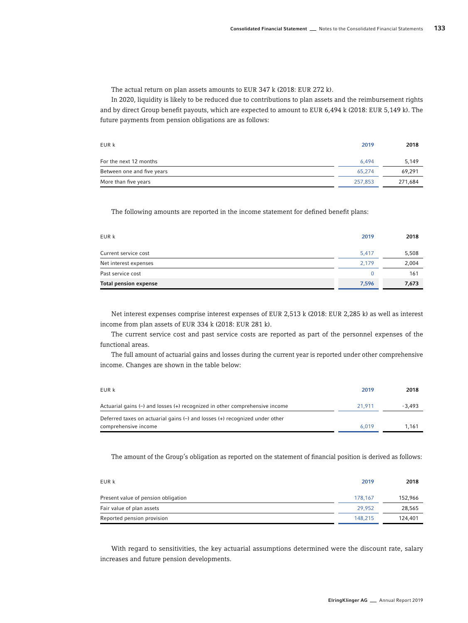The actual return on plan assets amounts to EUR 347 k (2018: EUR 272 k).

In 2020, liquidity is likely to be reduced due to contributions to plan assets and the reimbursement rights and by direct Group benefit payouts, which are expected to amount to EUR 6,494 k (2018: EUR 5,149 k). The future payments from pension obligations are as follows:

| EUR k                      | 2019    | 2018    |
|----------------------------|---------|---------|
| For the next 12 months     | 6.494   | 5,149   |
| Between one and five years | 65.274  | 69,291  |
| More than five years       | 257.853 | 271,684 |

The following amounts are reported in the income statement for defined benefit plans:

| EUR k                        | 2019  | 2018  |
|------------------------------|-------|-------|
| Current service cost         | 5,417 | 5,508 |
| Net interest expenses        | 2.179 | 2,004 |
| Past service cost            |       | 161   |
| <b>Total pension expense</b> | 7,596 | 7,673 |

Net interest expenses comprise interest expenses of EUR 2,513 k (2018: EUR 2,285 k) as well as interest income from plan assets of EUR 334 k (2018: EUR 281 k).

The current service cost and past service costs are reported as part of the personnel expenses of the functional areas.

The full amount of actuarial gains and losses during the current year is reported under other comprehensive income. Changes are shown in the table below:

| EUR k                                                                                                                    | 2019   | 2018   |
|--------------------------------------------------------------------------------------------------------------------------|--------|--------|
| Actuarial gains $\left(\rightarrow\right)$ and losses $\left(\leftarrow\right)$ recognized in other comprehensive income | 21.911 | -3.493 |
| Deferred taxes on actuarial gains $(-)$ and losses $(+)$ recognized under other<br>comprehensive income                  | 6.019  | 1.161  |

The amount of the Group's obligation as reported on the statement of financial position is derived as follows:

| EUR k                               | 2019    | 2018    |
|-------------------------------------|---------|---------|
| Present value of pension obligation | 178.167 | 152.966 |
| Fair value of plan assets           | 29.952  | 28,565  |
| Reported pension provision          | 148.215 | 124,401 |

With regard to sensitivities, the key actuarial assumptions determined were the discount rate, salary increases and future pension developments.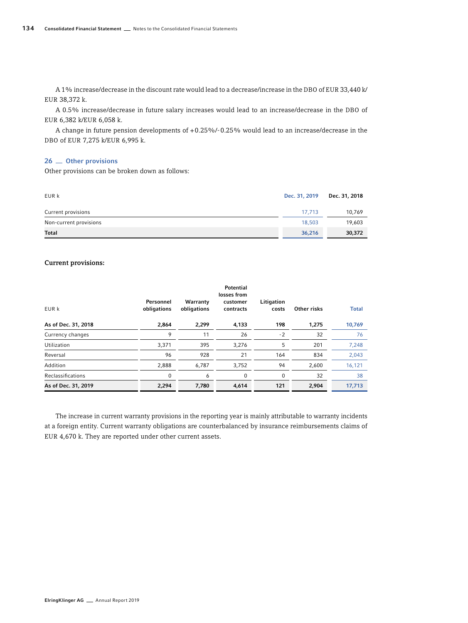A 1% increase/decrease in the discount rate would lead to a decrease/increase in the DBO of EUR 33,440 k/ EUR 38,372 k.

A 0.5% increase/decrease in future salary increases would lead to an increase/decrease in the DBO of EUR 6,382 k/EUR 6,058 k.

A change in future pension developments of +0.25%/-0.25% would lead to an increase/decrease in the DBO of EUR 7,275 k/EUR 6,995 k.

# 26 <sup>other</sup> provisions

Other provisions can be broken down as follows:

| EUR k                  | Dec. 31, 2019 | Dec. 31, 2018 |
|------------------------|---------------|---------------|
| Current provisions     | 17.713        | 10.769        |
| Non-current provisions | 18,503        | 19,603        |
| Total                  | 36,216        | 30,372        |

### Current provisions:

| EUR k               | Personnel<br>obligations | Warranty<br>obligations | Potential<br>losses from<br>customer<br>contracts | Litigation<br>costs | Other risks | <b>Total</b> |
|---------------------|--------------------------|-------------------------|---------------------------------------------------|---------------------|-------------|--------------|
| As of Dec. 31, 2018 | 2,864                    | 2,299                   | 4,133                                             | 198                 | 1,275       | 10,769       |
| Currency changes    | 9                        | 11                      | 26                                                | $-2$                | 32          | 76           |
| Utilization         | 3,371                    | 395                     | 3,276                                             | 5                   | 201         | 7,248        |
| Reversal            | 96                       | 928                     | 21                                                | 164                 | 834         | 2,043        |
| Addition            | 2,888                    | 6,787                   | 3,752                                             | 94                  | 2,600       | 16,121       |
| Reclassifications   | 0                        | 6                       | $\mathbf 0$                                       | $\Omega$            | 32          | 38           |
| As of Dec. 31, 2019 | 2,294                    | 7,780                   | 4,614                                             | 121                 | 2,904       | 17,713       |

The increase in current warranty provisions in the reporting year is mainly attributable to warranty incidents at a foreign entity. Current warranty obligations are counterbalanced by insurance reimbursements claims of EUR 4,670 k. They are reported under other current assets.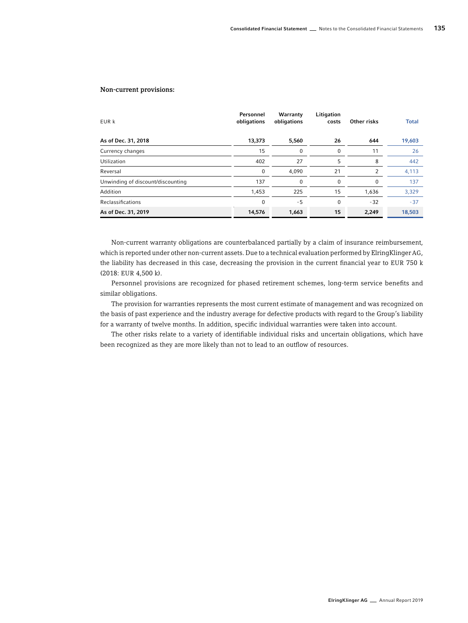### Non-current provisions:

| EUR k                             | Personnel<br>obligations | Warranty<br>obligations | Litigation<br>costs | Other risks | <b>Total</b> |
|-----------------------------------|--------------------------|-------------------------|---------------------|-------------|--------------|
| As of Dec. 31, 2018               | 13,373                   | 5,560                   | 26                  | 644         | 19,603       |
| Currency changes                  | 15                       | 0                       | 0                   | 11          | 26           |
| Utilization                       | 402                      | 27                      | 5                   | 8           | 442          |
| Reversal                          | $\Omega$                 | 4,090                   | 21                  | 2           | 4,113        |
| Unwinding of discount/discounting | 137                      | 0                       | 0                   | $\Omega$    | 137          |
| Addition                          | 1,453                    | 225                     | 15                  | 1,636       | 3,329        |
| Reclassifications                 | $\Omega$                 | - 5                     | 0                   | $-32$       | $-37$        |
| As of Dec. 31, 2019               | 14,576                   | 1,663                   | 15                  | 2,249       | 18,503       |

Non-current warranty obligations are counterbalanced partially by a claim of insurance reimbursement, which is reported under other non-current assets. Due to a technical evaluation performed by ElringKlinger AG, the liability has decreased in this case, decreasing the provision in the current financial year to EUR 750 k (2018: EUR 4,500 k).

Personnel provisions are recognized for phased retirement schemes, long-term service benefits and similar obligations.

The provision for warranties represents the most current estimate of management and was recognized on the basis of past experience and the industry average for defective products with regard to the Group's liability for a warranty of twelve months. In addition, specific individual warranties were taken into account.

The other risks relate to a variety of identifiable individual risks and uncertain obligations, which have been recognized as they are more likely than not to lead to an outflow of resources.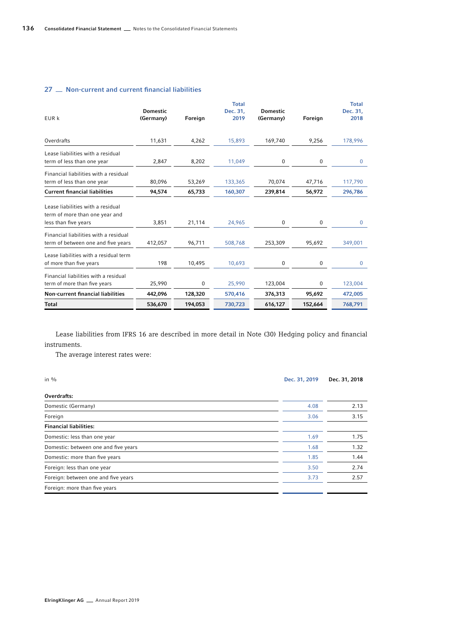# 27 <sub>m</sub> Non-current and current financial liabilities

| EUR k                                                                                       | <b>Domestic</b><br>(Germany) | Foreign | <b>Total</b><br>Dec. 31,<br>2019 | <b>Domestic</b><br>(Germany) | Foreign          | <b>Total</b><br>Dec. 31,<br>2018 |
|---------------------------------------------------------------------------------------------|------------------------------|---------|----------------------------------|------------------------------|------------------|----------------------------------|
| Overdrafts                                                                                  | 11,631                       | 4,262   | 15,893                           | 169,740                      | 9,256            | 178,996                          |
| Lease liabilities with a residual<br>term of less than one year                             | 2,847                        | 8,202   | 11,049                           | 0                            | 0                | $\mathbf{0}$                     |
| Financial liabilities with a residual<br>term of less than one year                         | 80,096                       | 53,269  | 133,365                          | 70,074                       | 47,716           | 117,790                          |
| <b>Current financial liabilities</b>                                                        | 94,574                       | 65,733  | 160,307                          | 239,814                      | 56,972           | 296,786                          |
| Lease liabilities with a residual<br>term of more than one year and<br>less than five years | 3,851                        | 21,114  | 24,965                           | 0                            | $\boldsymbol{0}$ | $\mathbf 0$                      |
| Financial liabilities with a residual<br>term of between one and five years                 | 412,057                      | 96,711  | 508,768                          | 253,309                      | 95,692           | 349,001                          |
| Lease liabilities with a residual term<br>of more than five years                           | 198                          | 10,495  | 10.693                           | 0                            | 0                | $\Omega$                         |
| Financial liabilities with a residual<br>term of more than five years                       | 25,990                       | 0       | 25,990                           | 123,004                      | 0                | 123,004                          |
| Non-current financial liabilities                                                           | 442,096                      | 128,320 | 570,416                          | 376,313                      | 95,692           | 472,005                          |
| Total                                                                                       | 536,670                      | 194,053 | 730,723                          | 616,127                      | 152,664          | 768,791                          |

Lease liabilities from IFRS 16 are described in more detail in Note (30) Hedging policy and financial instruments.

The average interest rates were:

| in $\%$                              | Dec. 31, 2019 | Dec. 31, 2018 |
|--------------------------------------|---------------|---------------|
| Overdrafts:                          |               |               |
| Domestic (Germany)                   | 4.08          | 2.13          |
| Foreign                              | 3.06          | 3.15          |
| <b>Financial liabilities:</b>        |               |               |
| Domestic: less than one year         | 1.69          | 1.75          |
| Domestic: between one and five years | 1.68          | 1.32          |
| Domestic: more than five years       | 1.85          | 1.44          |
| Foreign: less than one year          | 3.50          | 2.74          |
| Foreign: between one and five years  | 3.73          | 2.57          |
| Foreign: more than five years        |               |               |
|                                      |               |               |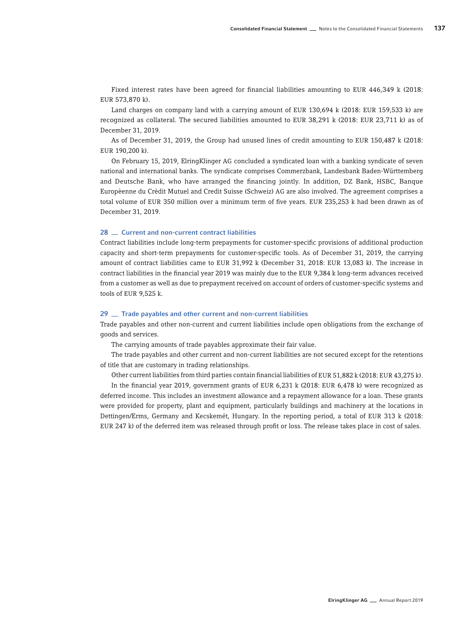Fixed interest rates have been agreed for financial liabilities amounting to EUR 446,349 k (2018: EUR 573,870 k).

Land charges on company land with a carrying amount of EUR 130,694 k (2018: EUR 159,533 k) are recognized as collateral. The secured liabilities amounted to EUR 38,291 k (2018: EUR 23,711 k) as of December 31, 2019.

As of December 31, 2019, the Group had unused lines of credit amounting to EUR 150,487 k (2018: EUR 190,200 k).

On February 15, 2019, ElringKlinger AG concluded a syndicated loan with a banking syndicate of seven national and international banks. The syndicate comprises Commerzbank, Landesbank Baden-Württemberg and Deutsche Bank, who have arranged the financing jointly. In addition, DZ Bank, HSBC, Banque Europèenne du Crèdit Mutuel and Credit Suisse (Schweiz) AG are also involved. The agreement comprises a total volume of EUR 350 million over a minimum term of five years. EUR 235,253 k had been drawn as of December 31, 2019.

### 28 <sub>c</sub> Current and non-current contract liabilities

Contract liabilities include long-term prepayments for customer-specific provisions of additional production capacity and short-term prepayments for customer-specific tools. As of December 31, 2019, the carrying amount of contract liabilities came to EUR 31,992 k (December 31, 2018: EUR 13,083 k). The increase in contract liabilities in the financial year 2019 was mainly due to the EUR 9,384 k long-term advances received from a customer as well as due to prepayment received on account of orders of customer-specific systems and tools of EUR 9,525 k.

### 29  $\pm$  Trade payables and other current and non-current liabilities

Trade payables and other non-current and current liabilities include open obligations from the exchange of goods and services.

The carrying amounts of trade payables approximate their fair value.

The trade payables and other current and non-current liabilities are not secured except for the retentions of title that are customary in trading relationships.

Other current liabilities from third parties contain financial liabilities of EUR 51,882 k (2018: EUR 43,275 k).

In the financial year 2019, government grants of EUR 6,231 k (2018: EUR 6,478 k) were recognized as deferred income. This includes an investment allowance and a repayment allowance for a loan. These grants were provided for property, plant and equipment, particularly buildings and machinery at the locations in Dettingen/Erms, Germany and Kecskemét, Hungary. In the reporting period, a total of EUR 313 k (2018: EUR 247 k) of the deferred item was released through profit or loss. The release takes place in cost of sales.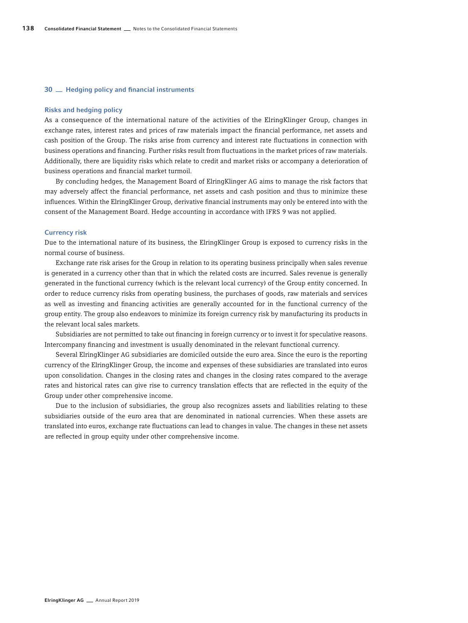#### 30  $\equiv$  Hedging policy and financial instruments

### Risks and hedging policy

As a consequence of the international nature of the activities of the ElringKlinger Group, changes in exchange rates, interest rates and prices of raw materials impact the financial performance, net assets and cash position of the Group. The risks arise from currency and interest rate fluctuations in connection with business operations and financing. Further risks result from fluctuations in the market prices of raw materials. Additionally, there are liquidity risks which relate to credit and market risks or accompany a deterioration of business operations and financial market turmoil.

By concluding hedges, the Management Board of ElringKlinger AG aims to manage the risk factors that may adversely affect the financial performance, net assets and cash position and thus to minimize these influences. Within the ElringKlinger Group, derivative financial instruments may only be entered into with the consent of the Management Board. Hedge accounting in accordance with IFRS 9 was not applied.

### Currency risk

Due to the international nature of its business, the ElringKlinger Group is exposed to currency risks in the normal course of business.

Exchange rate risk arises for the Group in relation to its operating business principally when sales revenue is generated in a currency other than that in which the related costs are incurred. Sales revenue is generally generated in the functional currency (which is the relevant local currency) of the Group entity concerned. In order to reduce currency risks from operating business, the purchases of goods, raw materials and services as well as investing and financing activities are generally accounted for in the functional currency of the group entity. The group also endeavors to minimize its foreign currency risk by manufacturing its products in the relevant local sales markets.

Subsidiaries are not permitted to take out financing in foreign currency or to invest it for speculative reasons. Intercompany financing and investment is usually denominated in the relevant functional currency.

Several ElringKlinger AG subsidiaries are domiciled outside the euro area. Since the euro is the reporting currency of the ElringKlinger Group, the income and expenses of these subsidiaries are translated into euros upon consolidation. Changes in the closing rates and changes in the closing rates compared to the average rates and historical rates can give rise to currency translation effects that are reflected in the equity of the Group under other comprehensive income.

Due to the inclusion of subsidiaries, the group also recognizes assets and liabilities relating to these subsidiaries outside of the euro area that are denominated in national currencies. When these assets are translated into euros, exchange rate fluctuations can lead to changes in value. The changes in these net assets are reflected in group equity under other comprehensive income.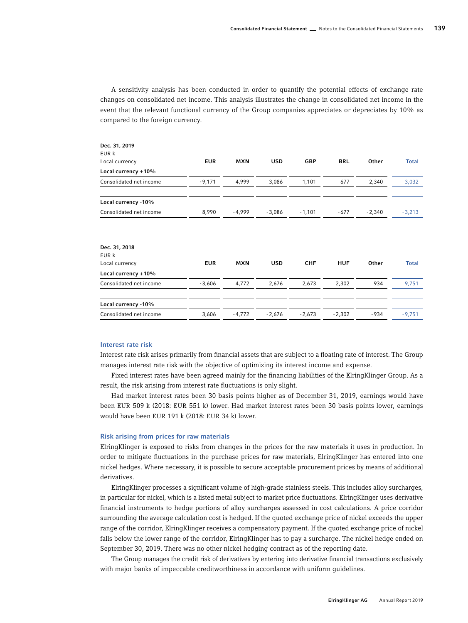A sensitivity analysis has been conducted in order to quantify the potential effects of exchange rate changes on consolidated net income. This analysis illustrates the change in consolidated net income in the event that the relevant functional currency of the Group companies appreciates or depreciates by 10% as compared to the foreign currency.

| Dec. 31, 2019                                                   |            |            |            |            |            |          |              |
|-----------------------------------------------------------------|------------|------------|------------|------------|------------|----------|--------------|
| EUR k                                                           |            |            |            |            |            |          |              |
| Local currency                                                  | <b>EUR</b> | <b>MXN</b> | <b>USD</b> | <b>GBP</b> | <b>BRL</b> | Other    | <b>Total</b> |
| Local currency +10%                                             |            |            |            |            |            |          |              |
| Consolidated net income                                         | $-9,171$   | 4,999      | 3,086      | 1,101      | 677        | 2,340    | 3,032        |
| Local currency -10%                                             |            |            |            |            |            |          |              |
| Consolidated net income                                         | 8,990      | $-4,999$   | $-3,086$   | $-1,101$   | $-677$     | $-2,340$ | $-3,213$     |
| Dec. 31, 2018<br>EUR k<br>Local currency<br>Local currency +10% | <b>EUR</b> | <b>MXN</b> | <b>USD</b> | <b>CHF</b> | <b>HUF</b> | Other    | <b>Total</b> |
| Consolidated net income                                         | $-3,606$   | 4,772      | 2,676      | 2,673      | 2,302      | 934      | 9,751        |
| Local currency -10%                                             |            |            |            |            |            |          |              |
| Consolidated net income                                         | 3,606      | $-4,772$   | $-2,676$   | $-2,673$   | $-2,302$   | $-934$   | $-9,751$     |
|                                                                 |            |            |            |            |            |          |              |

### Interest rate risk

Interest rate risk arises primarily from financial assets that are subject to a floating rate of interest. The Group manages interest rate risk with the objective of optimizing its interest income and expense.

Fixed interest rates have been agreed mainly for the financing liabilities of the ElringKlinger Group. As a result, the risk arising from interest rate fluctuations is only slight.

Had market interest rates been 30 basis points higher as of December 31, 2019, earnings would have been EUR 509 k (2018: EUR 551 k) lower. Had market interest rates been 30 basis points lower, earnings would have been EUR 191 k (2018: EUR 34 k) lower.

### Risk arising from prices for raw materials

ElringKlinger is exposed to risks from changes in the prices for the raw materials it uses in production. In order to mitigate fluctuations in the purchase prices for raw materials, ElringKlinger has entered into one nickel hedges. Where necessary, it is possible to secure acceptable procurement prices by means of additional derivatives.

ElringKlinger processes a significant volume of high-grade stainless steels. This includes alloy surcharges, in particular for nickel, which is a listed metal subject to market price fluctuations. ElringKlinger uses derivative financial instruments to hedge portions of alloy surcharges assessed in cost calculations. A price corridor surrounding the average calculation cost is hedged. If the quoted exchange price of nickel exceeds the upper range of the corridor, ElringKlinger receives a compensatory payment. If the quoted exchange price of nickel falls below the lower range of the corridor, ElringKlinger has to pay a surcharge. The nickel hedge ended on September 30, 2019. There was no other nickel hedging contract as of the reporting date.

The Group manages the credit risk of derivatives by entering into derivative financial transactions exclusively with major banks of impeccable creditworthiness in accordance with uniform guidelines.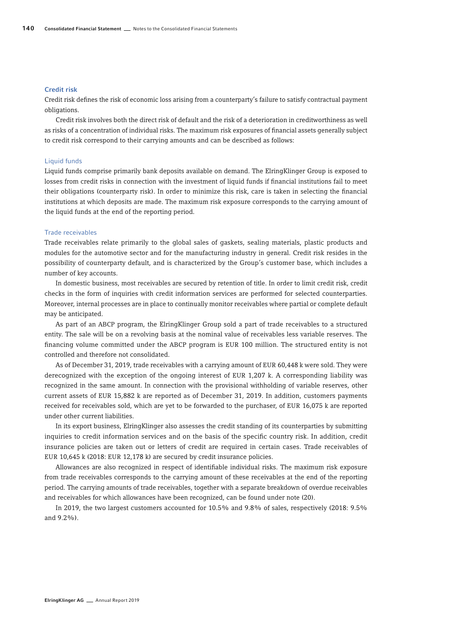#### Credit risk

Credit risk defines the risk of economic loss arising from a counterparty's failure to satisfy contractual payment obligations.

Credit risk involves both the direct risk of default and the risk of a deterioration in creditworthiness as well as risks of a concentration of individual risks. The maximum risk exposures of financial assets generally subject to credit risk correspond to their carrying amounts and can be described as follows:

### Liquid funds

Liquid funds comprise primarily bank deposits available on demand. The ElringKlinger Group is exposed to losses from credit risks in connection with the investment of liquid funds if financial institutions fail to meet their obligations (counterparty risk). In order to minimize this risk, care is taken in selecting the financial institutions at which deposits are made. The maximum risk exposure corresponds to the carrying amount of the liquid funds at the end of the reporting period.

### Trade receivables

Trade receivables relate primarily to the global sales of gaskets, sealing materials, plastic products and modules for the automotive sector and for the manufacturing industry in general. Credit risk resides in the possibility of counterparty default, and is characterized by the Group's customer base, which includes a number of key accounts.

In domestic business, most receivables are secured by retention of title. In order to limit credit risk, credit checks in the form of inquiries with credit information services are performed for selected counterparties. Moreover, internal processes are in place to continually monitor receivables where partial or complete default may be anticipated.

As part of an ABCP program, the ElringKlinger Group sold a part of trade receivables to a structured entity. The sale will be on a revolving basis at the nominal value of receivables less variable reserves. The financing volume committed under the ABCP program is EUR 100 million. The structured entity is not controlled and therefore not consolidated.

As of December 31, 2019, trade receivables with a carrying amount of EUR 60,448 k were sold. They were derecognized with the exception of the ongoing interest of EUR 1,207 k. A corresponding liability was recognized in the same amount. In connection with the provisional withholding of variable reserves, other current assets of EUR 15,882 k are reported as of December 31, 2019. In addition, customers payments received for receivables sold, which are yet to be forwarded to the purchaser, of EUR 16,075 k are reported under other current liabilities.

In its export business, ElringKlinger also assesses the credit standing of its counterparties by submitting inquiries to credit information services and on the basis of the specific country risk. In addition, credit insurance policies are taken out or letters of credit are required in certain cases. Trade receivables of EUR 10,645 k (2018: EUR 12,178 k) are secured by credit insurance policies.

Allowances are also recognized in respect of identifiable individual risks. The maximum risk exposure from trade receivables corresponds to the carrying amount of these receivables at the end of the reporting period. The carrying amounts of trade receivables, together with a separate breakdown of overdue receivables and receivables for which allowances have been recognized, can be found under note (20).

In 2019, the two largest customers accounted for 10.5% and 9.8% of sales, respectively (2018: 9.5% and 9.2%).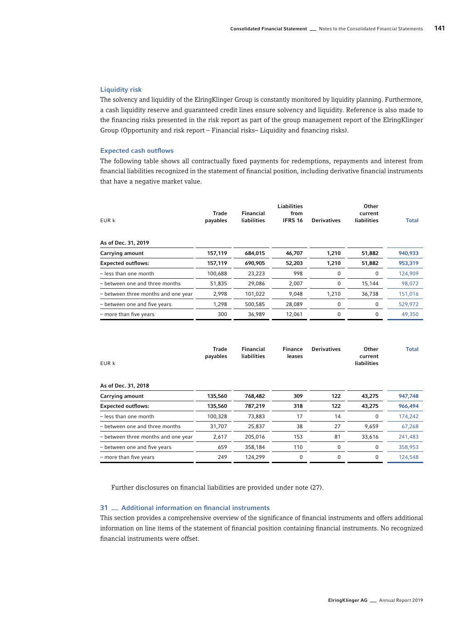## Liquidity risk

The solvency and liquidity of the ElringKlinger Group is constantly monitored by liquidity planning. Furthermore, a cash liquidity reserve and guaranteed credit lines ensure solvency and liquidity. Reference is also made to the financing risks presented in the risk report as part of the group management report of the ElringKlinger Group (Opportunity and risk report – Financial risks– Liquidity and financing risks).

#### Expected cash outflows

The following table shows all contractually fixed payments for redemptions, repayments and interest from financial liabilities recognized in the statement of financial position, including derivative financial instruments that have a negative market value.

| Trade<br>payables | <b>Financial</b><br><b>liabilities</b> | <b>Liabilities</b><br>from<br><b>IFRS 16</b> | <b>Derivatives</b> | Other<br>current<br><b>liabilities</b> | <b>Total</b> |
|-------------------|----------------------------------------|----------------------------------------------|--------------------|----------------------------------------|--------------|
|                   |                                        |                                              |                    |                                        |              |
| 157,119           | 684,015                                | 46,707                                       | 1,210              | 51,882                                 | 940,933      |
| 157,119           | 690,905                                | 52,203                                       | 1,210              | 51,882                                 | 953,319      |
| 100,688           | 23,223                                 | 998                                          | 0                  | 0                                      | 124,909      |
| 51,835            | 29,086                                 | 2,007                                        | 0                  | 15,144                                 | 98,072       |
| 2,998             | 101,022                                | 9,048                                        | 1,210              | 36,738                                 | 151,016      |
| 1,298             | 500,585                                | 28,089                                       | 0                  | 0                                      | 529,972      |
| 300               | 36,989                                 | 12,061                                       | 0                  | 0                                      | 49,350       |
|                   |                                        |                                              |                    |                                        |              |

| EUR k                               | <b>Trade</b><br>payables | <b>Financial</b><br>liabilities | <b>Finance</b><br>leases | <b>Derivatives</b> | Other<br>current<br><b>liabilities</b> | <b>Total</b> |
|-------------------------------------|--------------------------|---------------------------------|--------------------------|--------------------|----------------------------------------|--------------|
| As of Dec. 31, 2018                 |                          |                                 |                          |                    |                                        |              |
| Carrying amount                     | 135,560                  | 768,482                         | 309                      | 122                | 43,275                                 | 947,748      |
| <b>Expected outflows:</b>           | 135,560                  | 787,219                         | 318                      | 122                | 43,275                                 | 966,494      |
| $-$ less than one month             | 100,328                  | 73,883                          | 17                       | 14                 | 0                                      | 174,242      |
| - between one and three months      | 31,707                   | 25,837                          | 38                       | 27                 | 9,659                                  | 67,268       |
| - between three months and one year | 2,617                    | 205.016                         | 153                      | 81                 | 33,616                                 | 241,483      |
| - between one and five years        | 659                      | 358,184                         | 110                      | 0                  | 0                                      | 358,953      |
| - more than five years              | 249                      | 124,299                         | 0                        | 0                  | $\Omega$                               | 124,548      |

Further disclosures on financial liabilities are provided under note (27).

# 31 <sub>-</sub> Additional information on financial instruments

This section provides a comprehensive overview of the significance of financial instruments and offers additional information on line items of the statement of financial position containing financial instruments. No recognized financial instruments were offset.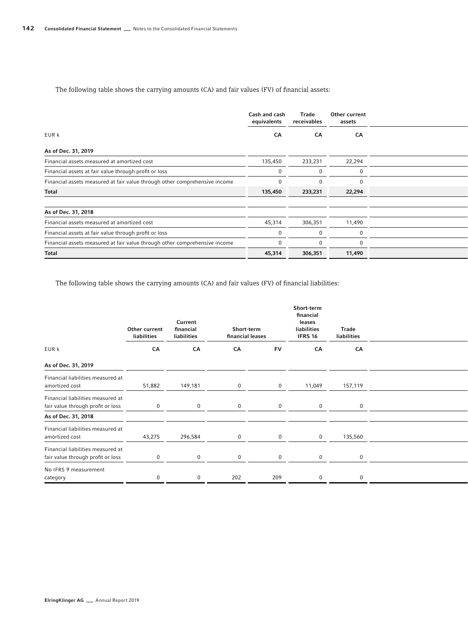# The following table shows the carrying amounts (CA) and fair values (FV) of financial assets:

|                                                                            | Cash and cash<br>equivalents | <b>Trade</b><br>receivables | Other current<br>assets |  |
|----------------------------------------------------------------------------|------------------------------|-----------------------------|-------------------------|--|
| EUR k                                                                      | CA                           | CA                          | CA                      |  |
| As of Dec. 31, 2019                                                        |                              |                             |                         |  |
| Financial assets measured at amortized cost                                | 135,450                      | 233,231                     | 22,294                  |  |
| Financial assets at fair value through profit or loss                      |                              |                             |                         |  |
| Financial assets measured at fair value through other comprehensive income |                              |                             |                         |  |
| Total                                                                      | 135,450                      | 233,231                     | 22,294                  |  |
| As of Dec. 31, 2018                                                        |                              |                             |                         |  |
| Financial assets measured at amortized cost                                | 45,314                       | 306,351                     | 11,490                  |  |
| Financial assets at fair value through profit or loss                      |                              |                             |                         |  |
| Financial assets measured at fair value through other comprehensive income |                              |                             |                         |  |
| Total                                                                      | 45,314                       | 306,351                     | 11,490                  |  |

The following table shows the carrying amounts (CA) and fair values (FV) of financial liabilities:

|                                                                        | Other current<br>liabilities | Current<br>financial<br>liabilities | Short-term<br>financial leases |           | Short-term<br>financial<br>leases<br>liabilities<br><b>IFRS 16</b> | Trade<br>liabilities |  |
|------------------------------------------------------------------------|------------------------------|-------------------------------------|--------------------------------|-----------|--------------------------------------------------------------------|----------------------|--|
| EUR k                                                                  | CA                           | CA                                  | CA                             | <b>FV</b> | CA                                                                 | CA                   |  |
| As of Dec. 31, 2019                                                    |                              |                                     |                                |           |                                                                    |                      |  |
| Financial liabilities measured at<br>amortized cost                    | 51,882                       | 149,181                             |                                | $\Omega$  | 11,049                                                             | 157,119              |  |
| Financial liabilities measured at<br>fair value through profit or loss |                              |                                     |                                |           |                                                                    | $\cap$               |  |
| As of Dec. 31, 2018                                                    |                              |                                     |                                |           |                                                                    |                      |  |
| Financial liabilities measured at<br>amortized cost                    | 43,275                       | 296,584                             |                                |           |                                                                    | 135,560              |  |
| Financial liabilities measured at<br>fair value through profit or loss |                              |                                     |                                |           |                                                                    | $\Omega$             |  |
| No IFRS 9 measurement<br>category                                      |                              |                                     | 202                            | 209       | $\Omega$                                                           | $\Omega$             |  |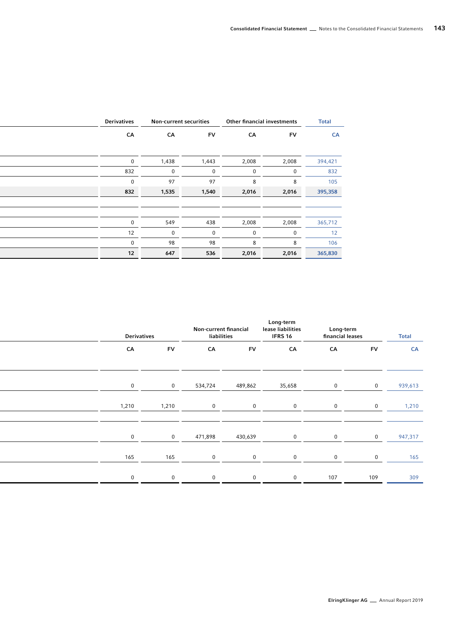| Derivatives | Non-current securities |           |          | Other financial investments |           |
|-------------|------------------------|-----------|----------|-----------------------------|-----------|
| CA          | CA                     | <b>FV</b> | CA       | <b>FV</b>                   | <b>CA</b> |
|             |                        |           |          |                             |           |
| $\mathbf 0$ | 1,438                  | 1,443     | 2,008    | 2,008                       | 394,421   |
| 832         | $\mathbf 0$            | $\Omega$  | $\Omega$ | $\Omega$                    | 832       |
| $\Omega$    | 97                     | 97        |          |                             | 105       |
| 832         | 1,535                  | 1,540     | 2,016    | 2,016                       | 395,358   |
|             |                        |           |          |                             |           |
|             |                        |           |          |                             |           |
| $\Omega$    | 549                    | 438       | 2,008    | 2,008                       | 365,712   |
| 12          | $\overline{0}$         | $\Omega$  | $\Omega$ | $\Omega$                    | 12        |
| $\mathbf 0$ | 98                     | 98        | 8        |                             | 106       |
| 12          | 647                    | 536       | 2,016    | 2,016                       | 365,830   |

| <b>Derivatives</b> |           | Non-current financial<br>liabilities |           | Long-term<br>lease liabilities<br><b>IFRS 16</b> |          | <b>Long-term</b><br>financial leases |           |
|--------------------|-----------|--------------------------------------|-----------|--------------------------------------------------|----------|--------------------------------------|-----------|
| CA                 | <b>FV</b> | CA                                   | <b>FV</b> | CA                                               | CA       | <b>FV</b>                            | <b>CA</b> |
|                    |           |                                      |           |                                                  |          |                                      |           |
| $\Omega$           | $\Omega$  | 534,724                              | 489,862   | 35,658                                           |          |                                      | 939,613   |
| 1,210              | 1,210     | $\Omega$                             |           | $\Omega$                                         |          |                                      | 1,210     |
|                    |           |                                      |           |                                                  |          |                                      |           |
|                    | $\Omega$  | 471,898                              | 430,639   | $\Omega$                                         |          | $\Omega$                             | 947,317   |
| 165                | 165       | $\Omega$                             | $\Omega$  | $\Omega$                                         | $\Omega$ | $\Omega$                             | 165       |
|                    |           | $\Omega$                             |           | $\Omega$                                         | 107      | 109                                  | 309       |
|                    |           |                                      |           |                                                  |          |                                      |           |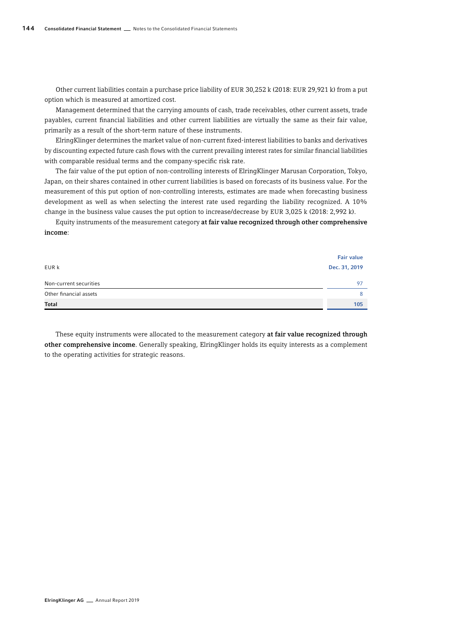Other current liabilities contain a purchase price liability of EUR 30,252 k (2018: EUR 29,921 k) from a put option which is measured at amortized cost.

Management determined that the carrying amounts of cash, trade receivables, other current assets, trade payables, current financial liabilities and other current liabilities are virtually the same as their fair value, primarily as a result of the short-term nature of these instruments.

ElringKlinger determines the market value of non-current fixed-interest liabilities to banks and derivatives by discounting expected future cash flows with the current prevailing interest rates for similar financial liabilities with comparable residual terms and the company-specific risk rate.

The fair value of the put option of non-controlling interests of ElringKlinger Marusan Corporation, Tokyo, Japan, on their shares contained in other current liabilities is based on forecasts of its business value. For the measurement of this put option of non-controlling interests, estimates are made when forecasting business development as well as when selecting the interest rate used regarding the liability recognized. A 10% change in the business value causes the put option to increase/decrease by EUR 3,025 k (2018: 2,992 k).

Equity instruments of the measurement category at fair value recognized through other comprehensive income:

| <b>Total</b>           | 105               |
|------------------------|-------------------|
| Other financial assets | 8                 |
| Non-current securities | 97                |
| EUR k                  | Dec. 31, 2019     |
|                        | <b>Fair value</b> |

These equity instruments were allocated to the measurement category at fair value recognized through other comprehensive income. Generally speaking, ElringKlinger holds its equity interests as a complement to the operating activities for strategic reasons.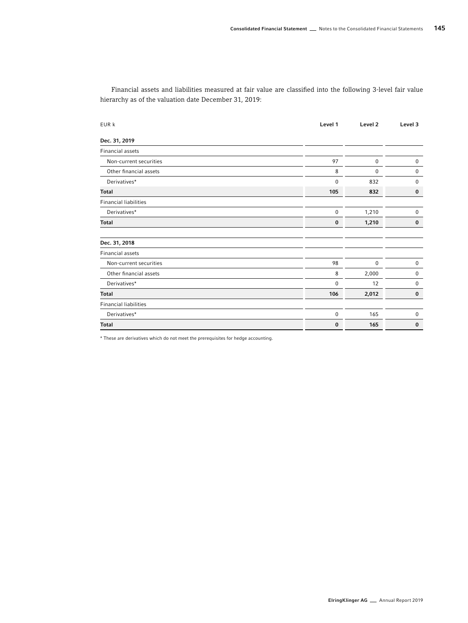Financial assets and liabilities measured at fair value are classified into the following 3-level fair value hierarchy as of the valuation date December 31, 2019:

| EUR k                        | Level 1     | Level <sub>2</sub> | Level 3     |
|------------------------------|-------------|--------------------|-------------|
| Dec. 31, 2019                |             |                    |             |
| <b>Financial assets</b>      |             |                    |             |
| Non-current securities       | 97          | 0                  | 0           |
| Other financial assets       | 8           | 0                  | $\mathbf 0$ |
| Derivatives*                 | $\mathbf 0$ | 832                | $\mathbf 0$ |
| <b>Total</b>                 | 105         | 832                | $\bf{0}$    |
| <b>Financial liabilities</b> |             |                    |             |
| Derivatives*                 | $\mathbf 0$ | 1,210              | $\mathbf 0$ |
| <b>Total</b>                 | $\bf{0}$    | 1,210              | $\bf{0}$    |
|                              |             |                    |             |
| Dec. 31, 2018                |             |                    |             |
| <b>Financial assets</b>      |             |                    |             |
| Non-current securities       | 98          | $\bf{0}$           | $\mathbf 0$ |
| Other financial assets       | 8           | 2,000              | 0           |
| Derivatives*                 | $\mathbf 0$ | 12                 | 0           |
| <b>Total</b>                 | 106         | 2,012              | $\bf{0}$    |
| <b>Financial liabilities</b> |             |                    |             |
| Derivatives*                 | $\bf{0}$    | 165                | $\mathbf 0$ |
| <b>Total</b>                 | $\bf{0}$    | 165                | $\bf{0}$    |

\* These are derivatives which do not meet the prerequisites for hedge accounting.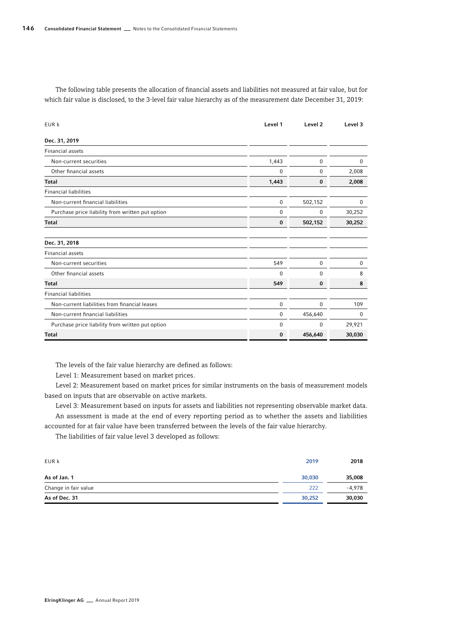The following table presents the allocation of financial assets and liabilities not measured at fair value, but for which fair value is disclosed, to the 3-level fair value hierarchy as of the measurement date December 31, 2019:

| EUR k                                            | Level 1     | Level 2     | Level 3  |
|--------------------------------------------------|-------------|-------------|----------|
| Dec. 31, 2019                                    |             |             |          |
| <b>Financial assets</b>                          |             |             |          |
| Non-current securities                           | 1,443       | 0           | 0        |
| Other financial assets                           | 0           | $\mathbf 0$ | 2,008    |
| <b>Total</b>                                     | 1,443       | $\bf{0}$    | 2,008    |
| <b>Financial liabilities</b>                     |             |             |          |
| Non-current financial liabilities                | $\mathbf 0$ | 502,152     | 0        |
| Purchase price liability from written put option | 0           | 0           | 30,252   |
| <b>Total</b>                                     | 0           | 502,152     | 30,252   |
| Dec. 31, 2018                                    |             |             |          |
| <b>Financial assets</b>                          |             |             |          |
| Non-current securities                           | 549         | $\mathbf 0$ | 0        |
| Other financial assets                           | 0           | $\mathbf 0$ | 8        |
| <b>Total</b>                                     | 549         | 0           | 8        |
| <b>Financial liabilities</b>                     |             |             |          |
| Non-current liabilities from financial leases    | 0           | 0           | 109      |
| Non-current financial liabilities                | $\mathbf 0$ | 456,640     | $\Omega$ |
| Purchase price liability from written put option | 0           | 0           | 29,921   |
| <b>Total</b>                                     | $\bf{0}$    | 456,640     | 30,030   |

The levels of the fair value hierarchy are defined as follows:

Level 1: Measurement based on market prices.

Level 2: Measurement based on market prices for similar instruments on the basis of measurement models based on inputs that are observable on active markets.

Level 3: Measurement based on inputs for assets and liabilities not representing observable market data. An assessment is made at the end of every reporting period as to whether the assets and liabilities accounted for at fair value have been transferred between the levels of the fair value hierarchy.

The liabilities of fair value level 3 developed as follows:

| EUR k                | 2019   | 2018     |
|----------------------|--------|----------|
| As of Jan. 1         | 30,030 | 35,008   |
| Change in fair value | 222    | $-4.978$ |
| As of Dec. 31        | 30,252 | 30,030   |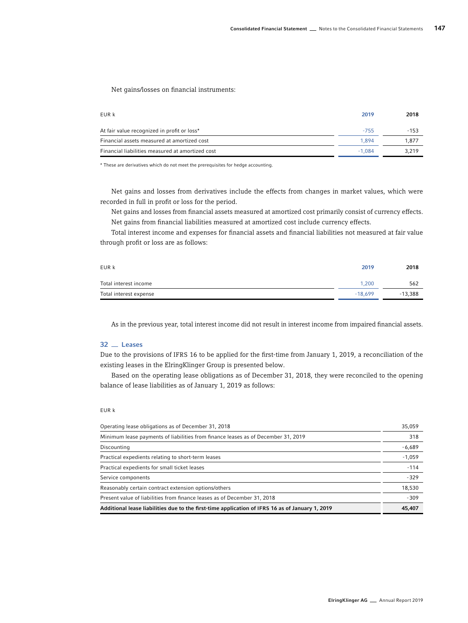Net gains/losses on financial instruments:

| EUR k                                            | 2019     | 2018   |
|--------------------------------------------------|----------|--------|
| At fair value recognized in profit or loss*      | $-755$   | $-153$ |
| Financial assets measured at amortized cost      | 1.894    | 1.877  |
| Financial liabilities measured at amortized cost | $-1.084$ | 3.219  |

\* These are derivatives which do not meet the prerequisites for hedge accounting.

Net gains and losses from derivatives include the effects from changes in market values, which were recorded in full in profit or loss for the period.

Net gains and losses from financial assets measured at amortized cost primarily consist of currency effects. Net gains from financial liabilities measured at amortized cost include currency effects.

Total interest income and expenses for financial assets and financial liabilities not measured at fair value through profit or loss are as follows:

| EUR k                  | 2019      | 2018      |
|------------------------|-----------|-----------|
| Total interest income  | 1.200     | 562       |
| Total interest expense | $-18.699$ | $-13,388$ |

As in the previous year, total interest income did not result in interest income from impaired financial assets.

## 32 Leases

Due to the provisions of IFRS 16 to be applied for the first-time from January 1, 2019, a reconciliation of the existing leases in the ElringKlinger Group is presented below.

Based on the operating lease obligations as of December 31, 2018, they were reconciled to the opening balance of lease liabilities as of January 1, 2019 as follows:

# EUR k

| Operating lease obligations as of December 31, 2018                                             | 35,059   |
|-------------------------------------------------------------------------------------------------|----------|
| Minimum lease payments of liabilities from finance leases as of December 31, 2019               | 318      |
| Discounting                                                                                     | $-6,689$ |
| Practical expedients relating to short-term leases                                              | $-1,059$ |
| Practical expedients for small ticket leases                                                    | $-114$   |
| Service components                                                                              | $-329$   |
| Reasonably certain contract extension options/others                                            | 18,530   |
| Present value of liabilities from finance leases as of December 31, 2018                        | $-309$   |
| Additional lease liabilities due to the first-time application of IFRS 16 as of January 1, 2019 | 45,407   |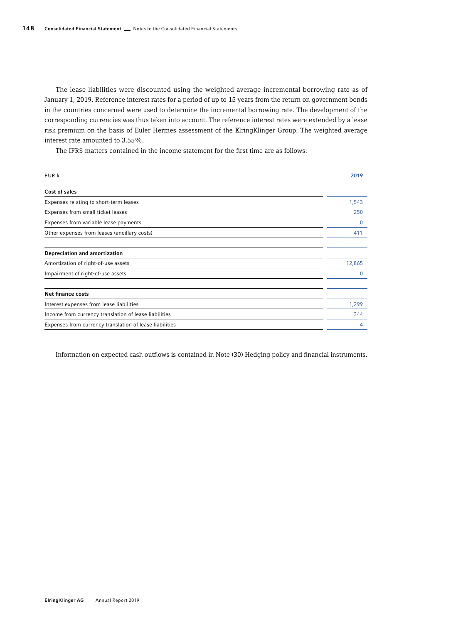The lease liabilities were discounted using the weighted average incremental borrowing rate as of January 1, 2019. Reference interest rates for a period of up to 15 years from the return on government bonds in the countries concerned were used to determine the incremental borrowing rate. The development of the corresponding currencies was thus taken into account. The reference interest rates were extended by a lease risk premium on the basis of Euler Hermes assessment of the ElringKlinger Group. The weighted average interest rate amounted to 3.55%.

The IFRS matters contained in the income statement for the first time are as follows:

| EUR k                                                   | 2019   |
|---------------------------------------------------------|--------|
| Cost of sales                                           |        |
| Expenses relating to short-term leases                  | 1,543  |
| Expenses from small ticket leases                       | 250    |
| Expenses from variable lease payments                   | 0      |
| Other expenses from leases (ancillary costs)            | 411    |
| Depreciation and amortization                           |        |
| Amortization of right-of-use assets                     | 12,865 |
| Impairment of right-of-use assets                       | 0      |
| Net finance costs                                       |        |
| Interest expenses from lease liabilities                | 1,299  |
| Income from currency translation of lease liabilities   | 344    |
| Expenses from currency translation of lease liabilities | 4      |

Information on expected cash outflows is contained in Note (30) Hedging policy and financial instruments.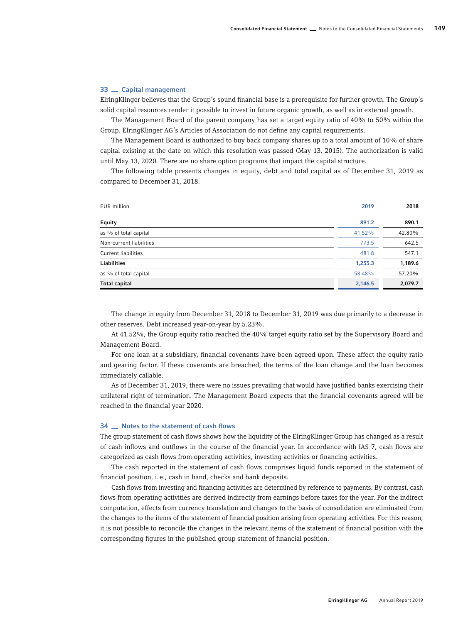### 33 Capital management

ElringKlinger believes that the Group's sound financial base is a prerequisite for further growth. The Group's solid capital resources render it possible to invest in future organic growth, as well as in external growth.

The Management Board of the parent company has set a target equity ratio of 40% to 50% within the Group. ElringKlinger AG's Articles of Association do not define any capital requirements.

The Management Board is authorized to buy back company shares up to a total amount of 10% of share capital existing at the date on which this resolution was passed (May 13, 2015). The authorization is valid until May 13, 2020. There are no share option programs that impact the capital structure.

The following table presents changes in equity, debt and total capital as of December 31, 2019 as compared to December 31, 2018.

| <b>EUR</b> million      | 2019    | 2018    |
|-------------------------|---------|---------|
| Equity                  | 891.2   | 890.1   |
| as % of total capital   | 41.52%  | 42.80%  |
| Non-current liabilities | 773.5   | 642.5   |
| Current liabilities     | 481.8   | 547.1   |
| Liabilities             | 1,255.3 | 1,189.6 |
| as % of total capital   | 58.48%  | 57.20%  |
| Total capital           | 2,146.5 | 2,079.7 |

The change in equity from December 31, 2018 to December 31, 2019 was due primarily to a decrease in other reserves. Debt increased year-on-year by 5.23%.

At 41.52%, the Group equity ratio reached the 40% target equity ratio set by the Supervisory Board and Management Board.

For one loan at a subsidiary, financial covenants have been agreed upon. These affect the equity ratio and gearing factor. If these covenants are breached, the terms of the loan change and the loan becomes immediately callable.

As of December 31, 2019, there were no issues prevailing that would have justified banks exercising their unilateral right of termination. The Management Board expects that the financial covenants agreed will be reached in the financial year 2020.

### 34  $\equiv$  Notes to the statement of cash flows

The group statement of cash flows shows how the liquidity of the ElringKlinger Group has changed as a result of cash inflows and outflows in the course of the financial year. In accordance with IAS 7, cash flows are categorized as cash flows from operating activities, investing activities or financing activities.

The cash reported in the statement of cash flows comprises liquid funds reported in the statement of financial position, i.e., cash in hand, checks and bank deposits.

Cash flows from investing and financing activities are determined by reference to payments. By contrast, cash flows from operating activities are derived indirectly from earnings before taxes for the year. For the indirect computation, effects from currency translation and changes to the basis of consolidation are eliminated from the changes to the items of the statement of financial position arising from operating activities. For this reason, it is not possible to reconcile the changes in the relevant items of the statement of financial position with the corresponding figures in the published group statement of financial position.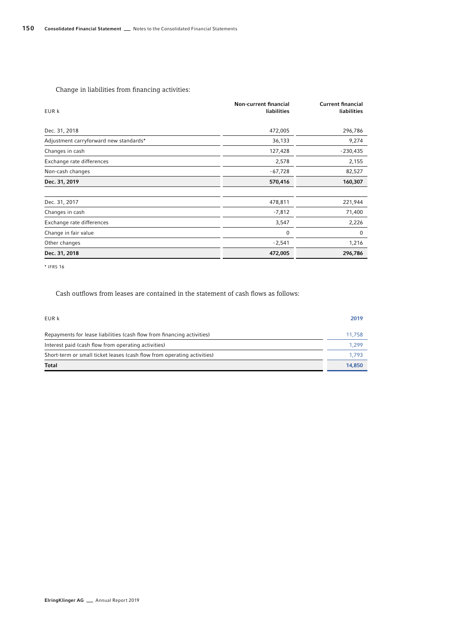# Change in liabilities from financing activities:

| EUR k                                  | Non-current financial<br><b>liabilities</b> | <b>Current financial</b><br><b>liabilities</b> |
|----------------------------------------|---------------------------------------------|------------------------------------------------|
| Dec. 31, 2018                          | 472,005                                     | 296,786                                        |
| Adjustment carryforward new standards* | 36,133                                      | 9,274                                          |
| Changes in cash                        | 127,428                                     | $-230,435$                                     |
| Exchange rate differences              | 2,578                                       | 2,155                                          |
| Non-cash changes                       | $-67,728$                                   | 82,527                                         |
| Dec. 31, 2019                          | 570,416                                     | 160,307                                        |
| Dec. 31, 2017                          | 478,811                                     | 221,944                                        |
| Changes in cash                        | $-7,812$                                    | 71,400                                         |
| Exchange rate differences              | 3,547                                       | 2,226                                          |
| Change in fair value                   | 0                                           | 0                                              |
| Other changes                          | $-2,541$                                    | 1,216                                          |
| Dec. 31, 2018                          | 472,005                                     | 296,786                                        |

\* IFRS 16

Cash outflows from leases are contained in the statement of cash flows as follows:

| <b>Total</b>                                                            | 14,850 |
|-------------------------------------------------------------------------|--------|
| Short-term or small ticket leases (cash flow from operating activities) | 1.793  |
| Interest paid (cash flow from operating activities)                     | 1.299  |
| Repayments for lease liabilities (cash flow from financing activities)  | 11.758 |
| EUR k                                                                   | 2019   |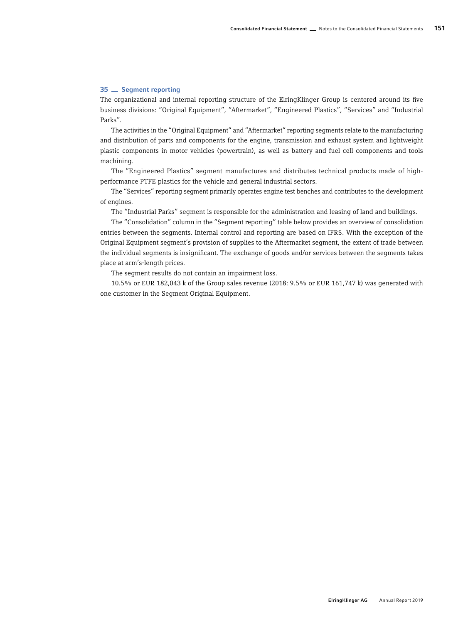# 35 Segment reporting

The organizational and internal reporting structure of the ElringKlinger Group is centered around its five business divisions: "Original Equipment", "Aftermarket", "Engineered Plastics", "Services" and "Industrial Parks".

The activities in the "Original Equipment" and "Aftermarket" reporting segments relate to the manufacturing and distribution of parts and components for the engine, transmission and exhaust system and lightweight plastic components in motor vehicles (powertrain), as well as battery and fuel cell components and tools machining.

The "Engineered Plastics" segment manufactures and distributes technical products made of highperformance PTFE plastics for the vehicle and general industrial sectors.

The "Services" reporting segment primarily operates engine test benches and contributes to the development of engines.

The "Industrial Parks" segment is responsible for the administration and leasing of land and buildings.

The "Consolidation" column in the "Segment reporting" table below provides an overview of consolidation entries between the segments. Internal control and reporting are based on IFRS. With the exception of the Original Equipment segment's provision of supplies to the Aftermarket segment, the extent of trade between the individual segments is insignificant. The exchange of goods and/or services between the segments takes place at arm's-length prices.

The segment results do not contain an impairment loss.

10.5% or EUR 182,043 k of the Group sales revenue (2018: 9.5% or EUR 161,747 k) was generated with one customer in the Segment Original Equipment.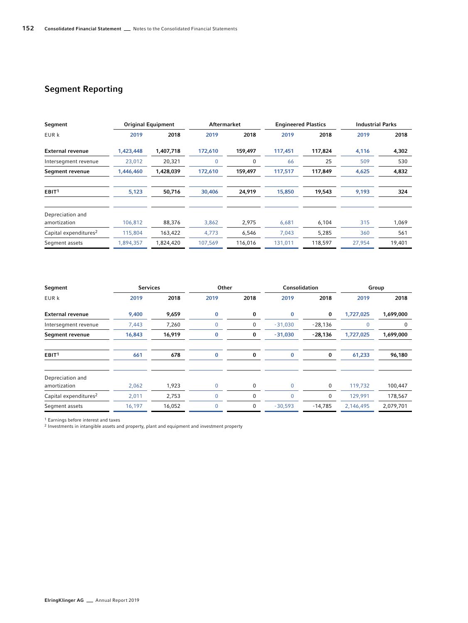# Segment Reporting

| Segment                           |           | <b>Original Equipment</b> | <b>Aftermarket</b> |         | <b>Engineered Plastics</b> |         | <b>Industrial Parks</b> |        |
|-----------------------------------|-----------|---------------------------|--------------------|---------|----------------------------|---------|-------------------------|--------|
| EUR k                             | 2019      | 2018                      | 2019               | 2018    | 2019                       | 2018    | 2019                    | 2018   |
| <b>External revenue</b>           | 1,423,448 | 1,407,718                 | 172,610            | 159,497 | 117,451                    | 117,824 | 4,116                   | 4,302  |
| Intersegment revenue              | 23,012    | 20,321                    | 0                  | 0       | 66                         | 25      | 509                     | 530    |
| Segment revenue                   | 1,446,460 | 1,428,039                 | 172,610            | 159,497 | 117,517                    | 117,849 | 4,625                   | 4,832  |
| EBIT <sup>1</sup>                 | 5,123     | 50,716                    | 30,406             | 24,919  | 15,850                     | 19,543  | 9,193                   | 324    |
| Depreciation and<br>amortization  | 106,812   | 88,376                    | 3,862              | 2,975   | 6,681                      | 6,104   | 315                     | 1,069  |
| Capital expenditures <sup>2</sup> | 115,804   | 163,422                   | 4,773              | 6,546   | 7,043                      | 5,285   | 360                     | 561    |
| Segment assets                    | 1,894,357 | 1,824,420                 | 107,569            | 116,016 | 131,011                    | 118,597 | 27,954                  | 19,401 |

| Segment                           | <b>Services</b> |        | Other |      | Consolidation |           |             | Group     |
|-----------------------------------|-----------------|--------|-------|------|---------------|-----------|-------------|-----------|
| EUR k                             | 2019            | 2018   | 2019  | 2018 | 2019          | 2018      | 2019        | 2018      |
| <b>External revenue</b>           | 9,400           | 9,659  | 0     | 0    | 0             | 0         | 1,727,025   | 1,699,000 |
| Intersegment revenue              | 7,443           | 7,260  | 0     | 0    | $-31,030$     | $-28,136$ | $\mathbf 0$ | 0         |
| Segment revenue                   | 16,843          | 16,919 | 0     | 0    | $-31,030$     | $-28,136$ | 1,727,025   | 1,699,000 |
| EBIT <sup>1</sup>                 | 661             | 678    | 0     | 0    | 0             | 0         | 61,233      | 96,180    |
| Depreciation and<br>amortization  | 2,062           | 1,923  | 0     | 0    | 0             | 0         | 119,732     | 100,447   |
| Capital expenditures <sup>2</sup> | 2,011           | 2,753  | 0     | 0    | 0             | 0         | 129,991     | 178,567   |
| Segment assets                    | 16,197          | 16,052 |       | 0    | $-30,593$     | $-14,785$ | 2,146,495   | 2,079,701 |
|                                   |                 |        |       |      |               |           |             |           |

1 Earnings before interest and taxes

2 Investments in intangible assets and property, plant and equipment and investment property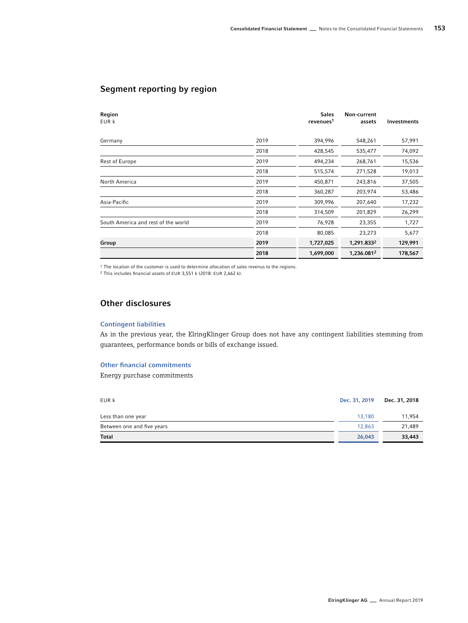# Segment reporting by region

| Region<br>EUR k                     |      | <b>Sales</b><br>revenues <sup>1</sup> | Non-current<br>assets | <b>Investments</b> |
|-------------------------------------|------|---------------------------------------|-----------------------|--------------------|
| Germany                             | 2019 | 394,996                               | 548,261               | 57,991             |
|                                     | 2018 | 428,545                               | 535,477               | 74,092             |
| Rest of Europe                      | 2019 | 494,234                               | 268,761               | 15,536             |
|                                     | 2018 | 515,574                               | 271,528               | 19,013             |
| North America                       | 2019 | 450,871                               | 243,816               | 37,505             |
|                                     | 2018 | 360,287                               | 203,974               | 53,486             |
| Asia-Pacific                        | 2019 | 309,996                               | 207,640               | 17,232             |
|                                     | 2018 | 314,509                               | 201,829               | 26,299             |
| South America and rest of the world | 2019 | 76,928                                | 23,355                | 1,727              |
|                                     | 2018 | 80,085                                | 23,273                | 5,677              |
| Group                               | 2019 | 1,727,025                             | 1,291.8332            | 129,991            |
|                                     | 2018 | 1,699,000                             | 1,236.0812            | 178,567            |

1 The location of the customer is used to determine allocation of sales revenus to the regions.

2 This includes financial assets of EUR 3,551 k (2018: EUR 2,662 k).

# Other disclosures

# Contingent liabilities

As in the previous year, the ElringKlinger Group does not have any contingent liabilities stemming from guarantees, performance bonds or bills of exchange issued.

# Other financial commitments

Energy purchase commitments

| EUR k                      | Dec. 31, 2019 | Dec. 31, 2018 |
|----------------------------|---------------|---------------|
| Less than one year         | 13,180        | 11,954        |
| Between one and five years | 12,863        | 21,489        |
| Total                      | 26,043        | 33,443        |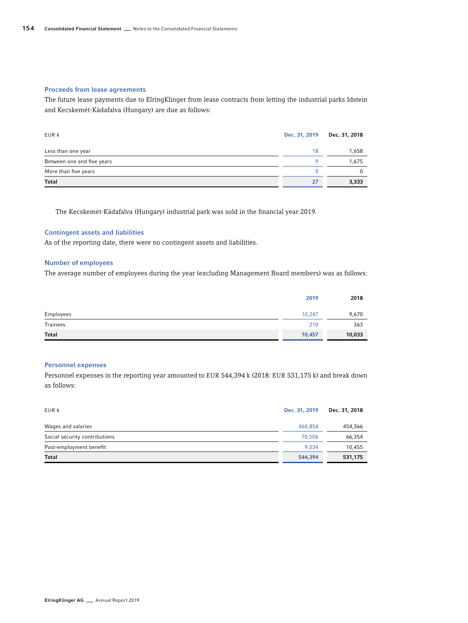### Proceeds from lease agreements

The future lease payments due to ElringKlinger from lease contracts from letting the industrial parks Idstein and Kecskemét-Kádafalva (Hungary) are due as follows:

| EUR k                      | Dec. 31, 2019 | Dec. 31, 2018 |
|----------------------------|---------------|---------------|
| Less than one year         | 18            | 1,658         |
| Between one and five years | o             | 1,675         |
| More than five years       |               |               |
| <b>Total</b>               | 27            | 3,333         |

The Kecskemét-Kádafalva (Hungary) industrial park was sold in the financial year 2019.

# Contingent assets and liabilities

As of the reporting date, there were no contingent assets and liabilities.

### Number of employees

The average number of employees during the year (excluding Management Board members) was as follows:

|              | 2019   | 2018   |
|--------------|--------|--------|
| Employees    | 10,247 | 9,670  |
| Trainees     | 210    | 363    |
| <b>Total</b> | 10,457 | 10,033 |

# Personnel expenses

Personnel expenses in the reporting year amounted to EUR 544,394 k (2018: EUR 531,175 k) and break down as follows:

| EUR k                         | Dec. 31, 2019 | Dec. 31, 2018 |
|-------------------------------|---------------|---------------|
| Wages and salaries            | 464.854       | 454,366       |
| Social security contributions | 70.506        | 66,354        |
| Post-employment benefit       | 9.034         | 10,455        |
| <b>Total</b>                  | 544,394       | 531,175       |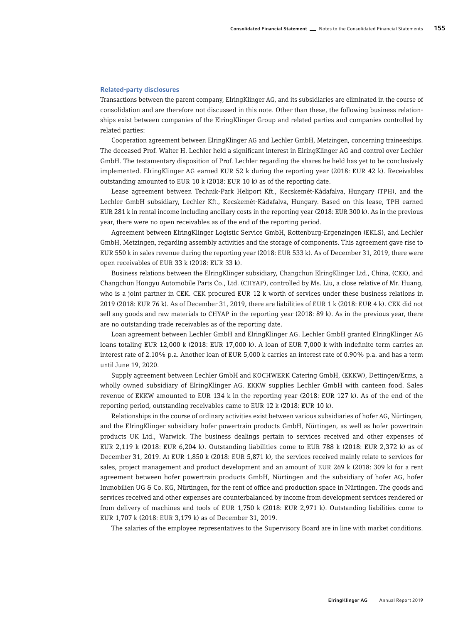### Related-party disclosures

Transactions between the parent company, ElringKlinger AG, and its subsidiaries are eliminated in the course of consolidation and are therefore not discussed in this note. Other than these, the following business relationships exist between companies of the ElringKlinger Group and related parties and companies controlled by related parties:

Cooperation agreement between ElringKlinger AG and Lechler GmbH, Metzingen, concerning traineeships. The deceased Prof. Walter H. Lechler held a significant interest in ElringKlinger AG and control over Lechler GmbH. The testamentary disposition of Prof. Lechler regarding the shares he held has yet to be conclusively implemented. ElringKlinger AG earned EUR 52 k during the reporting year (2018: EUR 42 k). Receivables outstanding amounted to EUR 10 k (2018: EUR 10 k) as of the reporting date.

Lease agreement between Technik-Park Heliport Kft., Kecskemét-Kádafalva, Hungary (TPH), and the Lechler GmbH subsidiary, Lechler Kft., Kecskemét-Kádafalva, Hungary. Based on this lease, TPH earned EUR 281 k in rental income including ancillary costs in the reporting year (2018: EUR 300 k). As in the previous year, there were no open receivables as of the end of the reporting period.

Agreement between ElringKlinger Logistic Service GmbH, Rottenburg-Ergenzingen (EKLS), and Lechler GmbH, Metzingen, regarding assembly activities and the storage of components. This agreement gave rise to EUR 550 k in sales revenue during the reporting year (2018: EUR 533 k). As of December 31, 2019, there were open receivables of EUR 33 k (2018: EUR 33 k).

Business relations between the ElringKlinger subsidiary, Changchun ElringKlinger Ltd., China, (CEK), and Changchun Hongyu Automobile Parts Co., Ltd. (CHYAP), controlled by Ms. Liu, a close relative of Mr. Huang, who is a joint partner in CEK. CEK procured EUR 12 k worth of services under these business relations in 2019 (2018: EUR 76 k). As of December 31, 2019, there are liabilities of EUR 1 k (2018: EUR 4 k). CEK did not sell any goods and raw materials to CHYAP in the reporting year (2018: 89 k). As in the previous year, there are no outstanding trade receivables as of the reporting date.

Loan agreement between Lechler GmbH and ElringKlinger AG. Lechler GmbH granted ElringKlinger AG loans totaling EUR 12,000 k (2018: EUR 17,000 k). A loan of EUR 7,000 k with indefinite term carries an interest rate of 2.10% p.a. Another loan of EUR 5,000 k carries an interest rate of 0.90% p.a. and has a term until June 19, 2020.

Supply agreement between Lechler GmbH and KOCHWERK Catering GmbH, (EKKW), Dettingen/Erms, a wholly owned subsidiary of ElringKlinger AG. EKKW supplies Lechler GmbH with canteen food. Sales revenue of EKKW amounted to EUR 134 k in the reporting year (2018: EUR 127 k). As of the end of the reporting period, outstanding receivables came to EUR 12 k (2018: EUR 10 k).

Relationships in the course of ordinary activities exist between various subsidiaries of hofer AG, Nürtingen, and the ElringKlinger subsidiary hofer powertrain products GmbH, Nürtingen, as well as hofer powertrain products UK Ltd., Warwick. The business dealings pertain to services received and other expenses of EUR 2,119 k (2018: EUR 6,204 k). Outstanding liabilities come to EUR 788 k (2018: EUR 2,372 k) as of December 31, 2019. At EUR 1,850 k (2018: EUR 5,871 k), the services received mainly relate to services for sales, project management and product development and an amount of EUR 269 k (2018: 309 k) for a rent agreement between hofer powertrain products GmbH, Nürtingen and the subsidiary of hofer AG, hofer Immobilien UG & Co. KG, Nürtingen, for the rent of office and production space in Nürtingen. The goods and services received and other expenses are counterbalanced by income from development services rendered or from delivery of machines and tools of EUR 1,750 k (2018: EUR 2,971 k). Outstanding liabilities come to EUR 1,707 k (2018: EUR 3,179 k) as of December 31, 2019.

The salaries of the employee representatives to the Supervisory Board are in line with market conditions.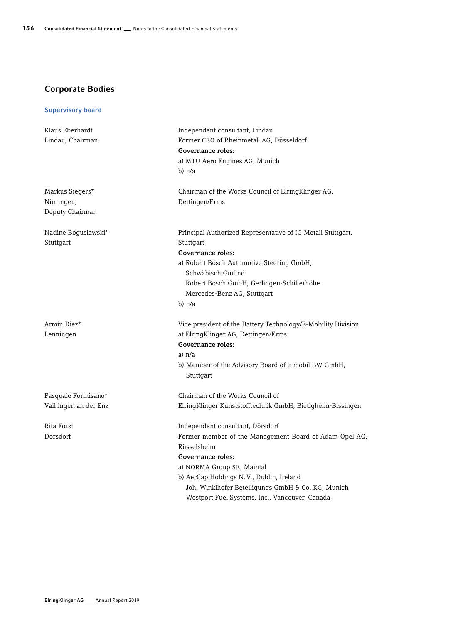# Corporate Bodies

# Supervisory board

| Klaus Eberhardt          | Independent consultant, Lindau                                                                      |
|--------------------------|-----------------------------------------------------------------------------------------------------|
| Lindau, Chairman         | Former CEO of Rheinmetall AG, Düsseldorf                                                            |
|                          | Governance roles:                                                                                   |
|                          | a) MTU Aero Engines AG, Munich                                                                      |
|                          | b) n/a                                                                                              |
| Markus Siegers*          | Chairman of the Works Council of ElringKlinger AG,                                                  |
| Nürtingen,               | Dettingen/Erms                                                                                      |
| Deputy Chairman          |                                                                                                     |
| Nadine Boguslawski*      | Principal Authorized Representative of IG Metall Stuttgart,                                         |
| Stuttgart                | Stuttgart                                                                                           |
|                          | Governance roles:                                                                                   |
|                          | a) Robert Bosch Automotive Steering GmbH,<br>Schwäbisch Gmünd                                       |
|                          | Robert Bosch GmbH, Gerlingen-Schillerhöhe                                                           |
|                          | Mercedes-Benz AG, Stuttgart                                                                         |
|                          | $b)$ n/a                                                                                            |
| Armin Diez*<br>Lenningen | Vice president of the Battery Technology/E-Mobility Division<br>at ElringKlinger AG, Dettingen/Erms |
|                          | Governance roles:                                                                                   |
|                          | $a)$ $n/a$                                                                                          |
|                          | b) Member of the Advisory Board of e-mobil BW GmbH,<br>Stuttgart                                    |
| Pasquale Formisano*      | Chairman of the Works Council of                                                                    |
| Vaihingen an der Enz     | ElringKlinger Kunststofftechnik GmbH, Bietigheim-Bissingen                                          |
| Rita Forst               | Independent consultant, Dörsdorf                                                                    |
| Dörsdorf                 | Former member of the Management Board of Adam Opel AG,                                              |
|                          | Rüsselsheim                                                                                         |
|                          | Governance roles:                                                                                   |
|                          | a) NORMA Group SE, Maintal                                                                          |
|                          | b) AerCap Holdings N.V., Dublin, Ireland                                                            |
|                          | Joh. Winklhofer Beteiligungs GmbH & Co. KG, Munich                                                  |
|                          | Westport Fuel Systems, Inc., Vancouver, Canada                                                      |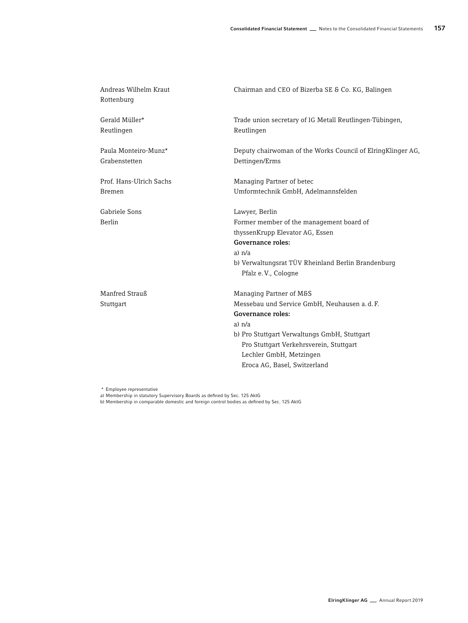| Andreas Wilhelm Kraut<br>Rottenburg   | Chairman and CEO of Bizerba SE & Co. KG, Balingen                              |
|---------------------------------------|--------------------------------------------------------------------------------|
| Gerald Müller*<br>Reutlingen          | Trade union secretary of IG Metall Reutlingen-Tübingen,<br>Reutlingen          |
| Paula Monteiro-Munz*<br>Grabenstetten | Deputy chairwoman of the Works Council of Elring Klinger AG,<br>Dettingen/Erms |
| Prof. Hans-Ulrich Sachs               | Managing Partner of betec                                                      |
| <b>Bremen</b>                         | Umformtechnik GmbH, Adelmannsfelden                                            |
| Gabriele Sons                         | Lawyer, Berlin                                                                 |
| <b>Berlin</b>                         | Former member of the management board of                                       |
|                                       | thyssenKrupp Elevator AG, Essen                                                |
|                                       | Governance roles:                                                              |
|                                       | $a)$ $n/a$                                                                     |
|                                       | b) Verwaltungsrat TÜV Rheinland Berlin Brandenburg<br>Pfalz e.V., Cologne      |
| Manfred Strauß                        | Managing Partner of M&S                                                        |
| Stuttgart                             | Messebau und Service GmbH, Neuhausen a.d.F.                                    |
|                                       | Governance roles:                                                              |
|                                       | $a)$ $n/a$                                                                     |
|                                       | b) Pro Stuttgart Verwaltungs GmbH, Stuttgart                                   |
|                                       | Pro Stuttgart Verkehrsverein, Stuttgart                                        |
|                                       | Lechler GmbH, Metzingen                                                        |
|                                       | Eroca AG, Basel, Switzerland                                                   |

\* Employee representative a) Membership in statutory Supervisory Boards as defined by Sec. 125 AktG b) Membership in comparable domestic and foreign control bodies as defined by Sec. 125 AktG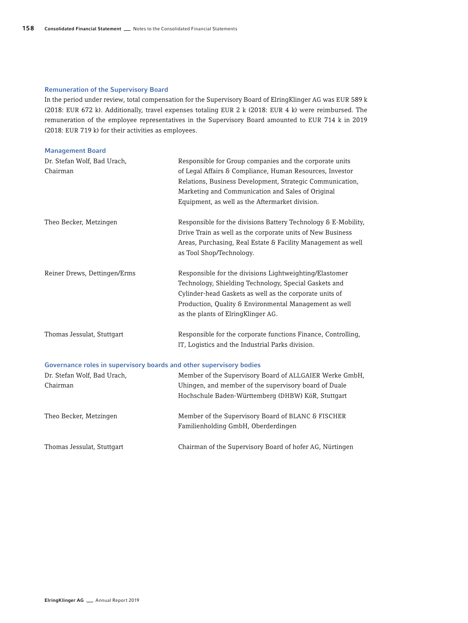# Remuneration of the Supervisory Board

In the period under review, total compensation for the Supervisory Board of ElringKlinger AG was EUR 589 k (2018: EUR 672 k). Additionally, travel expenses totaling EUR 2 k (2018: EUR 4 k) were reimbursed. The remuneration of the employee representatives in the Supervisory Board amounted to EUR 714 k in 2019 (2018: EUR 719 k) for their activities as employees.

| <b>Management Board</b>                                             |                                                                                          |  |  |
|---------------------------------------------------------------------|------------------------------------------------------------------------------------------|--|--|
| Dr. Stefan Wolf, Bad Urach,                                         | Responsible for Group companies and the corporate units                                  |  |  |
| Chairman                                                            | of Legal Affairs & Compliance, Human Resources, Investor                                 |  |  |
|                                                                     | Relations, Business Development, Strategic Communication,                                |  |  |
|                                                                     | Marketing and Communication and Sales of Original                                        |  |  |
|                                                                     | Equipment, as well as the Aftermarket division.                                          |  |  |
| Theo Becker, Metzingen                                              | Responsible for the divisions Battery Technology & E-Mobility,                           |  |  |
|                                                                     | Drive Train as well as the corporate units of New Business                               |  |  |
|                                                                     | Areas, Purchasing, Real Estate & Facility Management as well<br>as Tool Shop/Technology. |  |  |
| Reiner Drews, Dettingen/Erms                                        | Responsible for the divisions Lightweighting/Elastomer                                   |  |  |
|                                                                     | Technology, Shielding Technology, Special Gaskets and                                    |  |  |
|                                                                     | Cylinder-head Gaskets as well as the corporate units of                                  |  |  |
|                                                                     | Production, Quality & Environmental Management as well                                   |  |  |
|                                                                     | as the plants of ElringKlinger AG.                                                       |  |  |
| Thomas Jessulat, Stuttgart                                          | Responsible for the corporate functions Finance, Controlling,                            |  |  |
|                                                                     | IT, Logistics and the Industrial Parks division.                                         |  |  |
| Governance roles in supervisory boards and other supervisory bodies |                                                                                          |  |  |
| Dr. Stefan Wolf, Bad Urach,                                         | Member of the Supervisory Board of ALLGAIER Werke GmbH,                                  |  |  |
| Chairman                                                            | Uhingen, and member of the supervisory board of Duale                                    |  |  |
|                                                                     | Hochschule Baden-Württemberg (DHBW) KöR, Stuttgart                                       |  |  |
| Theo Becker, Metzingen                                              | Member of the Supervisory Board of BLANC & FISCHER                                       |  |  |
|                                                                     | Familienholding GmbH, Oberderdingen                                                      |  |  |
| Thomas Jessulat, Stuttgart                                          | Chairman of the Supervisory Board of hofer AG, Nürtingen                                 |  |  |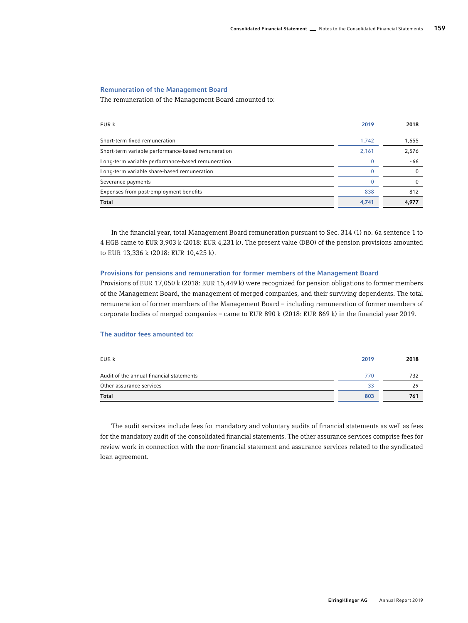# Remuneration of the Management Board

The remuneration of the Management Board amounted to:

| EUR k                                              | 2019  | 2018     |
|----------------------------------------------------|-------|----------|
| Short-term fixed remuneration                      | 1.742 | 1,655    |
| Short-term variable performance-based remuneration | 2,161 | 2,576    |
| Long-term variable performance-based remuneration  |       | -66      |
| Long-term variable share-based remuneration        |       |          |
| Severance payments                                 |       | $\Omega$ |
| Expenses from post-employment benefits             | 838   | 812      |
| Total                                              | 4,741 | 4,977    |

In the financial year, total Management Board remuneration pursuant to Sec. 314 (1) no. 6a sentence 1 to 4 HGB came to EUR 3,903 k (2018: EUR 4,231 k). The present value (DBO) of the pension provisions amounted to EUR 13,336 k (2018: EUR 10,425 k).

### Provisions for pensions and remuneration for former members of the Management Board

Provisions of EUR 17,050 k (2018: EUR 15,449 k) were recognized for pension obligations to former members of the Management Board, the management of merged companies, and their surviving dependents. The total remuneration of former members of the Management Board – including remuneration of former members of corporate bodies of merged companies – came to EUR 890 k (2018: EUR 869 k) in the financial year 2019.

### The auditor fees amounted to:

| EUR k                                    | 2019 | 2018 |
|------------------------------------------|------|------|
| Audit of the annual financial statements | 770  | 732  |
| Other assurance services                 | 33   | 29   |
| <b>Total</b>                             | 803  | 761  |

The audit services include fees for mandatory and voluntary audits of financial statements as well as fees for the mandatory audit of the consolidated financial statements. The other assurance services comprise fees for review work in connection with the non-financial statement and assurance services related to the syndicated loan agreement.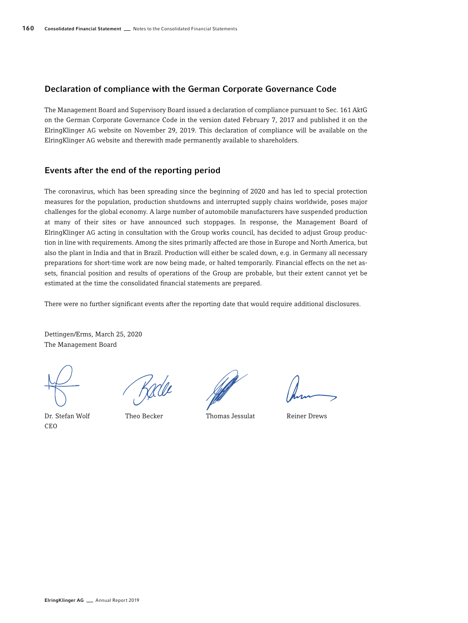### Declaration of compliance with the German Corporate Governance Code

The Management Board and Supervisory Board issued a declaration of compliance pursuant to Sec. 161 AktG on the German Corporate Governance Code in the version dated February 7, 2017 and published it on the ElringKlinger AG website on November 29, 2019. This declaration of compliance will be available on the ElringKlinger AG website and therewith made permanently available to shareholders.

## Events after the end of the reporting period

The coronavirus, which has been spreading since the beginning of 2020 and has led to special protection measures for the population, production shutdowns and interrupted supply chains worldwide, poses major challenges for the global economy. A large number of automobile manufacturers have suspended production at many of their sites or have announced such stoppages. In response, the Management Board of ElringKlinger AG acting in consultation with the Group works council, has decided to adjust Group production in line with requirements. Among the sites primarily affected are those in Europe and North America, but also the plant in India and that in Brazil. Production will either be scaled down, e.g. in Germany all necessary preparations for short-time work are now being made, or halted temporarily. Financial effects on the net assets, financial position and results of operations of the Group are probable, but their extent cannot yet be estimated at the time the consolidated financial statements are prepared.

There were no further significant events after the reporting date that would require additional disclosures.

Dettingen/Erms, March 25, 2020 The Management Board

Dr. Stefan Wolf CEO

Theo Becker Thomas Jessulat Reiner Drews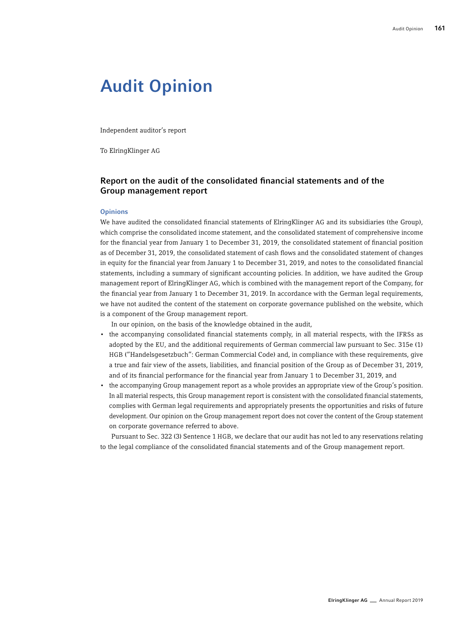## Audit Opinion

Independent auditor's report

To ElringKlinger AG

## Report on the audit of the consolidated financial statements and of the Group management report

#### **Opinions**

We have audited the consolidated financial statements of ElringKlinger AG and its subsidiaries (the Group), which comprise the consolidated income statement, and the consolidated statement of comprehensive income for the financial year from January 1 to December 31, 2019, the consolidated statement of financial position as of December 31, 2019, the consolidated statement of cash flows and the consolidated statement of changes in equity for the financial year from January 1 to December 31, 2019, and notes to the consolidated financial statements, including a summary of significant accounting policies. In addition, we have audited the Group management report of ElringKlinger AG, which is combined with the management report of the Company, for the financial year from January 1 to December 31, 2019. In accordance with the German legal requirements, we have not audited the content of the statement on corporate governance published on the website, which is a component of the Group management report.

In our opinion, on the basis of the knowledge obtained in the audit,

- the accompanying consolidated financial statements comply, in all material respects, with the IFRSs as adopted by the EU, and the additional requirements of German commercial law pursuant to Sec. 315e (1) HGB ("Handelsgesetzbuch": German Commercial Code) and, in compliance with these requirements, give a true and fair view of the assets, liabilities, and financial position of the Group as of December 31, 2019, and of its financial performance for the financial year from January 1 to December 31, 2019, and
- the accompanying Group management report as a whole provides an appropriate view of the Group's position. In all material respects, this Group management report is consistent with the consolidated financial statements, complies with German legal requirements and appropriately presents the opportunities and risks of future development. Our opinion on the Group management report does not cover the content of the Group statement on corporate governance referred to above.

Pursuant to Sec. 322 (3) Sentence 1 HGB, we declare that our audit has not led to any reservations relating to the legal compliance of the consolidated financial statements and of the Group management report.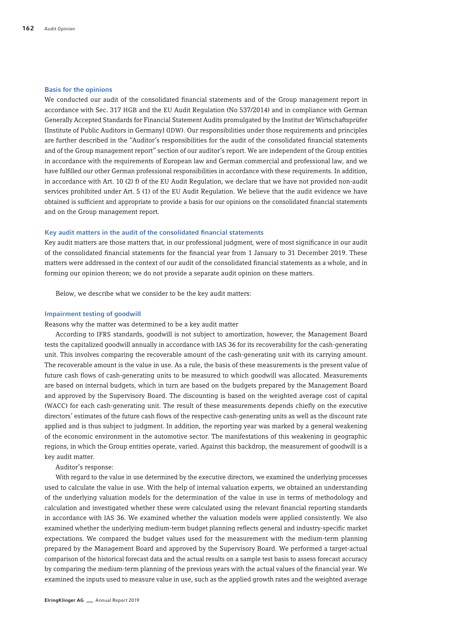#### Basis for the opinions

We conducted our audit of the consolidated financial statements and of the Group management report in accordance with Sec. 317 HGB and the EU Audit Regulation (No 537/2014) and in compliance with German Generally Accepted Standards for Financial Statement Audits promulgated by the Institut der Wirtschaftsprüfer [Institute of Public Auditors in Germany] (IDW). Our responsibilities under those requirements and principles are further described in the "Auditor's responsibilities for the audit of the consolidated financial statements and of the Group management report" section of our auditor's report. We are independent of the Group entities in accordance with the requirements of European law and German commercial and professional law, and we have fulfilled our other German professional responsibilities in accordance with these requirements. In addition, in accordance with Art. 10 (2) f) of the EU Audit Regulation, we declare that we have not provided non-audit services prohibited under Art. 5 (1) of the EU Audit Regulation. We believe that the audit evidence we have obtained is sufficient and appropriate to provide a basis for our opinions on the consolidated financial statements and on the Group management report.

#### Key audit matters in the audit of the consolidated financial statements

Key audit matters are those matters that, in our professional judgment, were of most significance in our audit of the consolidated financial statements for the financial year from 1 January to 31 December 2019. These matters were addressed in the context of our audit of the consolidated financial statements as a whole, and in forming our opinion thereon; we do not provide a separate audit opinion on these matters.

Below, we describe what we consider to be the key audit matters:

#### Impairment testing of goodwill

Reasons why the matter was determined to be a key audit matter

According to IFRS standards, goodwill is not subject to amortization, however, the Management Board tests the capitalized goodwill annually in accordance with IAS 36 for its recoverability for the cash-generating unit. This involves comparing the recoverable amount of the cash-generating unit with its carrying amount. The recoverable amount is the value in use. As a rule, the basis of these measurements is the present value of future cash flows of cash-generating units to be measured to which goodwill was allocated. Measurements are based on internal budgets, which in turn are based on the budgets prepared by the Management Board and approved by the Supervisory Board. The discounting is based on the weighted average cost of capital (WACC) for each cash-generating unit. The result of these measurements depends chiefly on the executive directors' estimates of the future cash flows of the respective cash-generating units as well as the discount rate applied and is thus subject to judgment. In addition, the reporting year was marked by a general weakening of the economic environment in the automotive sector. The manifestations of this weakening in geographic regions, in which the Group entities operate, varied. Against this backdrop, the measurement of goodwill is a key audit matter.

Auditor's response:

With regard to the value in use determined by the executive directors, we examined the underlying processes used to calculate the value in use. With the help of internal valuation experts, we obtained an understanding of the underlying valuation models for the determination of the value in use in terms of methodology and calculation and investigated whether these were calculated using the relevant financial reporting standards in accordance with IAS 36. We examined whether the valuation models were applied consistently. We also examined whether the underlying medium-term budget planning reflects general and industry-specific market expectations. We compared the budget values used for the measurement with the medium-term planning prepared by the Management Board and approved by the Supervisory Board. We performed a target-actual comparison of the historical forecast data and the actual results on a sample test basis to assess forecast accuracy by comparing the medium-term planning of the previous years with the actual values of the financial year. We examined the inputs used to measure value in use, such as the applied growth rates and the weighted average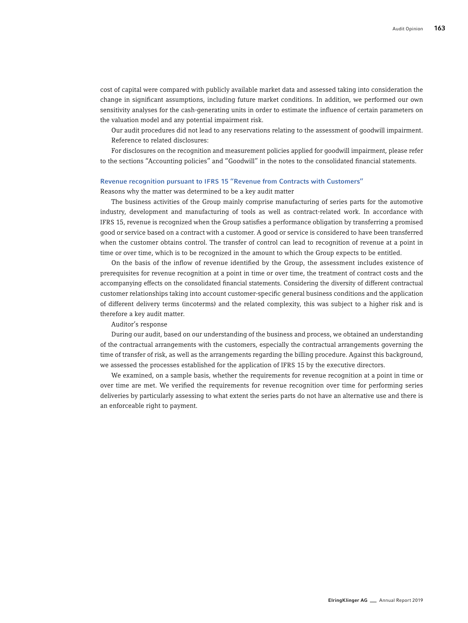cost of capital were compared with publicly available market data and assessed taking into consideration the change in significant assumptions, including future market conditions. In addition, we performed our own sensitivity analyses for the cash-generating units in order to estimate the influence of certain parameters on the valuation model and any potential impairment risk.

Our audit procedures did not lead to any reservations relating to the assessment of goodwill impairment. Reference to related disclosures:

For disclosures on the recognition and measurement policies applied for goodwill impairment, please refer to the sections "Accounting policies" and "Goodwill" in the notes to the consolidated financial statements.

#### Revenue recognition pursuant to IFRS 15 "Revenue from Contracts with Customers"

Reasons why the matter was determined to be a key audit matter

The business activities of the Group mainly comprise manufacturing of series parts for the automotive industry, development and manufacturing of tools as well as contract-related work. In accordance with IFRS 15, revenue is recognized when the Group satisfies a performance obligation by transferring a promised good or service based on a contract with a customer. A good or service is considered to have been transferred when the customer obtains control. The transfer of control can lead to recognition of revenue at a point in time or over time, which is to be recognized in the amount to which the Group expects to be entitled.

On the basis of the inflow of revenue identified by the Group, the assessment includes existence of prerequisites for revenue recognition at a point in time or over time, the treatment of contract costs and the accompanying effects on the consolidated financial statements. Considering the diversity of different contractual customer relationships taking into account customer-specific general business conditions and the application of different delivery terms (incoterms) and the related complexity, this was subject to a higher risk and is therefore a key audit matter.

Auditor's response

During our audit, based on our understanding of the business and process, we obtained an understanding of the contractual arrangements with the customers, especially the contractual arrangements governing the time of transfer of risk, as well as the arrangements regarding the billing procedure. Against this background, we assessed the processes established for the application of IFRS 15 by the executive directors.

We examined, on a sample basis, whether the requirements for revenue recognition at a point in time or over time are met. We verified the requirements for revenue recognition over time for performing series deliveries by particularly assessing to what extent the series parts do not have an alternative use and there is an enforceable right to payment.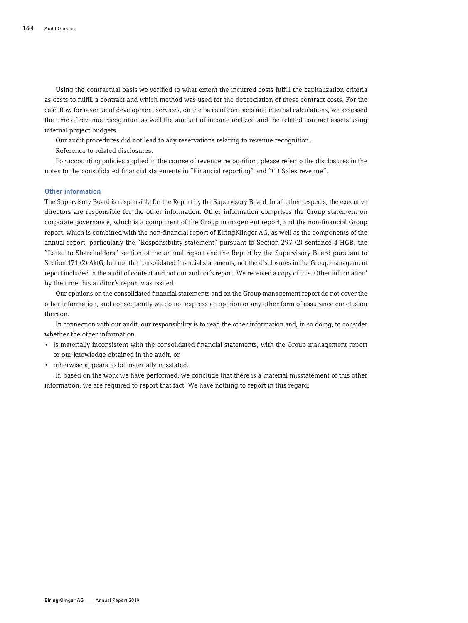Using the contractual basis we verified to what extent the incurred costs fulfill the capitalization criteria as costs to fulfill a contract and which method was used for the depreciation of these contract costs. For the cash flow for revenue of development services, on the basis of contracts and internal calculations, we assessed the time of revenue recognition as well the amount of income realized and the related contract assets using internal project budgets.

Our audit procedures did not lead to any reservations relating to revenue recognition.

Reference to related disclosures:

For accounting policies applied in the course of revenue recognition, please refer to the disclosures in the notes to the consolidated financial statements in "Financial reporting" and "(1) Sales revenue".

#### Other information

The Supervisory Board is responsible for the Report by the Supervisory Board. In all other respects, the executive directors are responsible for the other information. Other information comprises the Group statement on corporate governance, which is a component of the Group management report, and the non-financial Group report, which is combined with the non-financial report of ElringKlinger AG, as well as the components of the annual report, particularly the "Responsibility statement" pursuant to Section 297 (2) sentence 4 HGB, the "Letter to Shareholders" section of the annual report and the Report by the Supervisory Board pursuant to Section 171 (2) AktG, but not the consolidated financial statements, not the disclosures in the Group management report included in the audit of content and not our auditor's report. We received a copy of this 'Other information' by the time this auditor's report was issued.

Our opinions on the consolidated financial statements and on the Group management report do not cover the other information, and consequently we do not express an opinion or any other form of assurance conclusion thereon.

In connection with our audit, our responsibility is to read the other information and, in so doing, to consider whether the other information

- is materially inconsistent with the consolidated financial statements, with the Group management report or our knowledge obtained in the audit, or
- otherwise appears to be materially misstated.

If, based on the work we have performed, we conclude that there is a material misstatement of this other information, we are required to report that fact. We have nothing to report in this regard.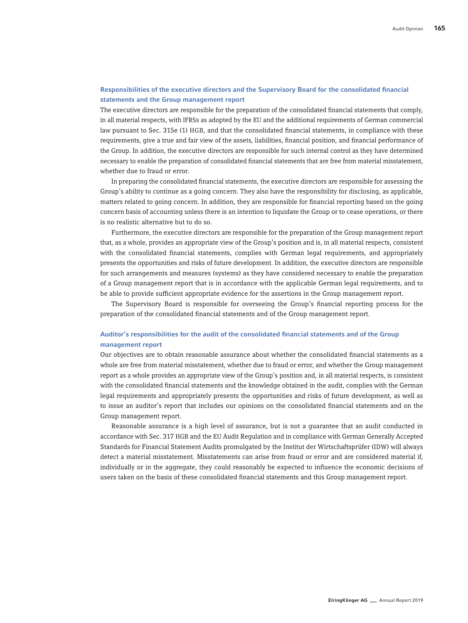## Responsibilities of the executive directors and the Supervisory Board for the consolidated financial statements and the Group management report

The executive directors are responsible for the preparation of the consolidated financial statements that comply, in all material respects, with IFRSs as adopted by the EU and the additional requirements of German commercial law pursuant to Sec. 315e (1) HGB, and that the consolidated financial statements, in compliance with these requirements, give a true and fair view of the assets, liabilities, financial position, and financial performance of the Group. In addition, the executive directors are responsible for such internal control as they have determined necessary to enable the preparation of consolidated financial statements that are free from material misstatement, whether due to fraud or error.

In preparing the consolidated financial statements, the executive directors are responsible for assessing the Group's ability to continue as a going concern. They also have the responsibility for disclosing, as applicable, matters related to going concern. In addition, they are responsible for financial reporting based on the going concern basis of accounting unless there is an intention to liquidate the Group or to cease operations, or there is no realistic alternative but to do so.

Furthermore, the executive directors are responsible for the preparation of the Group management report that, as a whole, provides an appropriate view of the Group's position and is, in all material respects, consistent with the consolidated financial statements, complies with German legal requirements, and appropriately presents the opportunities and risks of future development. In addition, the executive directors are responsible for such arrangements and measures (systems) as they have considered necessary to enable the preparation of a Group management report that is in accordance with the applicable German legal requirements, and to be able to provide sufficient appropriate evidence for the assertions in the Group management report.

The Supervisory Board is responsible for overseeing the Group's financial reporting process for the preparation of the consolidated financial statements and of the Group management report.

## Auditor's responsibilities for the audit of the consolidated financial statements and of the Group management report

Our objectives are to obtain reasonable assurance about whether the consolidated financial statements as a whole are free from material misstatement, whether due to fraud or error, and whether the Group management report as a whole provides an appropriate view of the Group's position and, in all material respects, is consistent with the consolidated financial statements and the knowledge obtained in the audit, complies with the German legal requirements and appropriately presents the opportunities and risks of future development, as well as to issue an auditor's report that includes our opinions on the consolidated financial statements and on the Group management report.

Reasonable assurance is a high level of assurance, but is not a guarantee that an audit conducted in accordance with Sec. 317 HGB and the EU Audit Regulation and in compliance with German Generally Accepted Standards for Financial Statement Audits promulgated by the Institut der Wirtschaftsprüfer (IDW) will always detect a material misstatement. Misstatements can arise from fraud or error and are considered material if, individually or in the aggregate, they could reasonably be expected to influence the economic decisions of users taken on the basis of these consolidated financial statements and this Group management report.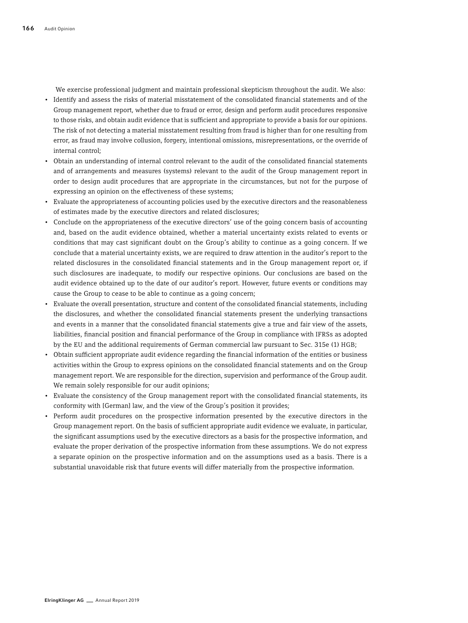We exercise professional judgment and maintain professional skepticism throughout the audit. We also:

- Identify and assess the risks of material misstatement of the consolidated financial statements and of the Group management report, whether due to fraud or error, design and perform audit procedures responsive to those risks, and obtain audit evidence that is sufficient and appropriate to provide a basis for our opinions. The risk of not detecting a material misstatement resulting from fraud is higher than for one resulting from error, as fraud may involve collusion, forgery, intentional omissions, misrepresentations, or the override of internal control;
- Obtain an understanding of internal control relevant to the audit of the consolidated financial statements and of arrangements and measures (systems) relevant to the audit of the Group management report in order to design audit procedures that are appropriate in the circumstances, but not for the purpose of expressing an opinion on the effectiveness of these systems;
- Evaluate the appropriateness of accounting policies used by the executive directors and the reasonableness of estimates made by the executive directors and related disclosures;
- Conclude on the appropriateness of the executive directors' use of the going concern basis of accounting and, based on the audit evidence obtained, whether a material uncertainty exists related to events or conditions that may cast significant doubt on the Group's ability to continue as a going concern. If we conclude that a material uncertainty exists, we are required to draw attention in the auditor's report to the related disclosures in the consolidated financial statements and in the Group management report or, if such disclosures are inadequate, to modify our respective opinions. Our conclusions are based on the audit evidence obtained up to the date of our auditor's report. However, future events or conditions may cause the Group to cease to be able to continue as a going concern;
- Evaluate the overall presentation, structure and content of the consolidated financial statements, including the disclosures, and whether the consolidated financial statements present the underlying transactions and events in a manner that the consolidated financial statements give a true and fair view of the assets, liabilities, financial position and financial performance of the Group in compliance with IFRSs as adopted by the EU and the additional requirements of German commercial law pursuant to Sec. 315e (1) HGB;
- Obtain sufficient appropriate audit evidence regarding the financial information of the entities or business activities within the Group to express opinions on the consolidated financial statements and on the Group management report. We are responsible for the direction, supervision and performance of the Group audit. We remain solely responsible for our audit opinions;
- Evaluate the consistency of the Group management report with the consolidated financial statements, its conformity with [German] law, and the view of the Group's position it provides;
- Perform audit procedures on the prospective information presented by the executive directors in the Group management report. On the basis of sufficient appropriate audit evidence we evaluate, in particular, the significant assumptions used by the executive directors as a basis for the prospective information, and evaluate the proper derivation of the prospective information from these assumptions. We do not express a separate opinion on the prospective information and on the assumptions used as a basis. There is a substantial unavoidable risk that future events will differ materially from the prospective information.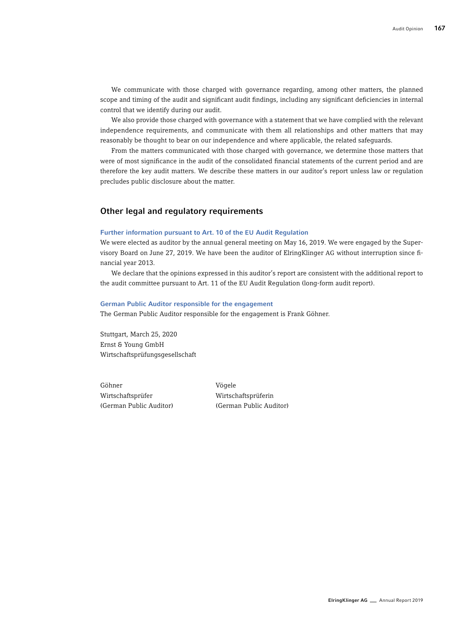We communicate with those charged with governance regarding, among other matters, the planned scope and timing of the audit and significant audit findings, including any significant deficiencies in internal control that we identify during our audit.

We also provide those charged with governance with a statement that we have complied with the relevant independence requirements, and communicate with them all relationships and other matters that may reasonably be thought to bear on our independence and where applicable, the related safeguards.

From the matters communicated with those charged with governance, we determine those matters that were of most significance in the audit of the consolidated financial statements of the current period and are therefore the key audit matters. We describe these matters in our auditor's report unless law or regulation precludes public disclosure about the matter.

## Other legal and regulatory requirements

#### Further information pursuant to Art. 10 of the EU Audit Regulation

We were elected as auditor by the annual general meeting on May 16, 2019. We were engaged by the Supervisory Board on June 27, 2019. We have been the auditor of ElringKlinger AG without interruption since financial year 2013.

We declare that the opinions expressed in this auditor's report are consistent with the additional report to the audit committee pursuant to Art. 11 of the EU Audit Regulation (long-form audit report).

#### German Public Auditor responsible for the engagement

The German Public Auditor responsible for the engagement is Frank Göhner.

Stuttgart, March 25, 2020 Ernst & Young GmbH Wirtschaftsprüfungsgesellschaft

Göhner Vögele Wirtschaftsprüfer Wirtschaftsprüferin

(German Public Auditor) (German Public Auditor)